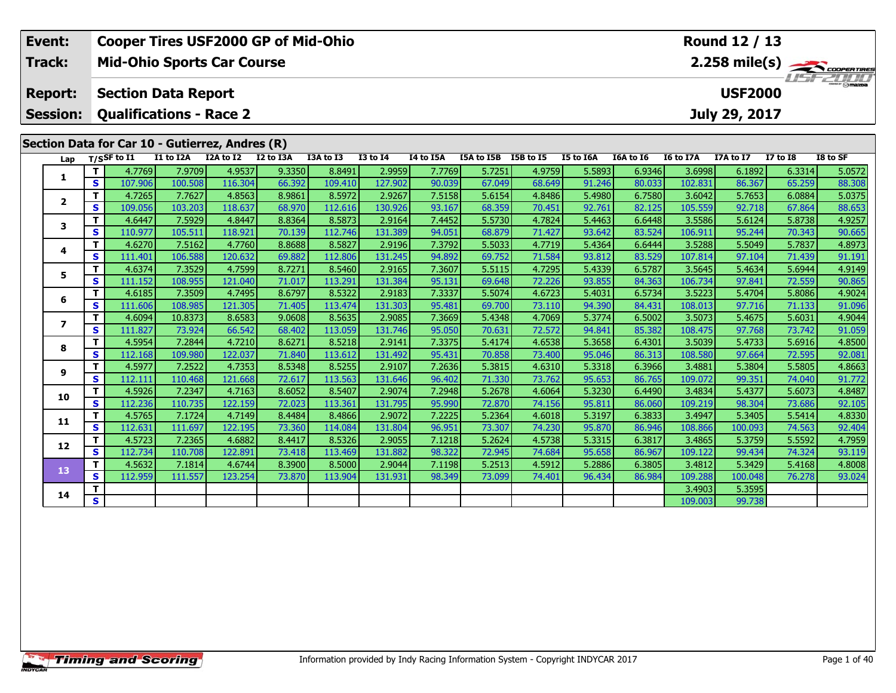| Event:          |                    |                                                 |                   |                   | <b>Cooper Tires USF2000 GP of Mid-Ohio</b> |                   |                   |                  |                      |                  |                  |                  |                   | Round 12 / 13    |                  |                         |
|-----------------|--------------------|-------------------------------------------------|-------------------|-------------------|--------------------------------------------|-------------------|-------------------|------------------|----------------------|------------------|------------------|------------------|-------------------|------------------|------------------|-------------------------|
| Track:          |                    | <b>Mid-Ohio Sports Car Course</b>               |                   |                   |                                            |                   |                   |                  |                      |                  |                  |                  |                   |                  |                  | $2.258 \text{ mile(s)}$ |
| <b>Report:</b>  |                    | <b>Section Data Report</b>                      |                   |                   |                                            |                   |                   |                  |                      |                  |                  |                  |                   | <b>USF2000</b>   |                  |                         |
| <b>Session:</b> |                    | <b>Qualifications - Race 2</b>                  |                   |                   |                                            |                   |                   |                  |                      |                  |                  |                  |                   | July 29, 2017    |                  |                         |
|                 |                    | Section Data for Car 10 - Gutierrez, Andres (R) |                   |                   |                                            |                   |                   |                  |                      |                  |                  |                  |                   |                  |                  |                         |
|                 |                    | $T/S$ SF to I1                                  | I1 to I2A         | I2A to I2         | I2 to I3A                                  | I3A to I3         | <b>I3 to I4</b>   | I4 to I5A        | I5A to I5B I5B to I5 |                  | I5 to I6A        | I6A to I6        | <b>I6 to I7A</b>  | I7A to I7        | <b>I7 to I8</b>  | I8 to SF                |
| Lap             | т                  | 4.7769                                          | 7.9709            | 4.9537            | 9.3350                                     | 8.8491            | 2.9959            | 7.7769           | 5.7251               | 4.9759           | 5.5893           | 6.9346           | 3.6998            | 6.1892           | 6.3314           | 5.0572                  |
| 1               | $\mathbf{s}$       | 107.906                                         | 100.508           | 116.304           | 66.392                                     | 109.410           | 127.902           | 90.039           | 67.049               | 68.649           | 91.246           | 80.033           | 102.831           | 86.367           | 65.259           | 88.308                  |
|                 | т                  | 4.7265                                          | 7.7627            | 4.8563            | 8.9861                                     | 8.5972            | 2.9267            | 7.5158           | 5.6154               | 4.8486           | 5.4980           | 6.7580           | 3.6042            | 5.7653           | 6.0884           | 5.0375                  |
| $\mathbf{2}$    | $\mathbf{s}$       | 109.056                                         | 103.203           | 118.637           | 68.970                                     | 112.616           | 130.926           | 93.167           | 68.359               | 70.451           | 92.761           | 82.125           | 105.559           | 92.718           | 67.864           | 88.653                  |
|                 | т                  | 4.6447                                          | 7.5929            | 4.8447            | 8.8364                                     | 8.5873            | 2.9164            | 7.4452           | 5.5730               | 4.7824           | 5.4463           | 6.6448           | 3.5586            | 5.6124           | 5.8738           | 4.9257                  |
| 3               | $\mathbf{s}$       | 110.977                                         | 105.511           | 118.921           | 70.139                                     | 112.746           | 131.389           | 94.051           | 68.879               | 71.427           | 93.642           | 83.524           | 106.911           | 95.244           | 70.343           | 90.665                  |
| 4               | T                  | 4.6270                                          | 7.5162            | 4.7760            | 8.8688                                     | 8.5827            | 2.9196            | 7.3792           | 5.5033               | 4.7719           | 5.4364           | 6.6444           | 3.5288            | 5.5049           | 5.7837           | 4.8973                  |
|                 | $\mathbf{s}$       | 111.401                                         | 106.588           | 120.632           | 69.882                                     | 112.806           | 131.245           | 94.892           | 69.752               | 71.584           | 93.812           | 83.529           | 107.814           | 97.104           | 71.439           | 91.191                  |
| 5               | Т                  | 4.6374                                          | 7.3529            | 4.7599            | 8.7271                                     | 8.5460            | 2.9165            | 7.3607           | 5.5115               | 4.7295           | 5.4339           | 6.5787           | 3.5645            | 5.4634           | 5.6944           | 4.9149                  |
|                 | $\mathbf{s}$       | 111.152                                         | 108.955           | 121.040           | 71.017                                     | 113.291           | 131.384           | 95.131           | 69.648               | 72.226           | 93.855           | 84.363           | 106.734           | 97.841           | 72.559           | 90.865                  |
| 6               | т                  | 4.6185                                          | 7.3509            | 4.7495            | 8.6797                                     | 8.5322            | 2.9183            | 7.3337           | 5.5074               | 4.6723           | 5.4031           | 6.5734           | 3.5223            | 5.4704           | 5.8086           | 4.9024                  |
|                 | $\mathbf{s}$       | 111.606                                         | 108.985           | 121.305           | 71.405                                     | 113.474           | 131.303           | 95.481           | 69.700               | 73.110           | 94.390           | 84.431           | 108.013           | 97.716           | 71.133           | 91.096                  |
| $\overline{7}$  | $\mathbf{T}$       | 4.6094                                          | 10.8373           | 8.6583            | 9.0608                                     | 8.5635            | 2.9085            | 7.3669           | 5.4348               | 4.7069           | 5.3774           | 6.5002           | 3.5073            | 5.4675           | 5.6031           | 4.9044                  |
|                 | $\mathbf{s}$<br>T. | 111.827                                         | 73.924            | 66.542            | 68.402                                     | 113.059           | 131.746           | 95.050<br>7.3375 | 70.631               | 72.572           | 94.841           | 85.382           | 108.475<br>3.5039 | 97.768           | 73.742           | 91.059                  |
| 8               | $\mathbf{s}$       | 4.5954<br>112.168                               | 7.2844<br>109.980 | 4.7210<br>122.037 | 8.6271<br>71.840                           | 8.5218<br>113.612 | 2.9141<br>131.492 | 95.431           | 5.4174<br>70.858     | 4.6538<br>73.400 | 5.3658<br>95.046 | 6.4301<br>86.313 | 108.580           | 5.4733<br>97.664 | 5.6916<br>72.595 | 4.8500<br>92.081        |
|                 | T                  | 4.5977                                          | 7.2522            | 4.7353            | 8.5348                                     | 8.5255            | 2.9107            | 7.2636           | 5.3815               | 4.6310           | 5.3318           | 6.3966           | 3.4881            | 5.3804           | 5.5805           | 4.8663                  |
| 9               | $\mathbf{s}$       | 112.111                                         | 110.468           | 121.668           | 72.617                                     | 113.563           | 131.646           | 96.402           | 71.330               | 73.762           | 95.653           | 86.765           | 109.072           | 99.351           | 74.040           | 91.772                  |
|                 | т                  | 4.5926                                          | 7.2347            | 4.7163            | 8.6052                                     | 8.5407            | 2.9074            | 7.2948           | 5.2678               | 4.6064           | 5.3230           | 6.4490           | 3.4834            | 5.4377           | 5.6073           | 4.8487                  |
| 10              | $\mathbf{s}$       | 112.236                                         | 110.735           | 122.159           | 72.023                                     | 113.361           | 131.795           | 95.990           | 72.870               | 74.156           | 95.811           | 86.060           | 109.219           | 98.304           | 73.686           | 92.105                  |
|                 | T.                 | 4.5765                                          | 7.1724            | 4.7149            | 8.4484                                     | 8.4866            | 2.9072            | 7.2225           | 5.2364               | 4.6018           | 5.3197           | 6.3833           | 3.4947            | 5.3405           | 5.5414           | 4.8330                  |
| 11              | $\mathbf{s}$       | 112.631                                         | 111.697           | 122.195           | 73.360                                     | 114.084           | 131.804           | 96.951           | 73.307               | 74.230           | 95.870           | 86.946           | 108.866           | 100.093          | 74.563           | 92.404                  |
|                 | т                  | 4.5723                                          | 7.2365            | 4.6882            | 8.4417                                     | 8.5326            | 2.9055            | 7.1218           | 5.2624               | 4.5738           | 5.3315           | 6.3817           | 3.4865            | 5.3759           | 5.5592           | 4.7959                  |
| 12              | $\mathbf{s}$       | 112.734                                         | 110.708           | 122.891           | 73.418                                     | 113.469           | 131.882           | 98.322           | 72.945               | 74.684           | 95.658           | 86.967           | 109.122           | 99.434           | 74.324           | 93.119                  |
| 13              | Т                  | 4.5632                                          | 7.1814            | 4.6744            | 8.3900                                     | 8.5000            | 2.9044            | 7.1198           | 5.2513               | 4.5912           | 5.2886           | 6.3805           | 3.4812            | 5.3429           | 5.4168           | 4.8008                  |
|                 | $\mathbf{s}$       | 112.959                                         | 111.557           | 123.254           | 73.870                                     | 113.904           | 131.931           | 98.349           | 73.099               | 74.401           | 96.434           | 86.984           | 109.288           | 100.048          | 76.278           | 93.024                  |
| 14              | т                  |                                                 |                   |                   |                                            |                   |                   |                  |                      |                  |                  |                  | 3.4903            | 5.3595           |                  |                         |
|                 | $\mathbf{s}$       |                                                 |                   |                   |                                            |                   |                   |                  |                      |                  |                  |                  | 109.003           | 99.738           |                  |                         |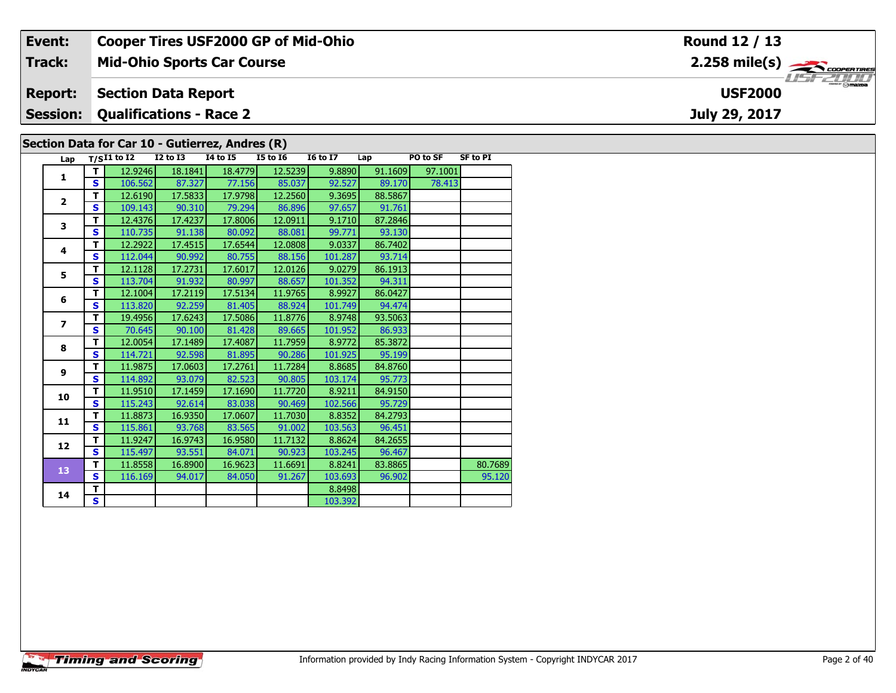| Event:          |    |                   |                                | <b>Cooper Tires USF2000 GP of Mid-Ohio</b>      |                 |                 |         |          |                 | Round 12 / 13           |
|-----------------|----|-------------------|--------------------------------|-------------------------------------------------|-----------------|-----------------|---------|----------|-----------------|-------------------------|
| <b>Track:</b>   |    |                   |                                | <b>Mid-Ohio Sports Car Course</b>               |                 |                 |         |          |                 | $2.258 \text{ mile(s)}$ |
| <b>Report:</b>  |    |                   | <b>Section Data Report</b>     |                                                 |                 |                 |         |          |                 | <b>USF2000</b>          |
| <b>Session:</b> |    |                   | <b>Qualifications - Race 2</b> |                                                 |                 |                 |         |          |                 | July 29, 2017           |
|                 |    |                   |                                | Section Data for Car 10 - Gutierrez, Andres (R) |                 |                 |         |          |                 |                         |
|                 |    | Lap $T/SI1$ to I2 | $I2$ to $I3$                   | 14 to 15                                        | <b>I5 to I6</b> | <b>16 to 17</b> | Lap     | PO to SF | <b>SF to PI</b> |                         |
|                 |    | 12.9246           | 18.1841                        | 18.4779                                         | 12.5239         | 9.8890          | 91.1609 | 97.1001  |                 |                         |
|                 | S. | 106.562           | 87.327                         | 77.156                                          | 85.037          | 92.527          | 89.170  | 78.413   |                 |                         |

|                                                                                                                | т                       | 12.9246 | 18.1841 | 18.4779 | 12.5239 | 9.8890  | 91.1609 | 97.1001 |         |
|----------------------------------------------------------------------------------------------------------------|-------------------------|---------|---------|---------|---------|---------|---------|---------|---------|
|                                                                                                                | S                       | 106.562 | 87.327  | 77.156  | 85.037  | 92.527  | 89.170  | 78.413  |         |
| 1<br>$\overline{\mathbf{2}}$<br>3<br>4<br>5<br>6<br>$\overline{\phantom{a}}$<br>8<br>9<br>10<br>11<br>12<br>13 | т                       | 12.6190 | 17.5833 | 17.9798 | 12.2560 | 9.3695  | 88.5867 |         |         |
|                                                                                                                | S                       | 109.143 | 90.310  | 79.294  | 86.896  | 97.657  | 91.761  |         |         |
|                                                                                                                | т                       | 12.4376 | 17.4237 | 17.8006 | 12.0911 | 9.1710  | 87.2846 |         |         |
|                                                                                                                | S                       | 110.735 | 91.138  | 80.092  | 88.081  | 99.771  | 93.130  |         |         |
|                                                                                                                | т                       | 12.2922 | 17.4515 | 17.6544 | 12.0808 | 9.0337  | 86.7402 |         |         |
|                                                                                                                | S                       | 112.044 | 90.992  | 80.755  | 88.156  | 101.287 | 93.714  |         |         |
|                                                                                                                | т                       | 12.1128 | 17.2731 | 17.6017 | 12.0126 | 9.0279  | 86.1913 |         |         |
|                                                                                                                | S                       | 113.704 | 91.932  | 80.997  | 88.657  | 101.352 | 94.311  |         |         |
|                                                                                                                | T                       | 12.1004 | 17.2119 | 17.5134 | 11.9765 | 8.9927  | 86.0427 |         |         |
|                                                                                                                | S                       | 113.820 | 92.259  | 81.405  | 88.924  | 101.749 | 94.474  |         |         |
|                                                                                                                | т                       | 19.4956 | 17.6243 | 17.5086 | 11.8776 | 8.9748  | 93.5063 |         |         |
|                                                                                                                | S                       | 70.645  | 90.100  | 81.428  | 89.665  | 101.952 | 86.933  |         |         |
|                                                                                                                | т                       | 12.0054 | 17.1489 | 17.4087 | 11.7959 | 8.9772  | 85.3872 |         |         |
|                                                                                                                | S                       | 114.721 | 92.598  | 81.895  | 90.286  | 101.925 | 95.199  |         |         |
|                                                                                                                | т                       | 11.9875 | 17.0603 | 17.2761 | 11.7284 | 8.8685  | 84.8760 |         |         |
|                                                                                                                | $\mathbf{s}$            | 114.892 | 93.079  | 82.523  | 90.805  | 103.174 | 95.773  |         |         |
|                                                                                                                | т                       | 11.9510 | 17.1459 | 17.1690 | 11.7720 | 8.9211  | 84.9150 |         |         |
|                                                                                                                | $\mathbf{s}$            | 115.243 | 92.614  | 83.038  | 90.469  | 102.566 | 95.729  |         |         |
|                                                                                                                | т                       | 11.8873 | 16.9350 | 17.0607 | 11.7030 | 8.8352  | 84.2793 |         |         |
|                                                                                                                | $\mathbf{s}$            | 115.861 | 93.768  | 83.565  | 91.002  | 103.563 | 96.451  |         |         |
|                                                                                                                | T                       | 11.9247 | 16.9743 | 16.9580 | 11.7132 | 8.8624  | 84.2655 |         |         |
|                                                                                                                | S                       | 115.497 | 93.551  | 84.071  | 90.923  | 103.245 | 96.467  |         |         |
|                                                                                                                | т                       | 11.8558 | 16.8900 | 16.9623 | 11.6691 | 8.8241  | 83.8865 |         | 80.7689 |
|                                                                                                                | S                       | 116.169 | 94.017  | 84.050  | 91.267  | 103.693 | 96.902  |         | 95.120  |
| 14                                                                                                             | T.                      |         |         |         |         | 8.8498  |         |         |         |
|                                                                                                                | $\overline{\mathbf{s}}$ |         |         |         |         | 103.392 |         |         |         |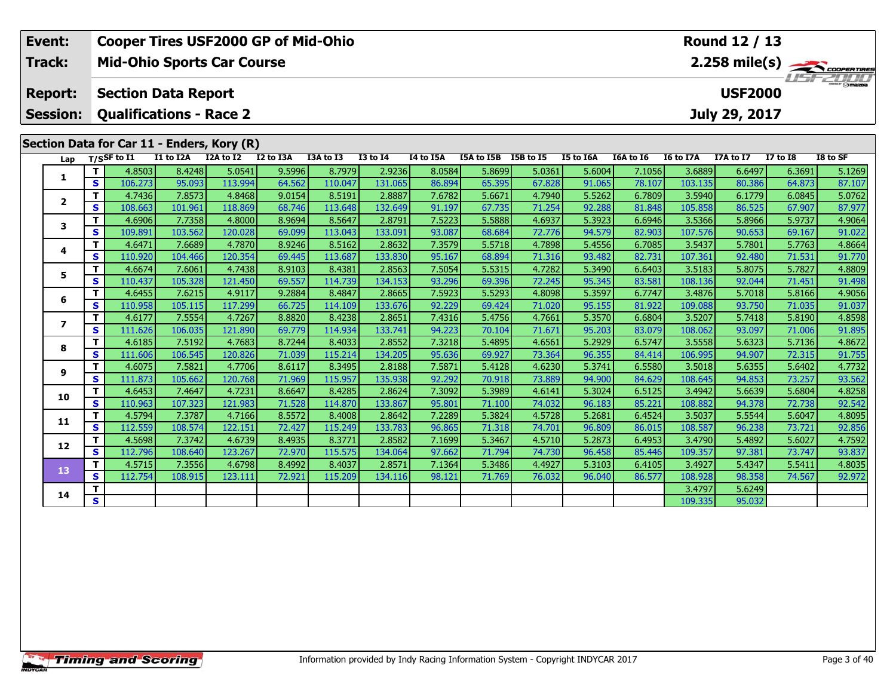| Event:          |                   |                                            |                   |                   | <b>Cooper Tires USF2000 GP of Mid-Ohio</b> |                   |                   |                  |                  |                  |                  |                  |                   | Round 12 / 13    |                  |                         |
|-----------------|-------------------|--------------------------------------------|-------------------|-------------------|--------------------------------------------|-------------------|-------------------|------------------|------------------|------------------|------------------|------------------|-------------------|------------------|------------------|-------------------------|
| Track:          |                   | <b>Mid-Ohio Sports Car Course</b>          |                   |                   |                                            |                   |                   |                  |                  |                  |                  |                  |                   |                  |                  | $2.258 \text{ mile(s)}$ |
| <b>Report:</b>  |                   | <b>Section Data Report</b>                 |                   |                   |                                            |                   |                   |                  |                  |                  |                  |                  |                   | <b>USF2000</b>   |                  |                         |
|                 |                   |                                            |                   |                   |                                            |                   |                   |                  |                  |                  |                  |                  |                   |                  |                  |                         |
| <b>Session:</b> |                   | <b>Qualifications - Race 2</b>             |                   |                   |                                            |                   |                   |                  |                  |                  |                  |                  |                   | July 29, 2017    |                  |                         |
|                 |                   | Section Data for Car 11 - Enders, Kory (R) |                   |                   |                                            |                   |                   |                  |                  |                  |                  |                  |                   |                  |                  |                         |
| Lap             |                   | $T/S$ SF to $I1$                           | I1 to I2A         | I2A to I2         | I2 to I3A                                  | I3A to I3         | <b>I3 to 14</b>   | I4 to I5A        | I5A to I5B       | I5B to I5        | I5 to I6A        | I6A to I6        | <b>I6 to I7A</b>  | I7A to I7        | <b>I7 to 18</b>  | I8 to SF                |
|                 | T                 | 4.8503                                     | 8.4248            | 5.0541            | 9.5996                                     | 8.7979            | 2.9236            | 8.0584           | 5.8699           | 5.0361           | 5.6004           | 7.1056           | 3.6889            | 6.6497           | 6.3691           | 5.1269                  |
| 1               | $\mathbf{s}$      | 106.273                                    | 95.093            | 113.994           | 64.562                                     | 110.047           | 131.065           | 86.894           | 65.395           | 67.828           | 91.065           | 78.107           | 103.135           | 80.386           | 64.873           | 87.107                  |
|                 | T                 | 4.7436                                     | 7.8573            | 4.8468            | 9.0154                                     | 8.5191            | 2.8887            | 7.6782           | 5.6671           | 4.7940           | 5.5262           | 6.7809           | 3.5940            | 6.1779           | 6.0845           | 5.0762                  |
| $\overline{2}$  | $\mathbf{s}$      | 108.663                                    | 101.961           | 118.869           | 68.746                                     | 113.648           | 132.649           | 91.197           | 67.735           | 71.254           | 92.288           | 81.848           | 105.858           | 86.525           | 67.907           | 87.977                  |
| 3               | T                 | 4.6906                                     | 7.7358            | 4.8000            | 8.9694                                     | 8.5647            | 2.8791            | 7.5223           | 5.5888           | 4.6937           | 5.3923           | 6.6946           | 3.5366            | 5.8966           | 5.9737           | 4.9064                  |
|                 | $\mathbf{s}$      | 109.891                                    | 103.562           | 120.028           | 69.099                                     | 113.043           | 133.091           | 93.087           | 68.684           | 72.776           | 94.579           | 82.903           | 107.576           | 90.653           | 69.167           | 91.022                  |
| 4               | т                 | 4.6471                                     | 7.6689            | 4.7870            | 8.9246                                     | 8.5162            | 2.8632            | 7.3579           | 5.5718           | 4.7898           | 5.4556           | 6.7085           | 3.5437            | 5.7801           | 5.7763           | 4.8664                  |
|                 | $\mathbf{s}$      | 110.920                                    | 104.466           | 120.354           | 69.445                                     | 113.687           | 133.830           | 95.167           | 68.894           | 71.316           | 93.482           | 82.731           | 107.361           | 92.480           | 71.531           | 91.770                  |
| 5               | Т                 | 4.6674                                     | 7.6061            | 4.7438            | 8.9103                                     | 8.4381            | 2.8563            | 7.5054           | 5.5315           | 4.7282           | 5.3490           | 6.6403           | 3.5183            | 5.8075           | 5.7827           | 4.8809                  |
|                 | S                 | 110.437                                    | 105.328           | 121.450           | 69.557                                     | 114.739           | 134.153           | 93.296           | 69.396           | 72.245           | 95.345           | 83.581           | 108.136           | 92.044           | 71.451           | 91.498                  |
| 6               | T<br>$\mathbf{s}$ | 4.6455<br>110.958                          | 7.6215<br>105.115 | 4.9117<br>117.299 | 9.2884<br>66.725                           | 8.4847<br>114.109 | 2.8665<br>133.676 | 7.5923<br>92.229 | 5.5293<br>69.424 | 4.8098<br>71.020 | 5.3597<br>95.155 | 6.7747<br>81.922 | 3.4876<br>109.088 | 5.7018<br>93.750 | 5.8166<br>71.035 | 4.9056<br>91.037        |
|                 | T                 | 4.6177                                     | 7.5554            | 4.7267            | 8.8820                                     | 8.4238            | 2.8651            | 7.4316           | 5.4756           | 4.7661           | 5.3570           | 6.6804           | 3.5207            | 5.7418           | 5.8190           | 4.8598                  |
| $\overline{ }$  | $\mathbf{s}$      | 111.626                                    | 106.035           | 121.890           | 69.779                                     | 114.934           | 133.741           | 94.223           | 70.104           | 71.671           | 95.203           | 83.079           | 108.062           | 93.097           | 71.006           | 91.895                  |
|                 | T                 | 4.6185                                     | 7.5192            | 4.7683            | 8.7244                                     | 8.4033            | 2.8552            | 7.3218           | 5.4895           | 4.6561           | 5.2929           | 6.5747           | 3.5558            | 5.6323           | 5.7136           | 4.8672                  |
| 8               | $\mathbf{s}$      | 111.606                                    | 106.545           | 120.826           | 71.039                                     | 115.214           | 134.205           | 95.636           | 69.927           | 73.364           | 96.355           | 84.414           | 106.995           | 94.907           | 72.315           | 91.755                  |
|                 | T                 | 4.6075                                     | 7.5821            | 4.7706            | 8.6117                                     | 8.3495            | 2.8188            | 7.587            | 5.4128           | 4.6230           | 5.3741           | 6.5580           | 3.5018            | 5.6355           | 5.6402           | 4.7732                  |
| 9               | $\mathbf{s}$      | 111.873                                    | 105.662           | 120.768           | 71.969                                     | 115.957           | 135.938           | 92.292           | 70.918           | 73.889           | 94.900           | 84.629           | 108.645           | 94.853           | 73.257           | 93.562                  |
| 10              | T                 | 4.6453                                     | 7.4647            | 4.7231            | 8.6647                                     | 8.4285            | 2.8624            | 7.3092           | 5.3989           | 4.6141           | 5.3024           | 6.5125           | 3.4942            | 5.6639           | 5.6804           | 4.8258                  |
|                 | $\mathbf{s}$      | 110.963                                    | 107.323           | 121.983           | 71.528                                     | 114.870           | 133.867           | 95.801           | 71.100           | 74.032           | 96.183           | 85.221           | 108.882           | 94.378           | 72.738           | 92.542                  |
| 11              | т                 | 4.5794                                     | 7.3787            | 4.7166            | 8.5572                                     | 8.4008            | 2.8642            | 7.2289           | 5.3824           | 4.5728           | 5.2681           | 6.4524           | 3.5037            | 5.5544           | 5.6047           | 4.8095                  |
|                 | $\mathbf{s}$      | 112.559                                    | 108.574           | 122.151           | 72.427                                     | 115.249           | 133.783           | 96.865           | 71.318           | 74.701           | 96.809           | 86.015           | 108.587           | 96.238           | 73.721           | 92.856                  |
| 12              | т                 | 4.5698                                     | 7.3742            | 4.6739            | 8.4935                                     | 8.3771            | 2.8582            | 7.1699           | 5.3467           | 4.5710           | 5.2873           | 6.4953           | 3.4790            | 5.4892           | 5.6027           | 4.7592                  |
|                 | $\mathbf{s}$      | 112.796                                    | 108.640           | 123.267           | 72.970                                     | 115.575           | 134.064           | 97.662           | 71.794           | 74.730           | 96.458           | 85.446           | 109.357           | 97.381           | 73.747           | 93.837                  |
| 13              | Т<br>$\mathbf{s}$ | 4.5715<br>112.754                          | 7.3556<br>108.915 | 4.6798<br>123.111 | 8.4992<br>72.921                           | 8.4037<br>115.209 | 2.8571<br>134.116 | 7.1364<br>98.121 | 5.3486<br>71.769 | 4.4927<br>76.032 | 5.3103<br>96.040 | 6.4105<br>86.577 | 3.4927<br>108.928 | 5.4347<br>98.358 | 5.5411<br>74.567 | 4.8035<br>92.972        |
|                 | т                 |                                            |                   |                   |                                            |                   |                   |                  |                  |                  |                  |                  | 3.4797            | 5.6249           |                  |                         |
| 14              | $\mathbf{s}$      |                                            |                   |                   |                                            |                   |                   |                  |                  |                  |                  |                  | 109.335           | 95.032           |                  |                         |
|                 |                   |                                            |                   |                   |                                            |                   |                   |                  |                  |                  |                  |                  |                   |                  |                  |                         |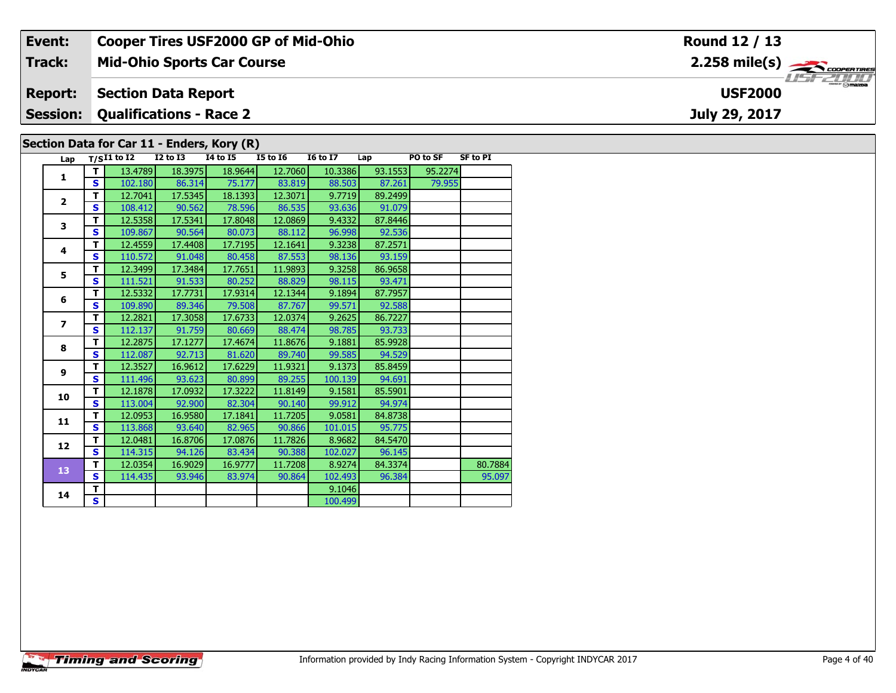| Event:                                                                                                                                                                            |                 |                                                             |                            | <b>Cooper Tires USF2000 GP of Mid-Ohio</b> |                                                                   |                                        |                  |         |  | Round 12 / 13                               |  |  |  |  |
|-----------------------------------------------------------------------------------------------------------------------------------------------------------------------------------|-----------------|-------------------------------------------------------------|----------------------------|--------------------------------------------|-------------------------------------------------------------------|----------------------------------------|------------------|---------|--|---------------------------------------------|--|--|--|--|
| <b>Track:</b>                                                                                                                                                                     |                 |                                                             |                            | <b>Mid-Ohio Sports Car Course</b>          |                                                                   |                                        |                  |         |  | $2.258$ mile(s) $\rightarrow$ COOPERTIRES   |  |  |  |  |
| <b>Report:</b>                                                                                                                                                                    |                 |                                                             | <b>Section Data Report</b> |                                            |                                                                   |                                        |                  |         |  | $\overline{\Theta}$ mazpa<br><b>USF2000</b> |  |  |  |  |
| <b>Qualifications - Race 2</b><br><b>Session:</b>                                                                                                                                 |                 |                                                             |                            |                                            |                                                                   |                                        |                  |         |  | July 29, 2017                               |  |  |  |  |
| Section Data for Car 11 - Enders, Kory (R)<br><b>I5 to 16</b><br><b>SF to PI</b><br><b>I4 to I5</b><br><b>I6 to I7</b><br>PO to SF<br>Lap $T/SI1$ to I2<br><b>I2 to I3</b><br>Lap |                 |                                                             |                            |                                            |                                                                   |                                        |                  |         |  |                                             |  |  |  |  |
|                                                                                                                                                                                   |                 | 13.4789                                                     | 18.3975                    | 18.9644                                    | 12.7060                                                           | 10.3386                                | 93.1553          | 95.2274 |  |                                             |  |  |  |  |
|                                                                                                                                                                                   | <b>S</b><br>- 1 | 102.180<br>$\sim$ $\sim$ $\sim$ $\sim$ $\sim$ $\sim$ $\sim$ | 86.314<br>$\sim$ $   -$    | 75.177<br><b>Andrea</b>                    | 83.819<br>$\sim$ $\sim$ $\sim$ $\sim$ $\sim$ $\sim$ $\sim$ $\sim$ | 88.503<br>$\sim$ $ \sim$ $\sim$ $\sim$ | 87.261<br>0.0000 | 79.955  |  |                                             |  |  |  |  |

| 18.3975<br>93.1553<br>95.2274<br>т<br>13.4789<br>18.9644<br>12.7060<br>10.3386<br>1<br>S<br>102.180<br>86.314<br>75.177<br>83.819<br>88.503<br>87.261<br>79.955<br>т<br>12.3071<br>9.7719<br>89.2499<br>12.7041<br>17.5345<br>18.1393<br>$\overline{2}$<br>S<br>78.596<br>86.535<br>93.636<br>108.412<br>90.562<br>91.079<br>т<br>12.5358<br>17.5341<br>17.8048<br>12.0869<br>9.4332<br>87.8446<br>3<br>S<br>109.867<br>90.564<br>80.073<br>88.112<br>96.998<br>92.536<br>т<br>87.2571<br>12.4559<br>17.4408<br>17.7195<br>12.1641<br>9.3238<br>4<br>87.553<br>98.136<br>S<br>110.572<br>91.048<br>80.458<br>93.159<br>т<br>12.3499<br>17.3484<br>17.7651<br>11.9893<br>9.3258<br>86.9658<br>5<br>S<br>111.521<br>91.533<br>80.252<br>88.829<br>98.115<br>93.471<br>12.5332<br>17.7731<br>т<br>17.9314<br>12.1344<br>9.1894<br>87.7957<br>6<br>S<br>109.890<br>89.346<br>79.508<br>87.767<br>99.571<br>92.588<br>т<br>12.2821<br>17.3058<br>12.0374<br>86.7227<br>17.6733<br>9.2625<br>$\overline{\phantom{a}}$<br>112.137<br>91.759<br>S<br>80.669<br>88.474<br>98.785<br>93.733<br>T<br>12.2875<br>17.1277<br>9.1881<br>17.4674<br>11.8676<br>85.9928<br>8<br>S<br>92.713<br>89.740<br>112.087<br>81.620<br>99.585<br>94.529<br>T<br>12.3527<br>17.6229<br>11.9321<br>9.1373<br>85.8459<br>16.9612<br>$\mathbf{9}$<br>S<br>111.496<br>93.623<br>80.899<br>89.255<br>100.139<br>94.691<br>T<br>12.1878<br>17.0932<br>17.3222<br>11.8149<br>9.1581<br>85.5901<br>10<br>$\mathbf{s}$<br>113.004<br>92.900<br>82.304<br>90.140<br>99.912<br>94.974<br>T<br>11.7205<br>12.0953<br>16.9580<br>17.1841<br>9.0581<br>84.8738<br>11<br>S<br>113.868<br>93.640<br>82.965<br>90.866<br>95.775<br>101.015<br>т<br>16.8706<br>17.0876<br>11.7826<br>8.9682<br>12.0481<br>84.5470<br>12<br>$\mathbf{s}$<br>114.315<br>94.126<br>83.434<br>90.388<br>102.027<br>96.145<br>т<br>12.0354<br>16.9029<br>11.7208<br>8.9274<br>84.3374<br>16.9777<br>13<br>S<br>90.864<br>102.493<br>114.435<br>93.946<br>83.974<br>96.384<br>95.097<br>т<br>9.1046<br>14<br>$\overline{\mathbf{s}}$<br>100.499 | . |  |  |  |         |
|-------------------------------------------------------------------------------------------------------------------------------------------------------------------------------------------------------------------------------------------------------------------------------------------------------------------------------------------------------------------------------------------------------------------------------------------------------------------------------------------------------------------------------------------------------------------------------------------------------------------------------------------------------------------------------------------------------------------------------------------------------------------------------------------------------------------------------------------------------------------------------------------------------------------------------------------------------------------------------------------------------------------------------------------------------------------------------------------------------------------------------------------------------------------------------------------------------------------------------------------------------------------------------------------------------------------------------------------------------------------------------------------------------------------------------------------------------------------------------------------------------------------------------------------------------------------------------------------------------------------------------------------------------------------------------------------------------------------------------------------------------------------------------------------------------------------------------------------------------------------------------------------------------------------------------------------------------------------------------------------------------------------------------------------------------------------------------|---|--|--|--|---------|
|                                                                                                                                                                                                                                                                                                                                                                                                                                                                                                                                                                                                                                                                                                                                                                                                                                                                                                                                                                                                                                                                                                                                                                                                                                                                                                                                                                                                                                                                                                                                                                                                                                                                                                                                                                                                                                                                                                                                                                                                                                                                               |   |  |  |  |         |
|                                                                                                                                                                                                                                                                                                                                                                                                                                                                                                                                                                                                                                                                                                                                                                                                                                                                                                                                                                                                                                                                                                                                                                                                                                                                                                                                                                                                                                                                                                                                                                                                                                                                                                                                                                                                                                                                                                                                                                                                                                                                               |   |  |  |  |         |
|                                                                                                                                                                                                                                                                                                                                                                                                                                                                                                                                                                                                                                                                                                                                                                                                                                                                                                                                                                                                                                                                                                                                                                                                                                                                                                                                                                                                                                                                                                                                                                                                                                                                                                                                                                                                                                                                                                                                                                                                                                                                               |   |  |  |  |         |
|                                                                                                                                                                                                                                                                                                                                                                                                                                                                                                                                                                                                                                                                                                                                                                                                                                                                                                                                                                                                                                                                                                                                                                                                                                                                                                                                                                                                                                                                                                                                                                                                                                                                                                                                                                                                                                                                                                                                                                                                                                                                               |   |  |  |  |         |
|                                                                                                                                                                                                                                                                                                                                                                                                                                                                                                                                                                                                                                                                                                                                                                                                                                                                                                                                                                                                                                                                                                                                                                                                                                                                                                                                                                                                                                                                                                                                                                                                                                                                                                                                                                                                                                                                                                                                                                                                                                                                               |   |  |  |  |         |
|                                                                                                                                                                                                                                                                                                                                                                                                                                                                                                                                                                                                                                                                                                                                                                                                                                                                                                                                                                                                                                                                                                                                                                                                                                                                                                                                                                                                                                                                                                                                                                                                                                                                                                                                                                                                                                                                                                                                                                                                                                                                               |   |  |  |  |         |
|                                                                                                                                                                                                                                                                                                                                                                                                                                                                                                                                                                                                                                                                                                                                                                                                                                                                                                                                                                                                                                                                                                                                                                                                                                                                                                                                                                                                                                                                                                                                                                                                                                                                                                                                                                                                                                                                                                                                                                                                                                                                               |   |  |  |  |         |
|                                                                                                                                                                                                                                                                                                                                                                                                                                                                                                                                                                                                                                                                                                                                                                                                                                                                                                                                                                                                                                                                                                                                                                                                                                                                                                                                                                                                                                                                                                                                                                                                                                                                                                                                                                                                                                                                                                                                                                                                                                                                               |   |  |  |  |         |
|                                                                                                                                                                                                                                                                                                                                                                                                                                                                                                                                                                                                                                                                                                                                                                                                                                                                                                                                                                                                                                                                                                                                                                                                                                                                                                                                                                                                                                                                                                                                                                                                                                                                                                                                                                                                                                                                                                                                                                                                                                                                               |   |  |  |  |         |
|                                                                                                                                                                                                                                                                                                                                                                                                                                                                                                                                                                                                                                                                                                                                                                                                                                                                                                                                                                                                                                                                                                                                                                                                                                                                                                                                                                                                                                                                                                                                                                                                                                                                                                                                                                                                                                                                                                                                                                                                                                                                               |   |  |  |  |         |
|                                                                                                                                                                                                                                                                                                                                                                                                                                                                                                                                                                                                                                                                                                                                                                                                                                                                                                                                                                                                                                                                                                                                                                                                                                                                                                                                                                                                                                                                                                                                                                                                                                                                                                                                                                                                                                                                                                                                                                                                                                                                               |   |  |  |  |         |
|                                                                                                                                                                                                                                                                                                                                                                                                                                                                                                                                                                                                                                                                                                                                                                                                                                                                                                                                                                                                                                                                                                                                                                                                                                                                                                                                                                                                                                                                                                                                                                                                                                                                                                                                                                                                                                                                                                                                                                                                                                                                               |   |  |  |  |         |
|                                                                                                                                                                                                                                                                                                                                                                                                                                                                                                                                                                                                                                                                                                                                                                                                                                                                                                                                                                                                                                                                                                                                                                                                                                                                                                                                                                                                                                                                                                                                                                                                                                                                                                                                                                                                                                                                                                                                                                                                                                                                               |   |  |  |  |         |
|                                                                                                                                                                                                                                                                                                                                                                                                                                                                                                                                                                                                                                                                                                                                                                                                                                                                                                                                                                                                                                                                                                                                                                                                                                                                                                                                                                                                                                                                                                                                                                                                                                                                                                                                                                                                                                                                                                                                                                                                                                                                               |   |  |  |  |         |
|                                                                                                                                                                                                                                                                                                                                                                                                                                                                                                                                                                                                                                                                                                                                                                                                                                                                                                                                                                                                                                                                                                                                                                                                                                                                                                                                                                                                                                                                                                                                                                                                                                                                                                                                                                                                                                                                                                                                                                                                                                                                               |   |  |  |  |         |
|                                                                                                                                                                                                                                                                                                                                                                                                                                                                                                                                                                                                                                                                                                                                                                                                                                                                                                                                                                                                                                                                                                                                                                                                                                                                                                                                                                                                                                                                                                                                                                                                                                                                                                                                                                                                                                                                                                                                                                                                                                                                               |   |  |  |  |         |
|                                                                                                                                                                                                                                                                                                                                                                                                                                                                                                                                                                                                                                                                                                                                                                                                                                                                                                                                                                                                                                                                                                                                                                                                                                                                                                                                                                                                                                                                                                                                                                                                                                                                                                                                                                                                                                                                                                                                                                                                                                                                               |   |  |  |  |         |
|                                                                                                                                                                                                                                                                                                                                                                                                                                                                                                                                                                                                                                                                                                                                                                                                                                                                                                                                                                                                                                                                                                                                                                                                                                                                                                                                                                                                                                                                                                                                                                                                                                                                                                                                                                                                                                                                                                                                                                                                                                                                               |   |  |  |  |         |
|                                                                                                                                                                                                                                                                                                                                                                                                                                                                                                                                                                                                                                                                                                                                                                                                                                                                                                                                                                                                                                                                                                                                                                                                                                                                                                                                                                                                                                                                                                                                                                                                                                                                                                                                                                                                                                                                                                                                                                                                                                                                               |   |  |  |  |         |
|                                                                                                                                                                                                                                                                                                                                                                                                                                                                                                                                                                                                                                                                                                                                                                                                                                                                                                                                                                                                                                                                                                                                                                                                                                                                                                                                                                                                                                                                                                                                                                                                                                                                                                                                                                                                                                                                                                                                                                                                                                                                               |   |  |  |  |         |
|                                                                                                                                                                                                                                                                                                                                                                                                                                                                                                                                                                                                                                                                                                                                                                                                                                                                                                                                                                                                                                                                                                                                                                                                                                                                                                                                                                                                                                                                                                                                                                                                                                                                                                                                                                                                                                                                                                                                                                                                                                                                               |   |  |  |  |         |
|                                                                                                                                                                                                                                                                                                                                                                                                                                                                                                                                                                                                                                                                                                                                                                                                                                                                                                                                                                                                                                                                                                                                                                                                                                                                                                                                                                                                                                                                                                                                                                                                                                                                                                                                                                                                                                                                                                                                                                                                                                                                               |   |  |  |  |         |
|                                                                                                                                                                                                                                                                                                                                                                                                                                                                                                                                                                                                                                                                                                                                                                                                                                                                                                                                                                                                                                                                                                                                                                                                                                                                                                                                                                                                                                                                                                                                                                                                                                                                                                                                                                                                                                                                                                                                                                                                                                                                               |   |  |  |  |         |
|                                                                                                                                                                                                                                                                                                                                                                                                                                                                                                                                                                                                                                                                                                                                                                                                                                                                                                                                                                                                                                                                                                                                                                                                                                                                                                                                                                                                                                                                                                                                                                                                                                                                                                                                                                                                                                                                                                                                                                                                                                                                               |   |  |  |  |         |
|                                                                                                                                                                                                                                                                                                                                                                                                                                                                                                                                                                                                                                                                                                                                                                                                                                                                                                                                                                                                                                                                                                                                                                                                                                                                                                                                                                                                                                                                                                                                                                                                                                                                                                                                                                                                                                                                                                                                                                                                                                                                               |   |  |  |  | 80.7884 |
|                                                                                                                                                                                                                                                                                                                                                                                                                                                                                                                                                                                                                                                                                                                                                                                                                                                                                                                                                                                                                                                                                                                                                                                                                                                                                                                                                                                                                                                                                                                                                                                                                                                                                                                                                                                                                                                                                                                                                                                                                                                                               |   |  |  |  |         |
|                                                                                                                                                                                                                                                                                                                                                                                                                                                                                                                                                                                                                                                                                                                                                                                                                                                                                                                                                                                                                                                                                                                                                                                                                                                                                                                                                                                                                                                                                                                                                                                                                                                                                                                                                                                                                                                                                                                                                                                                                                                                               |   |  |  |  |         |
|                                                                                                                                                                                                                                                                                                                                                                                                                                                                                                                                                                                                                                                                                                                                                                                                                                                                                                                                                                                                                                                                                                                                                                                                                                                                                                                                                                                                                                                                                                                                                                                                                                                                                                                                                                                                                                                                                                                                                                                                                                                                               |   |  |  |  |         |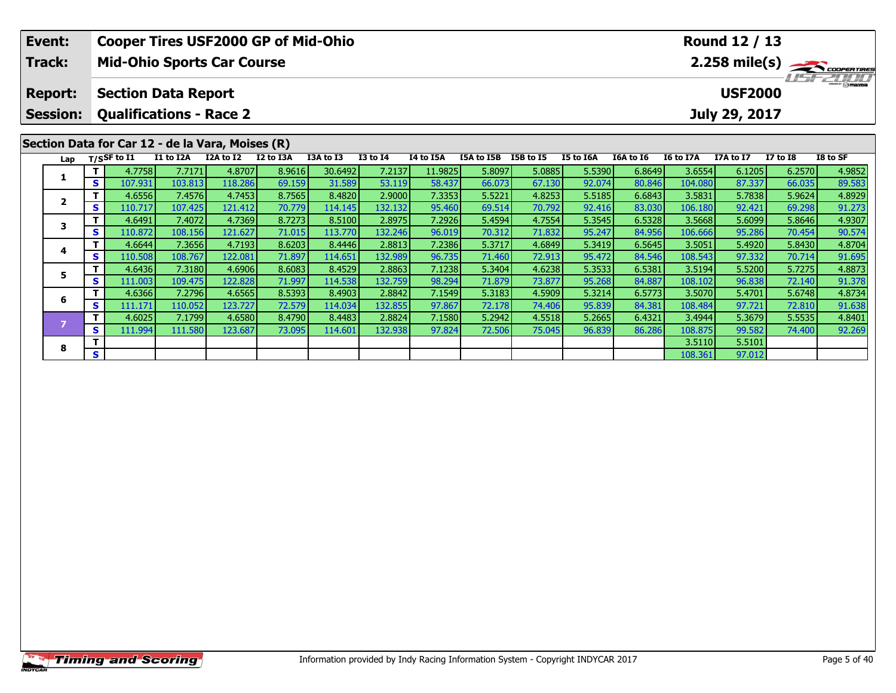| Event:<br>Track:                  |    |                   | <b>Mid-Ohio Sports Car Course</b>                             |                    | <b>Cooper Tires USF2000 GP of Mid-Ohio</b> |                     |                            |                  |                    |                           |                  |                  |                   | Round 12 / 13                   |                           | 2.258 mile(s)    |
|-----------------------------------|----|-------------------|---------------------------------------------------------------|--------------------|--------------------------------------------|---------------------|----------------------------|------------------|--------------------|---------------------------|------------------|------------------|-------------------|---------------------------------|---------------------------|------------------|
| <b>Report:</b><br><b>Session:</b> |    |                   | <b>Section Data Report</b><br><b>Qualifications - Race 2</b>  |                    |                                            |                     |                            |                  |                    |                           |                  |                  |                   | <b>USF2000</b><br>July 29, 2017 |                           |                  |
| Lap                               |    | $T/S$ SF to $I1$  | Section Data for Car 12 - de la Vara, Moises (R)<br>I1 to I2A | I2A to I2          | I2 to I3A                                  | I3A to I3           | $I3$ to $I4$               | I4 to I5A        | I5A to I5B         | I5B to I5                 | I5 to I6A        | I6A to I6        | I6 to I7A         | I7A to I7                       | $I7$ to $I8$              | I8 to SF         |
|                                   |    | 4.7758            | 7.7171                                                        | 4.8707             | 8.9616                                     | 30.6492             | 7.2137                     | 11.9825          | 5.8097             | 5.0885                    | 5.5390           | 6.8649           | 3.6554            | 6.1205                          | 6.2570                    | 4.9852           |
|                                   | S. | 107.931<br>4.6556 | 103.813<br>7.4576                                             | 118.286<br>4.7453  | 69.159<br>8.7565                           | 31.589<br>8.4820    | 53.119<br>2.9000           | 58.437<br>7.3353 | 66.073<br>5.5221   | 67.130<br>4.8253          | 92.074<br>5.5185 | 80.846<br>6.6843 | 104.080<br>3.5831 | 87.337<br>5.7838                | 66.035<br>5.9624          | 89.583<br>4.8929 |
| $\mathbf{2}$                      | S. | 110.717           | 107.425                                                       | 121.412            | 70.779                                     | 114.145             | 132.132                    | 95.460           | 69.514             | 70.792                    | 92.416           | 83.030           | 106.180           | 92.421                          | 69.298                    | 91.273           |
| 3                                 | S. | 4.6491<br>110.872 | 7.4072<br>108.156                                             | 4.7369<br>121.627  | 8.7273<br>71.015                           | 8.5100<br>113.770   | 2.8975<br>132.246          | 7.2926<br>96.019 | 5.4594<br>70.312   | 4.7554<br>71.832          | 5.3545<br>95.247 | 6.5328<br>84.956 | 3.5668<br>106.666 | 5.6099<br>95.286                | 5.8646<br>70.454          | 4.9307<br>90.574 |
|                                   |    | 4.6644            | 7.3656                                                        | 4.7193             | 8.6203                                     | 8.4446              | 2.8813                     | 7.2386           | 5.3717             | 4.6849                    | 5.3419           | 6.5645           | 3.5051            | 5.4920                          | 5.8430                    | 4.8704           |
| 4                                 | S. | 110.508           | 108.767                                                       | 122.081            | 71.897                                     | 114.651             | 132.989                    | 96.735           | 71.460             | 72.913                    | 95.472           | 84.546           | 108.543           | 97.332                          | 70.714                    | 91.695           |
| 5                                 |    | 4.6436            | 7.3180                                                        | 4.6906             | 8.6083                                     | 8.4529              | 2.8863                     | 7.1238           | 5.3404             | 4.6238                    | 5.3533           | 6.5381           | 3.5194            | 5.5200                          | 5.7275                    | 4.8873           |
|                                   | S. | 111.003           | 109.475                                                       | 122.828            | 71.997                                     | 114.538             | 132.759                    | 98.294           | 71.879             | 73.877                    | 95.268           | 84.887           | 108.102           | 96.838                          | 72.140                    | 91.378           |
| 6                                 | S. | 4.6366<br>111.171 | 7.2796<br>110.052                                             | 4.6565<br>123.7271 | 8.5393<br>72.579                           | 8.4903<br>114.034 l | 2.8842<br>132.855 <b>I</b> | 7.1549<br>97.867 | 5.3183<br>72.178 l | 4.5909<br>74.406 <b>I</b> | 5.3214<br>95.839 | 6.5773<br>84.381 | 3.5070<br>108.484 | 5.4701<br>97.721                | 5.6748<br>72.810 <b>1</b> | 4.8734<br>91.638 |

7 T 4.6025 7.1799 4.6580 8.4790 8.4483 2.8824 7.1580 5.2942 4.5518 5.2665 6.4321 3.4944 5.3679 5.5535 4.8401<br>7 S 111.994 111.580 123.687 73.095 114.601 132.938 97.824 72.506 75.045 96.839 86.286 108.875 99.582 74.400 92.26

**8** <del>**T** 1 **1** 108.361 97.012 **1** 108.361 97.012</del>

**8**

 $\frac{91.638}{4.8401}$ 

92.269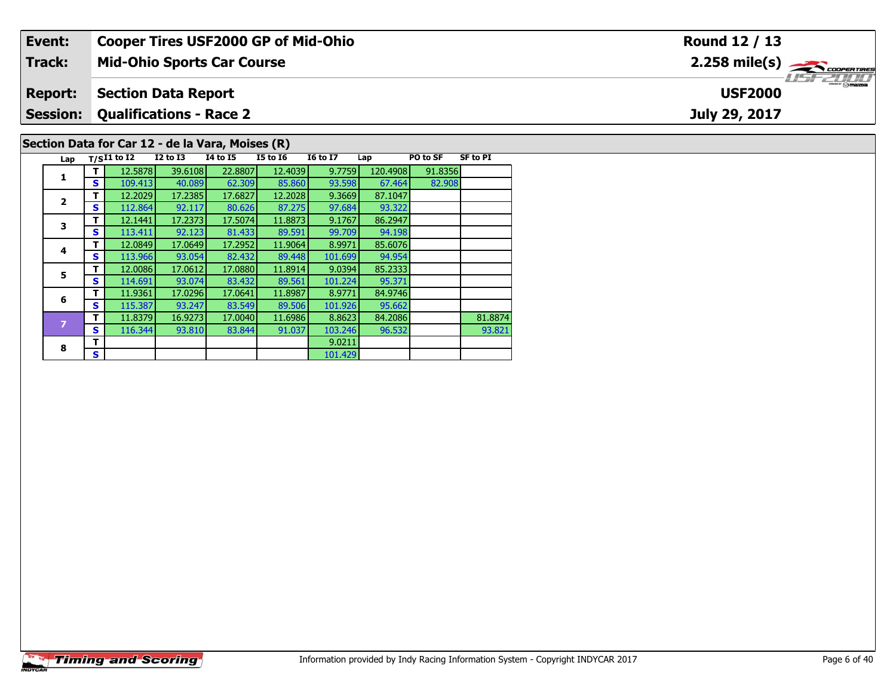| Event:          | <b>Cooper Tires USF2000 GP of Mid-Ohio</b>       |          |          |                 |     |          |                                          | Round 12 / 13                 |
|-----------------|--------------------------------------------------|----------|----------|-----------------|-----|----------|------------------------------------------|-------------------------------|
| Track:          | <b>Mid-Ohio Sports Car Course</b>                |          |          |                 |     |          |                                          | $2.258$ mile(s) $\rightarrow$ |
| <b>Report:</b>  | <b>Section Data Report</b>                       |          |          |                 |     |          | <i><b>USF 2000</b></i><br><b>USF2000</b> |                               |
| <b>Session:</b> | <b>Qualifications - Race 2</b>                   |          |          |                 |     |          |                                          | July 29, 2017                 |
|                 | Section Data for Car 12 - de la Vara, Moises (R) |          |          |                 |     |          |                                          |                               |
|                 | Lap $T/SI1$ to I2<br>I2 to I3                    | 14 to 15 | I5 to I6 | <b>I6 to I7</b> | Lap | PO to SF | SF to PI                                 |                               |

93.322<br>86.2947

94.198<br>85.6076

94.954

95.371

95.662<br>84.2086

101.429

**1**

**2**

**3**

**4**

**5**

**6**

**8**

**<sup>T</sup>** 12.5878 39.6108 22.8807 12.4039 9.7759 120.4908 91.8356 **<sup>S</sup>** 109.413 40.089 62.309 85.860 93.598 67.464 82.908

**T** 11.8379 16.9273 17.0040 11.6986 8.8623 84.2086 81.8874<br>**S** 116.344 93.810 83.844 91.037 103.246 96.532 93.821

**<sup>T</sup>** 12.2029 17.2385 17.6827 12.2028 9.3669 87.1047 **<sup>S</sup>** 112.864 92.117 80.626 87.275 97.684 93.322

**<sup>T</sup>** 12.1441 17.2373 17.5074 11.8873 9.1767 86.2947 **<sup>S</sup>** 113.411 92.123 81.433 89.591 99.709 94.198

**<sup>T</sup>** 12.0849 17.0649 17.2952 11.9064 8.9971 85.6076 **<sup>S</sup>** 113.966 93.054 82.432 89.448 101.699 94.954

**<sup>T</sup>** 12.0086 17.0612 17.0880 11.8914 9.0394 85.2333 **<sup>S</sup>** 114.691 93.074 83.432 89.561 101.224 95.371

**<sup>T</sup>** 11.9361 17.0296 17.0641 11.8987 8.9771 84.9746 **<sup>S</sup>** 115.387 93.247 83.549 89.506 101.926 95.662

**R T S** 101.429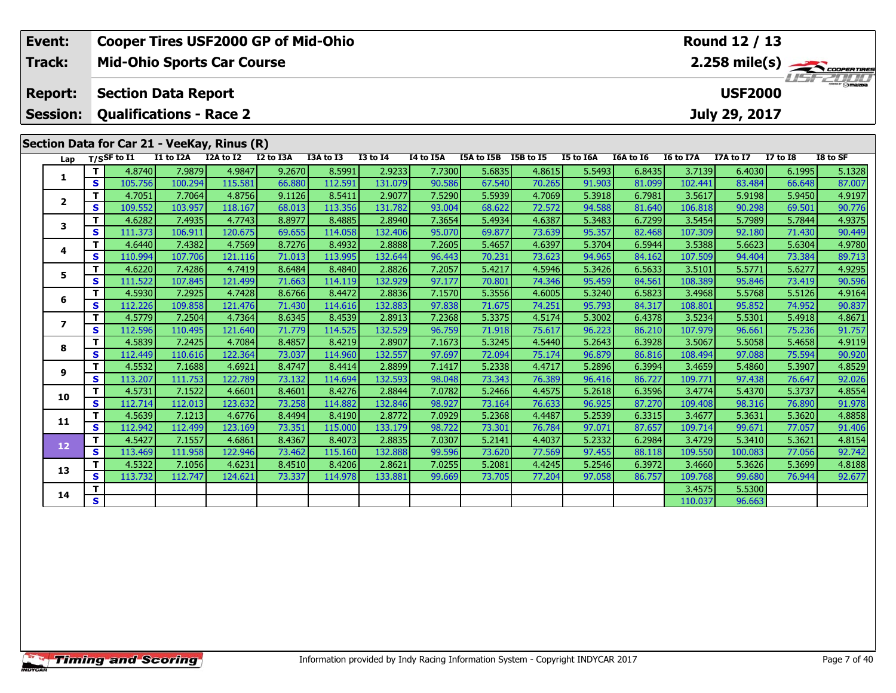| Event:                  |                              | <b>Cooper Tires USF2000 GP of Mid-Ohio</b>  |                     |                   |                  |                   |                   |                  |                  |                  |                  |                  |                   | Round 12 / 13    |                  |                         |
|-------------------------|------------------------------|---------------------------------------------|---------------------|-------------------|------------------|-------------------|-------------------|------------------|------------------|------------------|------------------|------------------|-------------------|------------------|------------------|-------------------------|
| Track:                  |                              | <b>Mid-Ohio Sports Car Course</b>           |                     |                   |                  |                   |                   |                  |                  |                  |                  |                  |                   |                  |                  | $2.258 \text{ mile(s)}$ |
| <b>Report:</b>          |                              | <b>Section Data Report</b>                  |                     |                   |                  |                   |                   |                  |                  |                  |                  |                  |                   | <b>USF2000</b>   |                  |                         |
| <b>Session:</b>         |                              | <b>Qualifications - Race 2</b>              |                     |                   |                  |                   |                   |                  |                  |                  |                  |                  |                   | July 29, 2017    |                  |                         |
|                         |                              | Section Data for Car 21 - VeeKay, Rinus (R) |                     |                   |                  |                   |                   |                  |                  |                  |                  |                  |                   |                  |                  |                         |
| Lap                     |                              | $T/S$ SF to $I1$                            | I1 to I2A I2A to I2 |                   | I2 to I3A        | I3A to I3         | <b>I3 to I4</b>   | I4 to I5A        | I5A to I5B       | I5B to I5        | I5 to I6A        | I6A to I6        | <b>I6 to I7A</b>  | I7A to I7        | $I7$ to $I8$     | I8 to SF                |
|                         | T                            | 4.8740                                      | 7.9879              | 4.9847            | 9.2670           | 8.5991            | 2.9233            | 7.7300           | 5.6835           | 4.8615           | 5.5493           | 6.8435           | 3.7139            | 6.4030           | 6.1995           | 5.1328                  |
| 1                       | $\mathbf{s}$                 | 105.756                                     | 100.294             | 115.581           | 66.880           | 112.591           | 131.079           | 90.586           | 67.540           | 70.265           | 91.903           | 81.099           | 102.441           | 83.484           | 66.648           | 87.007                  |
|                         | T                            | 4.7051                                      | 7.7064              | 4.8756            | 9.1126           | 8.5411            | 2.9077            | 7.5290           | 5.5939           | 4.7069           | 5.3918           | 6.7981           | 3.5617            | 5.9198           | 5.9450           | 4.9197                  |
| $\mathbf{2}$            | $\mathbf{s}$                 | 109.552                                     | 103.957             | 118.167           | 68.013           | 113.356           | 131.782           | 93.004           | 68.622           | 72.572           | 94.588           | 81.640           | 106.818           | 90.298           | 69.501           | 90.776                  |
| 3                       | T                            | 4.6282                                      | 7.4935              | 4.7743            | 8.8977           | 8.4885            | 2.8940            | 7.3654           | 5.4934           | 4.6387           | 5.3483           | 6.7299           | 3.5454            | 5.7989           | 5.7844           | 4.9375                  |
|                         | S                            | 111.373                                     | 106.911             | 120.675           | 69.655           | 114.058           | 132.406           | 95.070           | 69.877           | 73.639           | 95.357           | 82.468           | 107.309           | 92.180           | 71.430           | 90.449                  |
| 4                       | T                            | 4.6440                                      | 7.4382              | 4.7569            | 8.7276           | 8.4932            | 2.8888            | 7.2605           | 5.4657           | 4.6397           | 5.3704           | 6.5944           | 3.5388            | 5.6623           | 5.6304           | 4.9780                  |
|                         | $\mathbf{s}$                 | 110.994                                     | 107.706             | 121.116           | 71.013           | 113.995           | 132.644           | 96.443           | 70.231           | 73.623           | 94.965           | 84.162           | 107.509           | 94.404           | 73.384           | 89.713                  |
| 5.                      | T                            | 4.6220                                      | 7.4286              | 4.7419            | 8.6484           | 8.4840            | 2.8826            | 7.2057           | 5.4217           | 4.5946           | 5.3426           | 6.5633           | 3.5101            | 5.5771           | 5.6277           | 4.9295                  |
|                         | S                            | 111.522                                     | 107.845             | 121.499           | 71.663           | 114.119           | 132.929           | 97.177           | 70.801           | 74.346           | 95.459           | 84.561           | 108.389           | 95.846           | 73.419           | 90.596                  |
| 6                       | T                            | 4.5930                                      | 7.2925              | 4.7428            | 8.6766           | 8.4472            | 2.8836            | 7.1570           | 5.3556           | 4.6005           | 5.3240           | 6.5823           | 3.4968            | 5.5768           | 5.5126           | 4.9164                  |
|                         | $\mathbf{s}$                 | 112.226                                     | 109.858             | 121.476           | 71.430           | 114.616           | 132.883           | 97.838           | 71.675           | 74.251           | 95.793           | 84.317           | 108.801           | 95.852           | 74.952           | 90.837                  |
| $\overline{\mathbf{z}}$ | т                            | 4.5779                                      | 7.2504              | 4.7364            | 8.6345           | 8.4539            | 2.8913            | 7.2368           | 5.3375           | 4.5174           | 5.3002           | 6.4378           | 3.5234            | 5.5301           | 5.4918           | 4.8671                  |
|                         | $\mathbf{s}$                 | 112.596                                     | 110.495             | 121.640           | 71.779           | 114.525           | 132.529           | 96.759           | 71.918           | 75.617           | 96.223           | 86.210           | 107.979           | 96.661           | 75.236           | 91.757                  |
| 8                       | T                            | 4.5839                                      | 7.2425              | 4.7084            | 8.4857           | 8.4219            | 2.8907            | 7.1673           | 5.3245           | 4.5440           | 5.2643           | 6.3928           | 3.5067            | 5.5058           | 5.4658           | 4.9119                  |
|                         | $\overline{\mathbf{s}}$<br>т | 112.449<br>4.5532                           | 110.616<br>7.1688   | 122.364<br>4.6921 | 73.037<br>8.4747 | 114.960<br>8.4414 | 132.557<br>2.8899 | 97.697<br>7.1417 | 72.094<br>5.2338 | 75.174<br>4.4717 | 96.879<br>5.2896 | 86.816<br>6.3994 | 108.494<br>3.4659 | 97.088<br>5.4860 | 75.594<br>5.3907 | 90.920<br>4.8529        |
| 9                       | S                            | 113.207                                     | 111.753             | 122.789           | 73.132           | 114.694           | 132.593           | 98.048           | 73.343           | 76.389           | 96.416           | 86.727           | 109.771           | 97.438           | 76.647           | 92.026                  |
|                         | T                            | 4.5731                                      | 7.1522              | 4.6601            | 8.4601           | 8.4276            | 2.8844            | 7.0782           | 5.2466           | 4.4575           | 5.2618           | 6.3596           | 3.4774            | 5.4370           | 5.3737           | 4.8554                  |
| 10                      | $\mathbf{s}$                 | 112.714                                     | 112.013             | 123.632           | 73.258           | 114.882           | 132.846           | 98.927           | 73.164           | 76.633           | 96.925           | 87.270           | 109.408           | 98.316           | 76.890           | 91.978                  |
|                         | T                            | 4.5639                                      | 7.1213              | 4.6776            | 8.4494           | 8.4190            | 2.8772            | 7.0929           | 5.2368           | 4.4487           | 5.2539           | 6.3315           | 3.4677            | 5.3631           | 5.3620           | 4.8858                  |
| 11                      | $\mathbf{s}$                 | 112.942                                     | 112.499             | 123.169           | 73.351           | 115.000           | 133.179           | 98.722           | 73.301           | 76.784           | 97.071           | 87.657           | 109.714           | 99.671           | 77.057           | 91.406                  |
|                         | T                            | 4.5427                                      | 7.1557              | 4.6861            | 8.4367           | 8.4073            | 2.8835            | 7.0307           | 5.2141           | 4.4037           | 5.2332           | 6.2984           | 3.4729            | 5.3410           | 5.3621           | 4.8154                  |
| 12                      | $\mathbf{s}$                 | 113.469                                     | 111.958             | 122.946           | 73.462           | 115.160           | 132.888           | 99.596           | 73.620           | 77.569           | 97.455           | 88.118           | 109.550           | 100.083          | 77.056           | 92.742                  |
|                         | т                            | 4.5322                                      | 7.1056              | 4.6231            | 8.4510           | 8.4206            | 2.8621            | 7.0255           | 5.2081           | 4.4245           | 5.2546           | 6.3972           | 3.4660            | 5.3626           | 5.3699           | 4.8188                  |
| 13                      | S                            | 113.732                                     | 112.747             | 124.621           | 73.337           | 114.978           | 133.881           | 99.669           | 73.705           | 77.204           | 97.058           | 86.757           | 109.768           | 99.680           | 76.944           | 92.677                  |
|                         | т                            |                                             |                     |                   |                  |                   |                   |                  |                  |                  |                  |                  | 3.4575            | 5.5300           |                  |                         |
| 14                      | S.                           |                                             |                     |                   |                  |                   |                   |                  |                  |                  |                  |                  | 110.037           | 96.663           |                  |                         |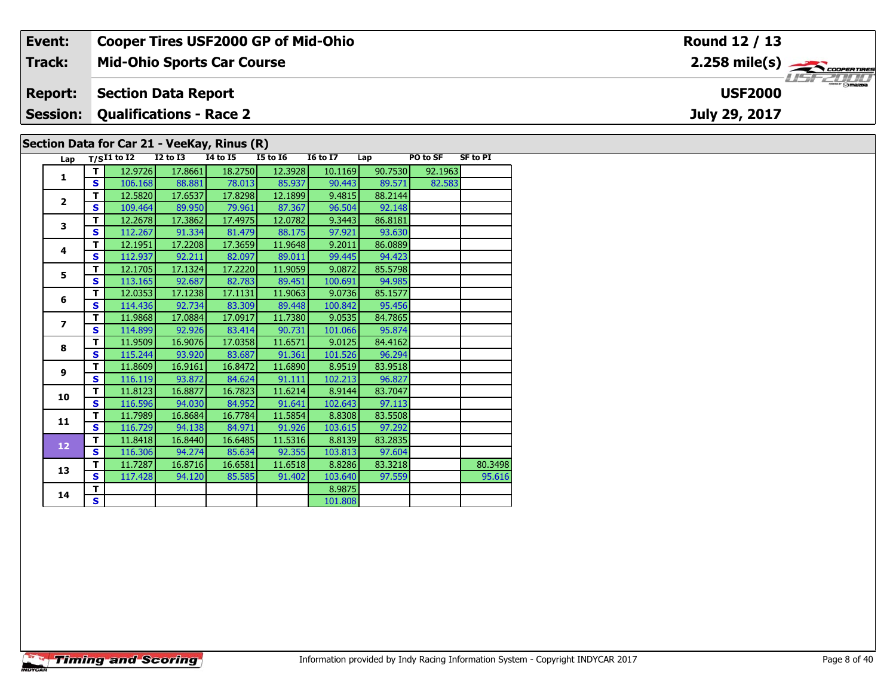| Event:          | <b>Cooper Tires USF2000 GP of Mid-Ohio</b>                                                                                                                                           | Round 12 / 13                              |
|-----------------|--------------------------------------------------------------------------------------------------------------------------------------------------------------------------------------|--------------------------------------------|
| <b>Track:</b>   | <b>Mid-Ohio Sports Car Course</b>                                                                                                                                                    | $2.258$ mile(s) $\rightarrow$              |
| <b>Report:</b>  | <b>Section Data Report</b>                                                                                                                                                           | $\overline{\phantom{a}}$<br><b>USF2000</b> |
| <b>Session:</b> | <b>Qualifications - Race 2</b>                                                                                                                                                       | July 29, 2017                              |
|                 | Section Data for Car 21 - VeeKay, Rinus (R)                                                                                                                                          |                                            |
|                 | Lap $T/SI1$ to I2<br>I2 to I3<br>14 to 15<br><b>16 to 17</b><br><b>SF to PI</b><br>I5 to I6<br>PO to SF<br>Lap<br>$\tau$ 10.1100 17.000 11.000 10.1100 10.1100<br>Lease and Location |                                            |

| Lap                      |    | T/SI1 to I2 | 12 to 13 | 14 to 15 | 15 to 16 | 16 to 17 | Lap     | <b>PO to SF</b> | SF to PI |
|--------------------------|----|-------------|----------|----------|----------|----------|---------|-----------------|----------|
| $\mathbf{1}$             | т  | 12.9726     | 17.8661  | 18.2750  | 12.3928  | 10.1169  | 90.7530 | 92.1963         |          |
|                          | S  | 106.168     | 88.881   | 78.013   | 85.937   | 90.443   | 89.571  | 82.583          |          |
| $\overline{2}$           | T  | 12.5820     | 17.6537  | 17.8298  | 12.1899  | 9.4815   | 88.2144 |                 |          |
|                          | S  | 109.464     | 89.950   | 79.961   | 87.367   | 96.504   | 92.148  |                 |          |
| 3                        | T  | 12.2678     | 17.3862  | 17.4975  | 12.0782  | 9.3443   | 86.8181 |                 |          |
|                          | S  | 112.267     | 91.334   | 81.479   | 88.175   | 97.921   | 93.630  |                 |          |
| 4                        | т  | 12.1951     | 17.2208  | 17.3659  | 11.9648  | 9.2011   | 86.0889 |                 |          |
|                          | S  | 112.937     | 92.211   | 82.097   | 89.011   | 99.445   | 94.423  |                 |          |
| 5                        | т  | 12.1705     | 17.1324  | 17.2220  | 11.9059  | 9.0872   | 85.5798 |                 |          |
|                          | S  | 113.165     | 92.687   | 82.783   | 89.451   | 100.691  | 94.985  |                 |          |
| 6                        | т  | 12.0353     | 17.1238  | 17.1131  | 11.9063  | 9.0736   | 85.1577 |                 |          |
|                          | S  | 114.436     | 92.734   | 83.309   | 89.448   | 100.842  | 95.456  |                 |          |
| $\overline{\phantom{a}}$ | T  | 11.9868     | 17.0884  | 17.0917  | 11.7380  | 9.0535   | 84.7865 |                 |          |
|                          | S  | 114.899     | 92.926   | 83.414   | 90.731   | 101.066  | 95.874  |                 |          |
| 8                        | T  | 11.9509     | 16.9076  | 17.0358  | 11.6571  | 9.0125   | 84.4162 |                 |          |
|                          | S  | 115.244     | 93.920   | 83.687   | 91.361   | 101.526  | 96.294  |                 |          |
| 9                        | T  | 11.8609     | 16.9161  | 16.8472  | 11.6890  | 8.9519   | 83.9518 |                 |          |
|                          | S  | 116.119     | 93.872   | 84.624   | 91.111   | 102.213  | 96.827  |                 |          |
| 10                       | T. | 11.8123     | 16.8877  | 16.7823  | 11.6214  | 8.9144   | 83.7047 |                 |          |
|                          | S  | 116.596     | 94.030   | 84.952   | 91.641   | 102.643  | 97.113  |                 |          |
| 11                       | т  | 11.7989     | 16.8684  | 16.7784  | 11.5854  | 8.8308   | 83.5508 |                 |          |
|                          | S  | 116.729     | 94.138   | 84.971   | 91.926   | 103.615  | 97.292  |                 |          |
| 12                       | T. | 11.8418     | 16.8440  | 16.6485  | 11.5316  | 8.8139   | 83.2835 |                 |          |
|                          | S  | 116.306     | 94.274   | 85.634   | 92.355   | 103.813  | 97.604  |                 |          |
| 13                       | т  | 11.7287     | 16.8716  | 16.6581  | 11.6518  | 8.8286   | 83.3218 |                 | 80.3498  |
|                          | S  | 117.428     | 94.120   | 85.585   | 91.402   | 103.640  | 97.559  |                 | 95.616   |
| 14                       | T. |             |          |          |          | 8.9875   |         |                 |          |
|                          | S  |             |          |          |          | 101.808  |         |                 |          |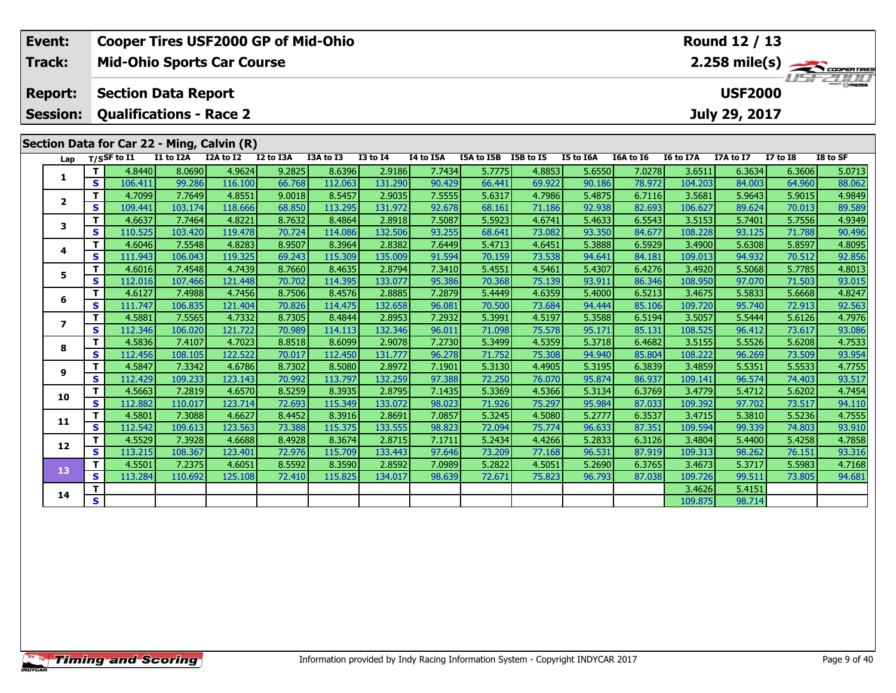| Event:                  |              | <b>Cooper Tires USF2000 GP of Mid-Ohio</b> |                   |                     |                  |                   |                   |                  |                      |                  |                  |                  |                   | Round 12 / 13    |                  |                         |
|-------------------------|--------------|--------------------------------------------|-------------------|---------------------|------------------|-------------------|-------------------|------------------|----------------------|------------------|------------------|------------------|-------------------|------------------|------------------|-------------------------|
| Track:                  |              | <b>Mid-Ohio Sports Car Course</b>          |                   |                     |                  |                   |                   |                  |                      |                  |                  |                  |                   |                  |                  | $2.258 \text{ mile(s)}$ |
| <b>Report:</b>          |              | <b>Section Data Report</b>                 |                   |                     |                  |                   |                   |                  |                      |                  |                  |                  |                   | <b>USF2000</b>   |                  |                         |
| <b>Session:</b>         |              | <b>Qualifications - Race 2</b>             |                   |                     |                  |                   |                   |                  |                      |                  |                  |                  |                   | July 29, 2017    |                  |                         |
|                         |              | Section Data for Car 22 - Ming, Calvin (R) |                   |                     |                  |                   |                   |                  |                      |                  |                  |                  |                   |                  |                  |                         |
| Lap                     |              | $T/S$ SF to I1                             | I1 to I2A         | I2A to I2 I2 to I3A |                  | I3A to I3         | $13$ to $14$      | I4 to I5A        | I5A to I5B I5B to I5 |                  | I5 to I6A        | I6A to I6        | <b>I6 to I7A</b>  | I7A to I7        | <b>I7 to I8</b>  | I8 to SF                |
|                         | T            | 4.8440                                     | 8.0690            | 4.9624              | 9.2825           | 8.6396            | 2.9186            | 7.7434           | 5.7775               | 4.8853           | 5.6550           | 7.0278           | 3.6511            | 6.3634           | 6.3606           | 5.0713                  |
| 1                       | $\mathbf{s}$ | 106.411                                    | 99.286            | 116.100             | 66.768           | 112.063           | 131.290           | 90.429           | 66.441               | 69.922           | 90.186           | 78.972           | 104.203           | 84.003           | 64.960           | 88.062                  |
|                         | T            | 4.7099                                     | 7.7649            | 4.8551              | 9.0018           | 8.5457            | 2.9035            | 7.5555           | 5.6317               | 4.7986           | 5.4875           | 6.7116           | 3.5681            | 5.9643           | 5.9015           | 4.9849                  |
| $\mathbf{2}$            | $\mathbf{s}$ | 109.441                                    | 103.174           | 118.666             | 68.850           | 113.295           | 131.972           | 92.678           | 68.161               | 71.186           | 92.938           | 82.693           | 106.627           | 89.624           | 70.013           | 89.589                  |
|                         | T            | 4.6637                                     | 7.7464            | 4.8221              | 8.7632           | 8.4864            | 2.8918            | 7.5087           | 5.5923               | 4.6741           | 5.4633           | 6.5543           | 3.5153            | 5.7401           | 5.7556           | 4.9349                  |
| 3                       | $\mathbf{s}$ | 110.525                                    | 103.420           | 119.478             | 70.724           | 114.086           | 132.506           | 93.255           | 68.641               | 73.082           | 93.350           | 84.677           | 108.228           | 93.125           | 71.788           | 90.496                  |
| 4                       | T            | 4.6046                                     | 7.5548            | 4.8283              | 8.9507           | 8.3964            | 2.8382            | 7.6449           | 5.4713               | 4.6451           | 5.3888           | 6.5929           | 3.4900            | 5.6308           | 5.8597           | 4.8095                  |
|                         | S            | 111.943                                    | 106.043           | 119.325             | 69.243           | 115.309           | 135.009           | 91.594           | 70.159               | 73.538           | 94.641           | 84.181           | 109.013           | 94.932           | 70.512           | 92.856                  |
| 5                       | T            | 4.6016                                     | 7.4548            | 4.7439              | 8.7660           | 8.4635            | 2.8794            | 7.3410           | 5.4551               | 4.5461           | 5.4307           | 6.4276           | 3.4920            | 5.5068           | 5.7785           | 4.8013                  |
|                         | $\mathbf{s}$ | 112.016                                    | 107.466           | 121.448             | 70.702           | 114.395           | 133.077           | 95.386           | 70.368               | 75.139           | 93.911           | 86.346           | 108.950           | 97.070           | 71.503           | 93.015                  |
| 6                       | T            | 4.6127                                     | 7.4988            | 4.7456              | 8.7506           | 8.4576            | 2.8885            | 7.2879           | 5.4449               | 4.6359           | 5.4000           | 6.5213           | 3.4675            | 5.5833           | 5.6668           | 4.8247                  |
|                         | $\mathbf{s}$ | 111.747                                    | 106.835           | 121.404             | 70.826           | 114.475           | 132.658           | 96.081           | 70.500               | 73.684           | 94.444           | 85.106           | 109.720           | 95.740           | 72.913           | 92.563                  |
| $\overline{\mathbf{z}}$ | т            | 4.5881                                     | 7.5565            | 4.7332              | 8.7305           | 8.4844            | 2.8953            | 7.2932           | 5.3991               | 4.5197           | 5.3588           | 6.5194           | 3.5057            | 5.5444           | 5.6126           | 4.7976                  |
|                         | $\mathbf{s}$ | 112.346                                    | 106.020           | 121.722             | 70.989           | 114.113           | 132.346           | 96.011           | 71.098               | 75.578           | 95.171           | 85.131           | 108.525           | 96.412           | 73.617           | 93.086                  |
| 8                       | T<br>S       | 4.5836<br>112.456                          | 7.4107            | 4.7023<br>122.522   | 8.8518<br>70.017 | 8.6099            | 2.9078            | 7.2730<br>96.278 | 5.3499<br>71.752     | 4.5359           | 5.3718           | 6.4682           | 3.5155<br>108.222 | 5.5526           | 5.6208           | 4.7533                  |
|                         | T            | 4.5847                                     | 108.105<br>7.3342 | 4.6786              | 8.7302           | 112.450<br>8.5080 | 131.777<br>2.8972 | 7.1901           | 5.3130               | 75.308<br>4.4905 | 94.940<br>5.3195 | 85.804<br>6.3839 | 3.4859            | 96.269<br>5.5351 | 73.509<br>5.5533 | 93.954<br>4.7755        |
| 9                       | $\mathbf{s}$ | 112.429                                    | 109.233           | 123.143             | 70.992           | 113.797           | 132.259           | 97.388           | 72.250               | 76.070           | 95.874           | 86.937           | 109.141           | 96.574           | 74.403           | 93.517                  |
|                         | T            | 4.5663                                     | 7.2819            | 4.6570              | 8.5259           | 8.3935            | 2.8795            | 7.1435           | 5.3369               | 4.5366           | 5.3134           | 6.3769           | 3.4779            | 5.4712           | 5.6202           | 4.7454                  |
| 10                      | $\mathbf{s}$ | 112.882                                    | 110.017           | 123.714             | 72.693           | 115.349           | 133.072           | 98.023           | 71.926               | 75.297           | 95.984           | 87.033           | 109.392           | 97.702           | 73.517           | 94.110                  |
|                         | т            | 4.5801                                     | 7.3088            | 4.6627              | 8.4452           | 8.3916            | 2.8691            | 7.0857           | 5.3245               | 4.5080           | 5.2777           | 6.3537           | 3.4715            | 5.3810           | 5.5236           | 4.7555                  |
| 11                      | $\mathbf{s}$ | 112.542                                    | 109.613           | 123.563             | 73.388           | 115.375           | 133.555           | 98.823           | 72.094               | 75.774           | 96.633           | 87.351           | 109.594           | 99.339           | 74.803           | 93.910                  |
|                         | т            | 4.5529                                     | 7.3928            | 4.6688              | 8.4928           | 8.3674            | 2.8715            | 7.1711           | 5.2434               | 4.4266           | 5.2833           | 6.3126           | 3.4804            | 5.4400           | 5.4258           | 4.7858                  |
| 12                      | $\mathbf{s}$ | 113.215                                    | 108.367           | 123.401             | 72.976           | 115.709           | 133.443           | 97.646           | 73.209               | 77.168           | 96.531           | 87.919           | 109.313           | 98.262           | 76.151           | 93.316                  |
| 13                      | T            | 4.5501                                     | 7.2375            | 4.6051              | 8.5592           | 8.3590            | 2.8592            | 7.0989           | 5.2822               | 4.5051           | 5.2690           | 6.3765           | 3.4673            | 5.3717           | 5.5983           | 4.7168                  |
|                         | $\mathbf{s}$ | 113.284                                    | 110.692           | 125.108             | 72.410           | 115.825           | 134.017           | 98.639           | 72.671               | 75.823           | 96.793           | 87.038           | 109.726           | 99.511           | 73.805           | 94.681                  |
| 14                      | T            |                                            |                   |                     |                  |                   |                   |                  |                      |                  |                  |                  | 3.4626            | 5.4151           |                  |                         |
|                         | $\mathbf{s}$ |                                            |                   |                     |                  |                   |                   |                  |                      |                  |                  |                  | 109.875           | 98.714           |                  |                         |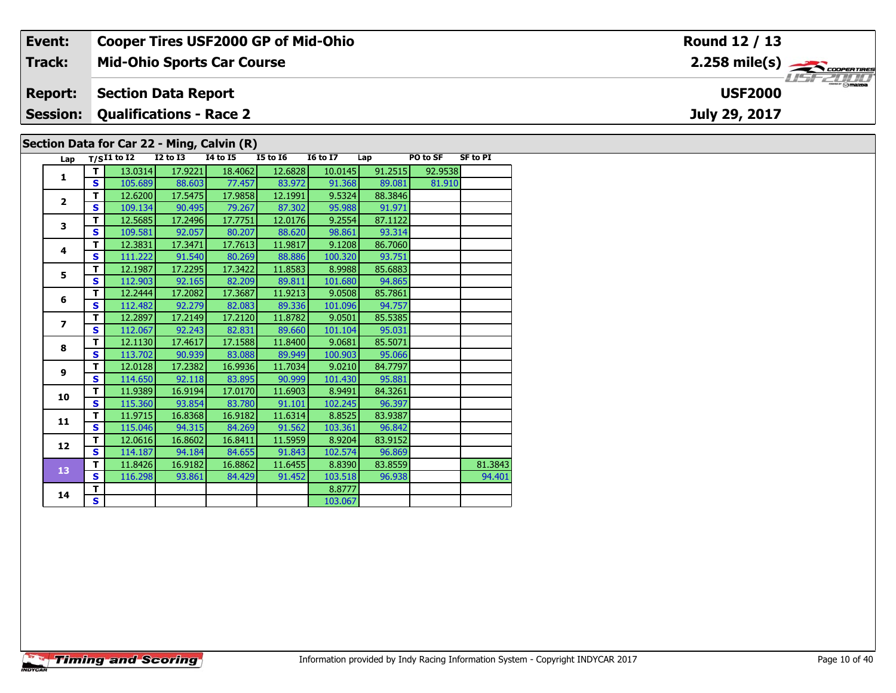| Event:         |             |                                         | <b>Cooper Tires USF2000 GP of Mid-Ohio</b> |                 |                 |         |                                               |                 | Round 12 / 13                             |  |  |  |  |
|----------------|-------------|-----------------------------------------|--------------------------------------------|-----------------|-----------------|---------|-----------------------------------------------|-----------------|-------------------------------------------|--|--|--|--|
| Track:         |             |                                         | <b>Mid-Ohio Sports Car Course</b>          |                 |                 |         |                                               |                 | $2.258$ mile(s) $\rightarrow$ COOPERTIRES |  |  |  |  |
| <b>Report:</b> |             | <b>Section Data Report</b>              |                                            |                 |                 |         | $\frac{2}{\sqrt{2}}$ omazoa<br><b>USF2000</b> |                 |                                           |  |  |  |  |
|                |             | <b>Session: Qualifications - Race 2</b> |                                            |                 |                 |         |                                               |                 | July 29, 2017                             |  |  |  |  |
|                |             |                                         | Section Data for Car 22 - Ming, Calvin (R) |                 |                 |         |                                               |                 |                                           |  |  |  |  |
| Lap            | T/SI1 to I2 | $I2$ to $I3$                            | <b>I4 to I5</b>                            | <b>I5 to I6</b> | <b>16 to 17</b> | Lap     | PO to SF                                      | <b>SF to PI</b> |                                           |  |  |  |  |
|                | 13.0314     | 17.9221                                 | 18.4062                                    | 12.6828         | 10.0145         | 91.2515 | 92.9538                                       |                 |                                           |  |  |  |  |

| Lap                     |              | $T/SI1$ to $I2$ | <b>I2 to I3</b> | 14 to 15 | <b>I5 to 16</b> | <b>16 to 17</b> | Lap     | PO to SF | <b>SF to PI</b> |
|-------------------------|--------------|-----------------|-----------------|----------|-----------------|-----------------|---------|----------|-----------------|
| 1                       | т            | 13.0314         | 17.9221         | 18.4062  | 12.6828         | 10.0145         | 91.2515 | 92.9538  |                 |
|                         | S            | 105.689         | 88.603          | 77.457   | 83.972          | 91.368          | 89.081  | 81.910   |                 |
| $\overline{2}$          | T            | 12.6200         | 17.5475         | 17.9858  | 12.1991         | 9.5324          | 88.3846 |          |                 |
|                         | $\mathbf{s}$ | 109.134         | 90.495          | 79.267   | 87.302          | 95.988          | 91.971  |          |                 |
| 3                       | T            | 12.5685         | 17.2496         | 17.7751  | 12.0176         | 9.2554          | 87.1122 |          |                 |
|                         | S            | 109.581         | 92.057          | 80.207   | 88.620          | 98.861          | 93.314  |          |                 |
| 4                       | T            | 12.3831         | 17.3471         | 17.7613  | 11.9817         | 9.1208          | 86.7060 |          |                 |
|                         | $\mathbf{s}$ | 111.222         | 91.540          | 80.269   | 88.886          | 100.320         | 93.751  |          |                 |
| 5                       | т            | 12.1987         | 17.2295         | 17.3422  | 11.8583         | 8.9988          | 85.6883 |          |                 |
|                         | $\mathbf{s}$ | 112.903         | 92.165          | 82.209   | 89.811          | 101.680         | 94.865  |          |                 |
| 6                       | T            | 12.2444         | 17.2082         | 17.3687  | 11.9213         | 9.0508          | 85.7861 |          |                 |
|                         | $\mathbf{s}$ | 112.482         | 92.279          | 82.083   | 89.336          | 101.096         | 94.757  |          |                 |
| $\overline{\mathbf{z}}$ | T            | 12.2897         | 17.2149         | 17.2120  | 11.8782         | 9.0501          | 85.5385 |          |                 |
|                         | $\mathbf{s}$ | 112.067         | 92.243          | 82.831   | 89.660          | 101.104         | 95.031  |          |                 |
| 8                       | T            | 12.1130         | 17.4617         | 17.1588  | 11.8400         | 9.0681          | 85.5071 |          |                 |
|                         | S            | 113.702         | 90.939          | 83.088   | 89.949          | 100.903         | 95.066  |          |                 |
| 9                       | T            | 12.0128         | 17.2382         | 16.9936  | 11.7034         | 9.0210          | 84.7797 |          |                 |
|                         | S            | 114.650         | 92.118          | 83.895   | 90.999          | 101.430         | 95.881  |          |                 |
| 10                      | T            | 11.9389         | 16.9194         | 17.0170  | 11.6903         | 8.9491          | 84.3261 |          |                 |
|                         | S            | 115.360         | 93.854          | 83.780   | 91.101          | 102.245         | 96.397  |          |                 |
| 11                      | т            | 11.9715         | 16.8368         | 16.9182  | 11.6314         | 8.8525          | 83.9387 |          |                 |
|                         | S            | 115.046         | 94.315          | 84.269   | 91.562          | 103.361         | 96.842  |          |                 |
| 12                      | T            | 12.0616         | 16.8602         | 16.8411  | 11.5959         | 8.9204          | 83.9152 |          |                 |
|                         | $\mathbf{s}$ | 114.187         | 94.184          | 84.655   | 91.843          | 102.574         | 96.869  |          |                 |
| 13                      | T            | 11.8426         | 16.9182         | 16.8862  | 11.6455         | 8.8390          | 83.8559 |          | 81.3843         |
|                         | $\mathbf{s}$ | 116.298         | 93.861          | 84.429   | 91.452          | 103.518         | 96.938  |          | 94.401          |
| 14                      | T            |                 |                 |          |                 | 8.8777          |         |          |                 |
|                         | S            |                 |                 |          |                 | 103.067         |         |          |                 |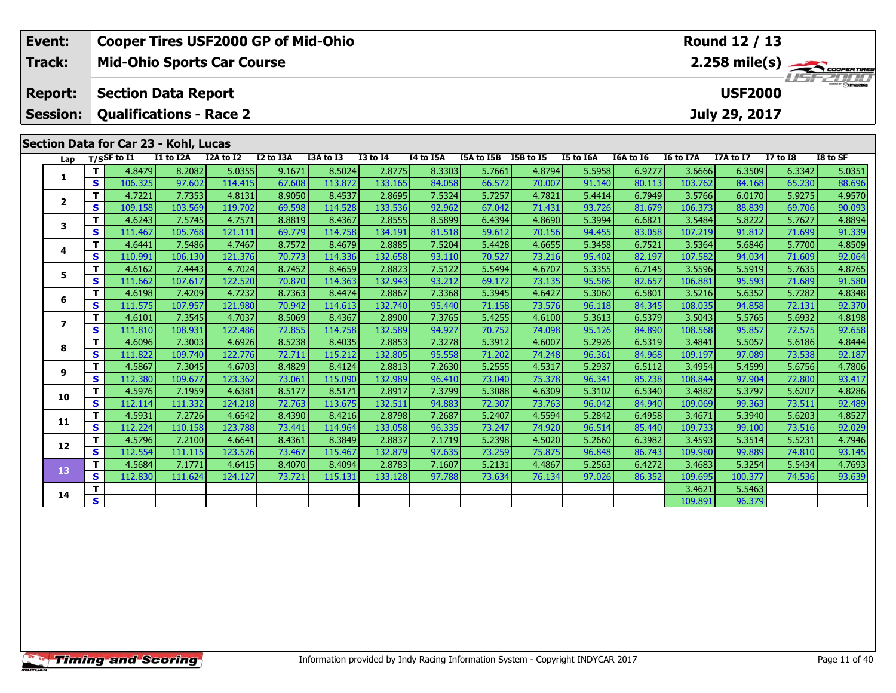|  | Event:                                                                              |              | <b>Cooper Tires USF2000 GP of Mid-Ohio</b>                   |           |           |           |           |                 |           |                      |        |           |           |           | Round 12 / 13                   |                 |               |
|--|-------------------------------------------------------------------------------------|--------------|--------------------------------------------------------------|-----------|-----------|-----------|-----------|-----------------|-----------|----------------------|--------|-----------|-----------|-----------|---------------------------------|-----------------|---------------|
|  | Track:                                                                              |              | <b>Mid-Ohio Sports Car Course</b>                            |           |           |           |           |                 |           |                      |        |           |           |           |                                 |                 | 2.258 mile(s) |
|  | <b>Report:</b><br><b>Session:</b>                                                   |              | <b>Section Data Report</b><br><b>Qualifications - Race 2</b> |           |           |           |           |                 |           |                      |        |           |           |           | <b>USF2000</b><br>July 29, 2017 |                 |               |
|  |                                                                                     |              |                                                              |           |           |           |           |                 |           |                      |        |           |           |           |                                 |                 |               |
|  |                                                                                     |              | Section Data for Car 23 - Kohl, Lucas                        |           |           |           |           |                 |           |                      |        |           |           |           |                                 |                 |               |
|  | Lap                                                                                 |              | T/SSF to I1                                                  | I1 to I2A | I2A to I2 | I2 to I3A | I3A to I3 | <b>I3 to I4</b> | I4 to I5A | I5A to I5B I5B to I5 |        | I5 to I6A | I6A to I6 | I6 to I7A | I7A to I7                       | <b>I7 to I8</b> | I8 to SF      |
|  | 1                                                                                   | T            | 4.8479                                                       | 8.2082    | 5.0355    | 9.1671    | 8.5024    | 2.8775          | 8.3303    | 5.7661               | 4.8794 | 5.5958    | 6.9277    | 3.6666    | 6.3509                          | 6.3342          | 5.0351        |
|  |                                                                                     | S            | 106.325                                                      | 97.602    | 114.415   | 67.608    | 113.872   | 133.165         | 84.058    | 66.572               | 70.007 | 91.140    | 80.113    | 103.762   | 84.168                          | 65.230          | 88.696        |
|  | $\mathbf{2}$                                                                        | $\mathbf{T}$ | 4.7221                                                       | 7.7353    | 4.8131    | 8.9050    | 8.4537    | 2.8695          | 7.5324    | 5.7257               | 4.7821 | 5.4414    | 6.7949    | 3.5766    | 6.0170                          | 5.9275          | 4.9570        |
|  |                                                                                     | $\mathbf{s}$ | 109.158                                                      | 103.569   | 119.702   | 69.598    | 114.528   | 133.536         | 92.962    | 67.042               | 71.431 | 93.726    | 81.679    | 106.373   | 88.839                          | 69.706          | 90.093        |
|  |                                                                                     |              | 4.6243                                                       | 7.5745    | 4.7571    | 8.8819    | 8.4367    | 2.8555          | 8.5899    | 6.4394               | 4.8690 | 5.3994    | 6.6821    | 3.5484    | 5.8222                          | 5.7627          | 4.8894        |
|  |                                                                                     |              | 111.467                                                      | 105.768   | 121.111   | 69.779    | 114.758   | 134.191         | 81.518    | 59.612               | 70.156 | 94.455    | 83.058    | 107.219   | 91.812                          | 71.699          | 91.339        |
|  | T<br>3<br>$\mathbf{s}$<br>T<br>4<br>$\mathbf{s}$<br>T<br>5<br>$\mathbf s$<br>T<br>6 | 4.6441       | 7.5486                                                       | 4.7467    | 8.7572    | 8.4679    | 2.8885    | 7.5204          | 5.4428    | 4.6655               | 5.3458 | 6.7521    | 3.5364    | 5.6846    | 5.7700                          | 4.8509          |               |
|  |                                                                                     |              | 110.991                                                      | 106.130   | 121.376   | 70.773    | 114.336   | 132.658         | 93.110    | 70.527               | 73.216 | 95.402    | 82.197    | 107.582   | 94.034                          | 71.609          | 92.064        |
|  |                                                                                     |              | 4.6162                                                       | 7.4443    | 4.7024    | 8.7452    | 8.4659    | 2.8823          | 7.5122    | 5.5494               | 4.6707 | 5.3355    | 6.7145    | 3.5596    | 5.5919                          | 5.7635          | 4.8765        |
|  |                                                                                     |              | 111.662                                                      | 107.617   | 122.520   | 70.870    | 114.363   | 132.943         | 93.212    | 69.172               | 73.135 | 95.586    | 82.657    | 106.881   | 95.593                          | 71.689          | 91.580        |
|  |                                                                                     |              | 4.6198                                                       | 7.4209    | 4.7232    | 8.7363    | 8.4474    | 2.8867          | 7.3368    | 5.3945               | 4.6427 | 5.3060    | 6.5801    | 3.5216    | 5.6352                          | 5.7282          | 4.8348        |
|  |                                                                                     | $\mathbf{s}$ | 111.575                                                      | 107.957   | 121.980   | 70.942    | 114.613   | 132.740         | 95.440    | 71.158               | 73.576 | 96.118    | 84.345    | 108.035   | 94.858                          | 72.131          | 92.370        |
|  | $\overline{\mathbf{z}}$                                                             | T            | 4.6101                                                       | 7.3545    | 4.7037    | 8.5069    | 8.4367    | 2.8900          | 7.3765    | 5.4255               | 4.6100 | 5.3613    | 6.5379    | 3.5043    | 5.5765                          | 5.6932          | 4.8198        |
|  |                                                                                     | $\mathbf{s}$ | 111.810                                                      | 108.931   | 122.486   | 72.855    | 114.758   | 132.589         | 94.927    | 70.752               | 74.098 | 95.126    | 84.890    | 108.568   | 95.857                          | 72.575          | 92.658        |
|  | 8                                                                                   | т            | 4.6096                                                       | 7.3003    | 4.6926    | 8.5238    | 8.4035    | 2.8853          | 7.3278    | 5.3912               | 4.6007 | 5.2926    | 6.5319    | 3.4841    | 5.5057                          | 5.6186          | 4.8444        |
|  |                                                                                     | $\mathbf{s}$ | 111.822                                                      | 109.740   | 122.776   | 72.711    | 115.212   | 132.805         | 95.558    | 71.202               | 74.248 | 96.361    | 84.968    | 109.197   | 97.089                          | 73.538          | 92.187        |
|  |                                                                                     | T            | 4.5867                                                       | 7.3045    | 4.6703    | 8.4829    | 8.4124    | 2.8813          | 7.2630    | 5.2555               | 4.5317 | 5.2937    | 6.5112    | 3.4954    | 5.4599                          | 5.6756          | 4.7806        |
|  | 9<br>10<br>11                                                                       | $\mathbf{s}$ | 112.380                                                      | 109.677   | 123.362   | 73.061    | 115.090   | 132.989         | 96.410    | 73.040               | 75.378 | 96.341    | 85.238    | 108.844   | 97.904                          | 72.800          | 93.417        |
|  |                                                                                     | T            | 4.5976                                                       | 7.1959    | 4.6381    | 8.5177    | 8.5171    | 2.8917          | 7.3799    | 5.3088               | 4.6309 | 5.3102    | 6.5340    | 3.4882    | 5.3797                          | 5.6207          | 4.8286        |
|  |                                                                                     | $\mathbf{s}$ | 112.114                                                      | 111.332   | 124.218   | 72.763    | 113.675   | 132.511         | 94.883    | 72.307               | 73.763 | 96.042    | 84.940    | 109.069   | 99.363                          | 73.511          | 92.489        |
|  |                                                                                     | $\mathbf{T}$ | 4.5931                                                       | 7.2726    | 4.6542    | 8.4390    | 8.4216    | 2.8798          | 7.2687    | 5.2407               | 4.5594 | 5.2842    | 6.4958    | 3.4671    | 5.3940                          | 5.6203          | 4.8527        |
|  |                                                                                     | $\mathbf{s}$ | 112.224                                                      | 110.158   | 123.788   | 73.441    | 114.964   | 133.058         | 96.335    | 73.247               | 74.920 | 96.514    | 85.440    | 109.733   | 99.100                          | 73.516          | 92.029        |
|  | 12                                                                                  | T            | 4.5796                                                       | 7.2100    | 4.6641    | 8.4361    | 8.3849    | 2.8837          | 7.1719    | 5.2398               | 4.5020 | 5.2660    | 6.3982    | 3.4593    | 5.3514                          | 5.5231          | 4.7946        |
|  |                                                                                     | $\mathbf{s}$ | 112.554                                                      | 111.115   | 123.526   | 73.467    | 115.467   | 132.879         | 97.635    | 73.259               | 75.875 | 96.848    | 86.743    | 109.980   | 99.889                          | 74.810          | 93.145        |
|  | 13                                                                                  | T            | 4.5684                                                       | 7.1771    | 4.6415    | 8.4070    | 8.4094    | 2.8783          | 7.1607    | 5.2131               | 4.4867 | 5.2563    | 6.4272    | 3.4683    | 5.3254                          | 5.5434          | 4.7693        |
|  |                                                                                     | S            | 112.830                                                      | 111.624   | 124.127   | 73.721    | 115.131   | 133.128         | 97.788    | 73.634               | 76.134 | 97.026    | 86.352    | 109.695   | 100.377                         | 74.536          | 93.639        |
|  | 14                                                                                  | T.           |                                                              |           |           |           |           |                 |           |                      |        |           |           | 3.4621    | 5.5463                          |                 |               |
|  |                                                                                     | s.           |                                                              |           |           |           |           |                 |           |                      |        |           |           | 109.891   | 96.379                          |                 |               |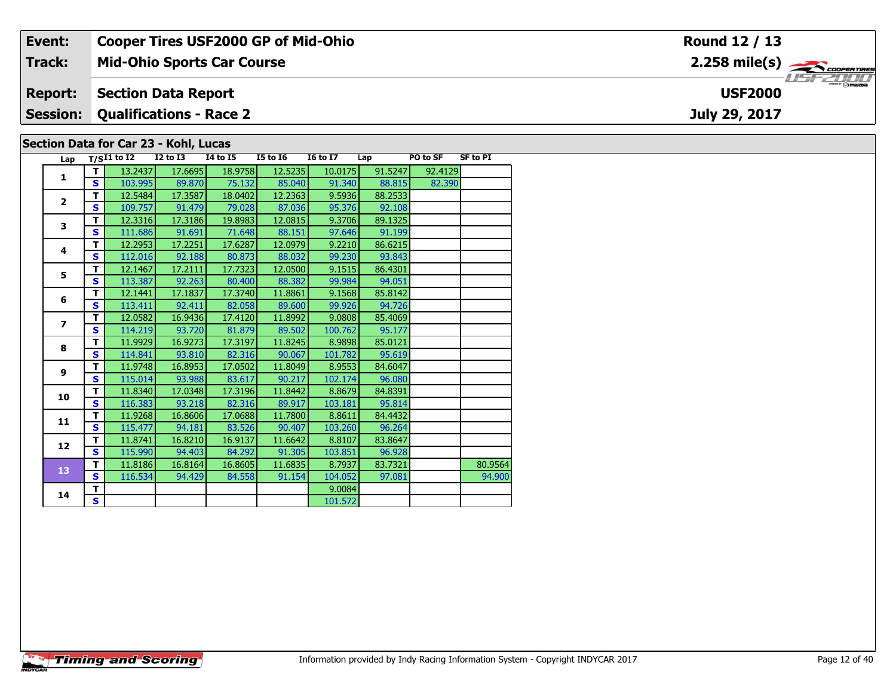| Event:          |                   |                                       |                   | <b>Cooper Tires USF2000 GP of Mid-Ohio</b> |                   |                                        | Round 12 / 13       |                 |                                                           |
|-----------------|-------------------|---------------------------------------|-------------------|--------------------------------------------|-------------------|----------------------------------------|---------------------|-----------------|-----------------------------------------------------------|
| Track:          |                   | <b>Mid-Ohio Sports Car Course</b>     |                   |                                            |                   |                                        |                     |                 | $2.258$ mile(s) $\overbrace{\hspace{2.5cm}}$ coorer Times |
| <b>Report:</b>  |                   | <b>Section Data Report</b>            |                   |                                            |                   | $\frac{1}{2}$ omazoa<br><b>USF2000</b> |                     |                 |                                                           |
| <b>Session:</b> |                   | <b>Qualifications - Race 2</b>        |                   |                                            |                   |                                        |                     |                 | July 29, 2017                                             |
|                 |                   | Section Data for Car 23 - Kohl, Lucas |                   |                                            |                   |                                        |                     |                 |                                                           |
|                 | Lap $T/SI1$ to I2 | $I2$ to $I3$                          | 14 to 15          | <b>I5 to 16</b>                            | <b>I6 to I7</b>   | Lap                                    | PO to SF            | <b>SF to PI</b> |                                                           |
|                 | 13.2437<br>10200  | 17.6695<br>00.070                     | 18.9758<br>77.321 | 12.5235<br>0.000                           | 10.0175<br>0.1240 | 91.5247<br>00.015                      | 92.4129<br>loo pool |                 |                                                           |

| Lap                      |                         | 17511 W 14 | 14 W 13 | 14 W 19 | 19 W 10 | 10 W 17 | ∟aµ     | rv w эг | JF LV FI |
|--------------------------|-------------------------|------------|---------|---------|---------|---------|---------|---------|----------|
| $\mathbf{1}$             | т                       | 13.2437    | 17.6695 | 18.9758 | 12.5235 | 10.0175 | 91.5247 | 92.4129 |          |
|                          | S                       | 103.995    | 89.870  | 75.132  | 85.040  | 91.340  | 88.815  | 82.390  |          |
| $\overline{\mathbf{2}}$  | т                       | 12.5484    | 17.3587 | 18.0402 | 12.2363 | 9.5936  | 88.2533 |         |          |
|                          | S                       | 109.757    | 91.479  | 79.028  | 87.036  | 95.376  | 92.108  |         |          |
| 3                        | т                       | 12.3316    | 17.3186 | 19.8983 | 12.0815 | 9.3706  | 89.1325 |         |          |
|                          | $\mathbf{s}$            | 111.686    | 91.691  | 71.648  | 88.151  | 97.646  | 91.199  |         |          |
| 4                        | T                       | 12.2953    | 17.2251 | 17.6287 | 12.0979 | 9.2210  | 86.6215 |         |          |
|                          | S                       | 112.016    | 92.188  | 80.873  | 88.032  | 99.230  | 93.843  |         |          |
| 5                        | T                       | 12.1467    | 17.2111 | 17.7323 | 12.0500 | 9.1515  | 86.4301 |         |          |
|                          | S                       | 113.387    | 92.263  | 80.400  | 88.382  | 99.984  | 94.051  |         |          |
| 6                        | т                       | 12.1441    | 17.1837 | 17.3740 | 11.8861 | 9.1568  | 85.8142 |         |          |
|                          | S                       | 113.411    | 92.411  | 82.058  | 89.600  | 99.926  | 94.726  |         |          |
| $\overline{\phantom{a}}$ | т                       | 12.0582    | 16.9436 | 17.4120 | 11.8992 | 9.0808  | 85.4069 |         |          |
|                          | S                       | 114.219    | 93.720  | 81.879  | 89.502  | 100.762 | 95.177  |         |          |
| 8                        | T                       | 11.9929    | 16.9273 | 17.3197 | 11.8245 | 8.9898  | 85.0121 |         |          |
|                          | S                       | 114.841    | 93.810  | 82.316  | 90.067  | 101.782 | 95.619  |         |          |
| 9                        | T                       | 11.9748    | 16.8953 | 17.0502 | 11.8049 | 8.9553  | 84.6047 |         |          |
|                          | S                       | 115.014    | 93.988  | 83.617  | 90.217  | 102.174 | 96.080  |         |          |
| 10                       | T                       | 11.8340    | 17.0348 | 17.3196 | 11.8442 | 8.8679  | 84.8391 |         |          |
|                          | S                       | 116.383    | 93.218  | 82.316  | 89.917  | 103.181 | 95.814  |         |          |
| 11                       | T                       | 11.9268    | 16.8606 | 17.0688 | 11.7800 | 8.8611  | 84.4432 |         |          |
|                          | S                       | 115.477    | 94.181  | 83.526  | 90.407  | 103.260 | 96.264  |         |          |
| 12                       | т                       | 11.8741    | 16.8210 | 16.9137 | 11.6642 | 8.8107  | 83.8647 |         |          |
|                          | S                       | 115.990    | 94.403  | 84.292  | 91.305  | 103.851 | 96.928  |         |          |
| 13                       | т                       | 11.8186    | 16.8164 | 16.8605 | 11.6835 | 8.7937  | 83.7321 |         | 80.9564  |
|                          | $\mathbf{s}$            | 116.534    | 94.429  | 84.558  | 91.154  | 104.052 | 97.081  |         | 94.900   |
| 14                       | т                       |            |         |         |         | 9.0084  |         |         |          |
|                          | $\overline{\mathbf{s}}$ |            |         |         |         | 101.572 |         |         |          |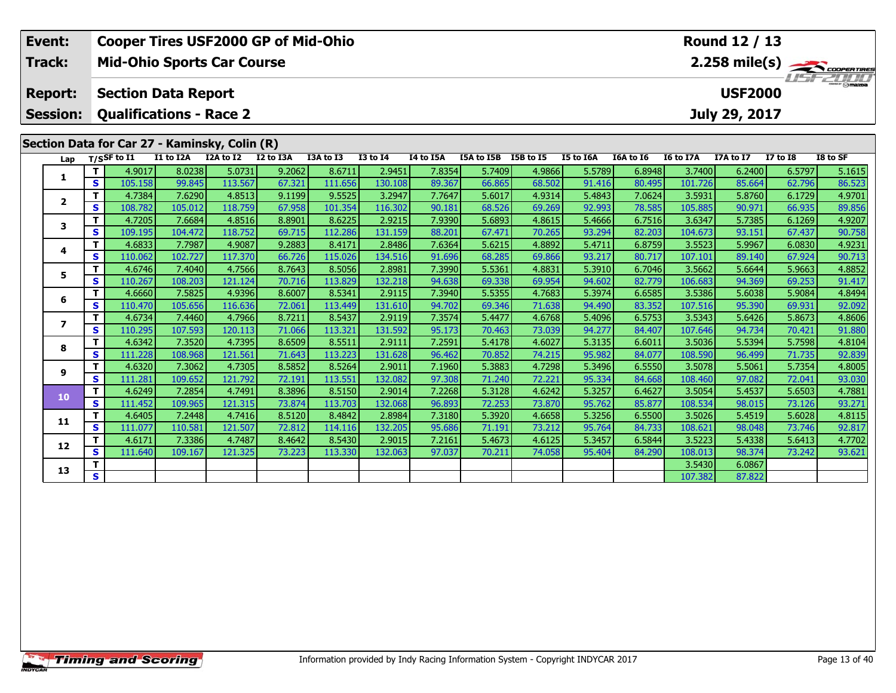| Event:                   |                   | <b>Cooper Tires USF2000 GP of Mid-Ohio</b>    |                   |                   |                  |                   |                   |                  |                      |                  |                  |                  |                   | Round 12 / 13    |                  |                         |
|--------------------------|-------------------|-----------------------------------------------|-------------------|-------------------|------------------|-------------------|-------------------|------------------|----------------------|------------------|------------------|------------------|-------------------|------------------|------------------|-------------------------|
| Track:                   |                   | <b>Mid-Ohio Sports Car Course</b>             |                   |                   |                  |                   |                   |                  |                      |                  |                  |                  |                   |                  |                  | $2.258 \text{ mile(s)}$ |
| <b>Report:</b>           |                   | <b>Section Data Report</b>                    |                   |                   |                  |                   |                   |                  |                      |                  |                  |                  |                   | <b>USF2000</b>   |                  |                         |
| <b>Session:</b>          |                   | <b>Qualifications - Race 2</b>                |                   |                   |                  |                   |                   |                  |                      |                  |                  |                  |                   | July 29, 2017    |                  |                         |
|                          |                   | Section Data for Car 27 - Kaminsky, Colin (R) |                   |                   |                  |                   |                   |                  |                      |                  |                  |                  |                   |                  |                  |                         |
| Lap                      |                   | T/SSF to I1                                   | I1 to I2A         | I2A to I2         | I2 to I3A        | I3A to I3         | <b>I3 to I4</b>   | I4 to I5A        | I5A to I5B I5B to I5 |                  | I5 to I6A        | I6A to I6        | I6 to I7A         | I7A to I7        | <b>I7 to I8</b>  | I8 to SF                |
| 1                        | т                 | 4.9017                                        | 8.0238            | 5.0731            | 9.2062           | 8.6711            | 2.9451            | 7.8354           | 5.7409               | 4.9866           | 5.5789           | 6.8948           | 3.7400            | 6.2400           | 6.5797           | 5.1615                  |
|                          | $\mathbf{s}$      | 105.158                                       | 99.845            | 113.567           | 67.321           | 111.656           | 130.108           | 89.367           | 66.865               | 68.502           | 91.416           | 80.495           | 101.726           | 85.664           | 62.796           | 86.523                  |
| $\mathbf{2}$             | T                 | 4.7384                                        | 7.6290            | 4.8513            | 9.1199           | 9.5525            | 3.2947            | 7.7647           | 5.6017               | 4.9314           | 5.4843           | 7.0624           | 3.5931            | 5.8760           | 6.1729           | 4.9701                  |
|                          | S                 | 108.782                                       | 105.012           | 118.759           | 67.958           | 101.354           | 116.302           | 90.181           | 68.526               | 69.269           | 92.993           | 78.585           | 105.885           | 90.971           | 66.935           | 89.856                  |
| 3                        | T                 | 4.7205                                        | 7.6684            | 4.8516            | 8.8901           | 8.6225            | 2.9215            | 7.9390           | 5.6893               | 4.8615           | 5.4666           | 6.7516           | 3.6347            | 5.7385           | 6.1269           | 4.9207                  |
|                          | S                 | 109.195                                       | 104.472           | 118.752           | 69.715           | 112.286           | 131.159           | 88.201           | 67.471               | 70.265           | 93.294           | 82.203           | 104.673           | 93.151           | 67.437           | 90.758                  |
| 4                        | т                 | 4.6833                                        | 7.7987            | 4.9087            | 9.2883           | 8.4171            | 2.8486            | 7.6364           | 5.6215               | 4.8892           | 5.4711           | 6.8759           | 3.5523            | 5.9967           | 6.0830           | 4.9231                  |
|                          | $\mathbf{s}$      | 110.062                                       | 102.727           | 117.370           | 66.726           | 115.026           | 134.516           | 91.696           | 68.285               | 69.866           | 93.217           | 80.717           | 107.101           | 89.140           | 67.924           | 90.713                  |
| 5.                       | T                 | 4.6746                                        | 7.4040            | 4.7566            | 8.7643           | 8.5056            | 2.8981            | 7.3990           | 5.5361               | 4.8831           | 5.3910           | 6.7046           | 3.5662            | 5.6644           | 5.9663           | 4.8852                  |
|                          | $\mathbf{s}$      | 110.267                                       | 108.203           | 121.124           | 70.716           | 113.829           | 132.218           | 94.638           | 69.338               | 69.954           | 94.602           | 82.779           | 106.683           | 94.369           | 69.253           | 91.417                  |
| 6                        | T<br>$\mathbf{s}$ | 4.6660<br>110.470                             | 7.5825<br>105.656 | 4.9396<br>116.636 | 8.6007<br>72.061 | 8.5341<br>113.449 | 2.9115<br>131.610 | 7.3940<br>94.702 | 5.5355<br>69.346     | 4.7683<br>71.638 | 5.3974           | 6.6585<br>83.352 | 3.5386<br>107.516 | 5.6038<br>95.390 | 5.9084<br>69.931 | 4.8494<br>92.092        |
|                          | T                 | 4.6734                                        | 7.4460            | 4.7966            | 8.7211           | 8.5437            | 2.9119            | 7.3574           | 5.4477               | 4.6768           | 94.490<br>5.4096 | 6.5753           | 3.5343            | 5.6426           | 5.8673           | 4.8606                  |
| $\overline{\phantom{a}}$ | $\mathbf{s}$      | 110.295                                       | 107.593           | 120.113           | 71.066           | 113.321           | 131.592           | 95.173           | 70.463               | 73.039           | 94.277           | 84.407           | 107.646           | 94.734           | 70.421           | 91.880                  |
|                          | т                 | 4.6342                                        | 7.3520            | 4.7395            | 8.6509           | 8.5511            | 2.9111            | 7.2591           | 5.4178               | 4.6027           | 5.3135           | 6.6011           | 3.5036            | 5.5394           | 5.7598           | 4.8104                  |
| 8                        | $\mathbf{s}$      | 111.228                                       | 108.968           | 121.561           | 71.643           | 113.223           | 131.628           | 96.462           | 70.852               | 74.215           | 95.982           | 84.077           | 108.590           | 96.499           | 71.735           | 92.839                  |
|                          | т                 | 4.6320                                        | 7.3062            | 4.7305            | 8.5852           | 8.5264            | 2.9011            | 7.1960           | 5.3883               | 4.7298           | 5.3496           | 6.5550           | 3.5078            | 5.5061           | 5.7354           | 4.8005                  |
| 9                        | S                 | 111.281                                       | 109.652           | 121.792           | 72.191           | 113.551           | 132.082           | 97.308           | 71.240               | 72.221           | 95.334           | 84.668           | 108.460           | 97.082           | 72.041           | 93.030                  |
|                          | $\mathbf{T}$      | 4.6249                                        | 7.2854            | 4.7491            | 8.3896           | 8.5150            | 2.9014            | 7.2268           | 5.3128               | 4.6242           | 5.3257           | 6.4627           | 3.5054            | 5.4537           | 5.6503           | 4.7881                  |
| 10                       | $\mathbf{s}$      | 111.452                                       | 109.965           | 121.315           | 73.874           | 113.703           | 132.068           | 96.893           | 72.253               | 73.870           | 95.762           | 85.877           | 108.534           | 98.015           | 73.126           | 93.271                  |
|                          | т                 | 4.6405                                        | 7.2448            | 4.7416            | 8.5120           | 8.4842            | 2.8984            | 7.3180           | 5.3920               | 4.6658           | 5.3256           | 6.5500           | 3.5026            | 5.4519           | 5.6028           | 4.8115                  |
| 11                       | $\mathbf{s}$      | 111.077                                       | 110.581           | 121.507           | 72.812           | 114.116           | 132.205           | 95.686           | 71.191               | 73.212           | 95.764           | 84.733           | 108.621           | 98.048           | 73.746           | 92.817                  |
|                          | т                 | 4.6171                                        | 7.3386            | 4.7487            | 8.4642           | 8.5430            | 2.9015            | 7.2161           | 5.4673               | 4.6125           | 5.3457           | 6.5844           | 3.5223            | 5.4338           | 5.6413           | 4.7702                  |
| 12                       | $\mathbf{s}$      | 111.640                                       | 109.167           | 121.325           | 73.223           | 113.330           | 132.063           | 97.037           | 70.211               | 74.058           | 95.404           | 84.290           | 108.013           | 98.374           | 73.242           | 93.621                  |
|                          | т                 |                                               |                   |                   |                  |                   |                   |                  |                      |                  |                  |                  | 3.5430            | 6.0867           |                  |                         |
| 13                       | S                 |                                               |                   |                   |                  |                   |                   |                  |                      |                  |                  |                  | 107.382           | 87.822           |                  |                         |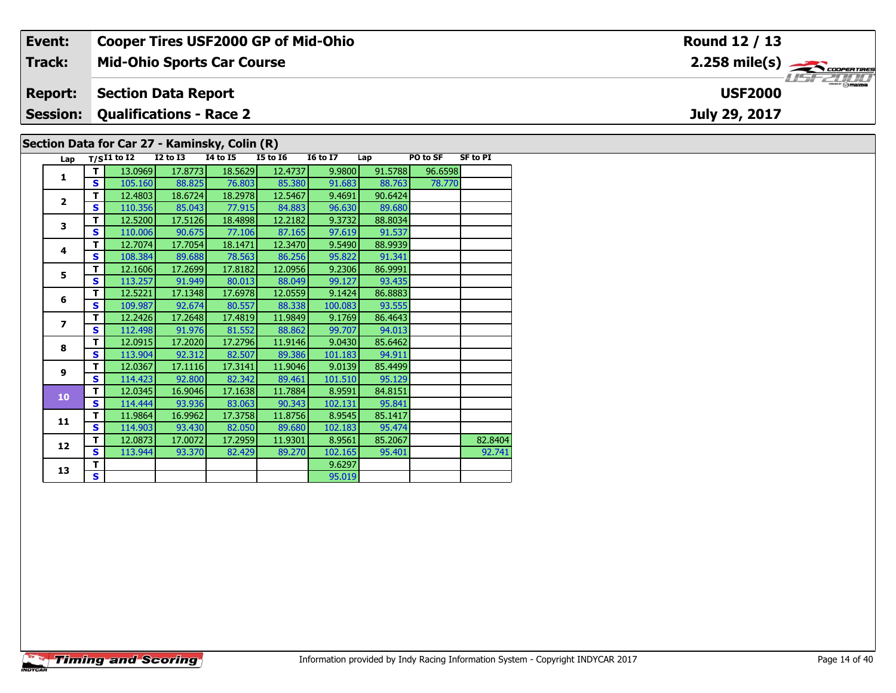| Event:         | <b>Cooper Tires USF2000 GP of Mid-Ohio</b>                                                                                                                                                                            | Round 12 / 13                 |
|----------------|-----------------------------------------------------------------------------------------------------------------------------------------------------------------------------------------------------------------------|-------------------------------|
| Track:         | <b>Mid-Ohio Sports Car Course</b>                                                                                                                                                                                     | $2.258$ mile(s) $\rightarrow$ |
| <b>Report:</b> | <b>Section Data Report</b>                                                                                                                                                                                            | <b>USF2000</b>                |
|                | <b>Session: Qualifications - Race 2</b>                                                                                                                                                                               | July 29, 2017                 |
|                | Section Data for Car 27 - Kaminsky, Colin (R)                                                                                                                                                                         |                               |
|                | <b>SF to PI</b><br><b>I6 to I7</b><br>Lap $T/SI1$ to I2<br>I2 to I3<br>14 to 15<br>I5 to I6<br>PO to SF<br>Lap<br>$12.00001 - 17.07721 - 10.5001$<br>$\sim$ 12.4727 $\blacksquare$<br>ne ernol<br>n nonn L<br>01.5700 |                               |

| Lap                      |              | 1/511 1012 | 14 W 13 | ** W ** | 19 W 19 | 10 W 17 | ∟ap     | rvw J   |         |
|--------------------------|--------------|------------|---------|---------|---------|---------|---------|---------|---------|
| 1                        | т            | 13.0969    | 17.8773 | 18.5629 | 12.4737 | 9.9800  | 91.5788 | 96.6598 |         |
|                          | S            | 105.160    | 88.825  | 76.803  | 85.380  | 91.683  | 88.763  | 78.770  |         |
| $\overline{\mathbf{2}}$  | т            | 12.4803    | 18.6724 | 18.2978 | 12.5467 | 9.4691  | 90.6424 |         |         |
|                          | S            | 110.356    | 85.043  | 77.915  | 84.883  | 96.630  | 89.680  |         |         |
| 3                        | T            | 12.5200    | 17.5126 | 18.4898 | 12.2182 | 9.3732  | 88.8034 |         |         |
|                          | S            | 110.006    | 90.675  | 77.106  | 87.165  | 97.619  | 91.537  |         |         |
| 4                        | T            | 12.7074    | 17.7054 | 18.1471 | 12.3470 | 9.5490  | 88.9939 |         |         |
|                          | S            | 108.384    | 89.688  | 78.563  | 86.256  | 95.822  | 91.341  |         |         |
| 5                        | T            | 12.1606    | 17.2699 | 17.8182 | 12.0956 | 9.2306  | 86.9991 |         |         |
|                          | S            | 113.257    | 91.949  | 80.013  | 88.049  | 99.127  | 93.435  |         |         |
| 6                        | T            | 12.5221    | 17.1348 | 17.6978 | 12.0559 | 9.1424  | 86.8883 |         |         |
|                          | S            | 109.987    | 92.674  | 80.557  | 88.338  | 100.083 | 93.555  |         |         |
| $\overline{\phantom{a}}$ | T            | 12.2426    | 17.2648 | 17.4819 | 11.9849 | 9.1769  | 86.4643 |         |         |
|                          | S            | 112.498    | 91.976  | 81.552  | 88.862  | 99.707  | 94.013  |         |         |
| 8                        | T            | 12.0915    | 17.2020 | 17.2796 | 11.9146 | 9.0430  | 85.6462 |         |         |
|                          | S            | 113.904    | 92.312  | 82.507  | 89.386  | 101.183 | 94.911  |         |         |
| 9                        | T            | 12.0367    | 17.1116 | 17.3141 | 11.9046 | 9.0139  | 85.4499 |         |         |
|                          | S            | 114.423    | 92.800  | 82.342  | 89.461  | 101.510 | 95.129  |         |         |
| 10                       | т            | 12.0345    | 16.9046 | 17.1638 | 11.7884 | 8.9591  | 84.8151 |         |         |
|                          | S            | 114.444    | 93.936  | 83.063  | 90.343  | 102.131 | 95.841  |         |         |
| 11                       | T            | 11.9864    | 16.9962 | 17.3758 | 11.8756 | 8.9545  | 85.1417 |         |         |
|                          | S            | 114.903    | 93.430  | 82.050  | 89.680  | 102.183 | 95.474  |         |         |
| 12                       | т            | 12.0873    | 17.0072 | 17.2959 | 11.9301 | 8.9561  | 85.2067 |         | 82.8404 |
|                          | $\mathbf{s}$ | 113.944    | 93.370  | 82.429  | 89.270  | 102.165 | 95.401  |         | 92.741  |
| 13                       | т            |            |         |         |         | 9.6297  |         |         |         |
|                          | S            |            |         |         |         | 95.019  |         |         |         |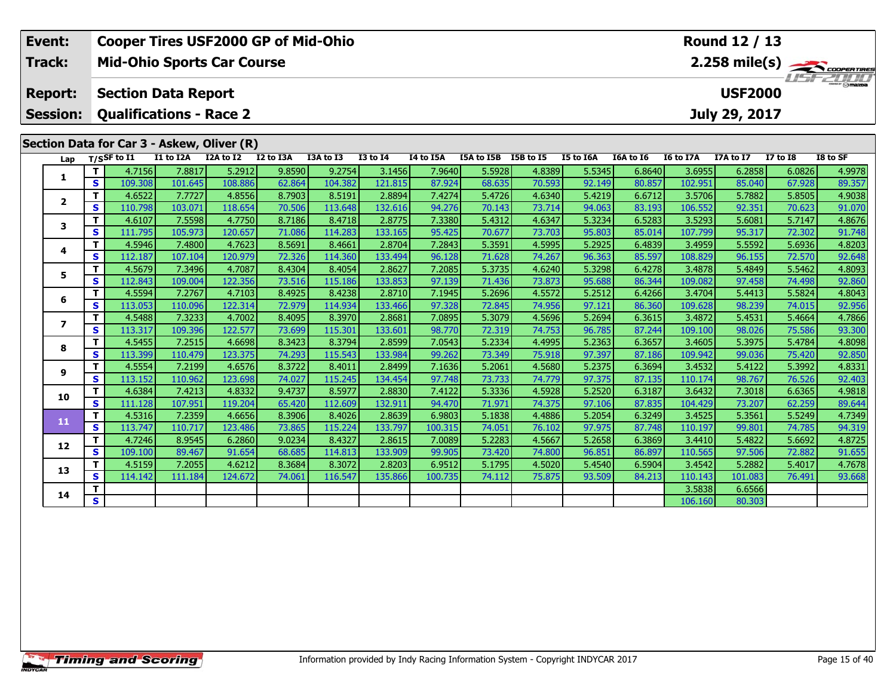| Event:                            |                   |                                                              |                   |                   | <b>Cooper Tires USF2000 GP of Mid-Ohio</b> |                   |                   |                  |                      |                  |                  |                  |                   | Round 12 / 13                   |                  |                         |
|-----------------------------------|-------------------|--------------------------------------------------------------|-------------------|-------------------|--------------------------------------------|-------------------|-------------------|------------------|----------------------|------------------|------------------|------------------|-------------------|---------------------------------|------------------|-------------------------|
| Track:                            |                   | <b>Mid-Ohio Sports Car Course</b>                            |                   |                   |                                            |                   |                   |                  |                      |                  |                  |                  |                   |                                 |                  | $2.258 \text{ mile(s)}$ |
| <b>Report:</b><br><b>Session:</b> |                   | <b>Section Data Report</b><br><b>Qualifications - Race 2</b> |                   |                   |                                            |                   |                   |                  |                      |                  |                  |                  |                   | <b>USF2000</b><br>July 29, 2017 |                  |                         |
|                                   |                   |                                                              |                   |                   |                                            |                   |                   |                  |                      |                  |                  |                  |                   |                                 |                  |                         |
|                                   |                   | Section Data for Car 3 - Askew, Oliver (R)                   |                   |                   |                                            |                   |                   |                  |                      |                  |                  |                  |                   |                                 |                  |                         |
| Lap                               |                   | $T/S$ SF to I1                                               | I1 to I2A         | I2A to I2         | I2 to I3A                                  | I3A to I3         | <b>I3 to I4</b>   | I4 to I5A        | I5A to I5B I5B to I5 |                  | I5 to I6A        | I6A to I6        | I6 to I7A         | I7A to I7                       | <b>I7 to I8</b>  | I8 to SF                |
| 1                                 | T                 | 4.7156                                                       | 7.8817            | 5.2912            | 9.8590                                     | 9.2754            | 3.1456            | 7.9640           | 5.5928               | 4.8389           | 5.5345           | 6.8640           | 3.6955            | 6.2858                          | 6.0826           | 4.9978                  |
|                                   | $\mathbf{s}$      | 109.308                                                      | 101.645           | 108.886           | 62.864                                     | 104.382           | 121.815           | 87.924           | 68.635               | 70.593           | 92.149           | 80.857           | 102.951           | 85.040                          | 67.928           | 89.357                  |
| $\overline{2}$                    | T                 | 4.6522                                                       | 7.7727            | 4.8556            | 8.7903                                     | 8.5191            | 2.8894            | 7.4274           | 5.4726               | 4.6340           | 5.4219           | 6.6712           | 3.5706            | 5.7882                          | 5.8505           | 4.9038                  |
|                                   | $\mathbf{s}$      | 110.798                                                      | 103.071           | 118.654           | 70.506                                     | 113.648           | 132.616           | 94.276           | 70.143               | 73.714           | 94.063           | 83.193           | 106.552           | 92.351                          | 70.623           | 91.070                  |
| 3                                 | T                 | 4.6107                                                       | 7.5598            | 4.7750            | 8.7186                                     | 8.4718            | 2.8775            | 7.3380           | 5.4312               | 4.6347           | 5.3234           | 6.5283           | 3.5293            | 5.6081                          | 5.7147           | 4.8676                  |
|                                   | $\mathbf{s}$      | 111.795                                                      | 105.973           | 120.657           | 71.086                                     | 114.283           | 133.165           | 95.425           | 70.677               | 73.703           | 95.803           | 85.014           | 107.799           | 95.317                          | 72.302           | 91.748                  |
| 4                                 | т                 | 4.5946                                                       | 7.4800            | 4.7623            | 8.5691                                     | 8.4661            | 2.8704            | 7.2843           | 5.3591               | 4.5995           | 5.2925           | 6.4839           | 3.4959            | 5.5592                          | 5.6936           | 4.8203                  |
|                                   | $\mathbf{s}$      | 112.187                                                      | 107.104           | 120.979           | 72.326                                     | 114.360           | 133.494           | 96.128           | 71.628               | 74.267           | 96.363           | 85.597           | 108.829           | 96.155                          | 72.570           | 92.648                  |
| 5                                 | Т                 | 4.5679                                                       | 7.3496            | 4.7087            | 8.4304                                     | 8.4054            | 2.8627            | 7.2085           | 5.3735               | 4.6240           | 5.3298           | 6.4278           | 3.4878            | 5.4849                          | 5.5462           | 4.8093                  |
|                                   | S                 | 112.843                                                      | 109.004           | 122.356           | 73.516                                     | 115.186           | 133.853           | 97.139           | 71.436               | 73.873           | 95.688           | 86.344           | 109.082           | 97.458                          | 74.498           | 92.860                  |
| 6                                 | T                 | 4.5594                                                       | 7.2767            | 4.7103            | 8.4925                                     | 8.4238            | 2.8710            | 7.1945           | 5.2696               | 4.5572           | 5.2512           | 6.4266           | 3.4704            | 5.4413                          | 5.5824           | 4.8043                  |
|                                   | $\mathbf{s}$      | 113.053                                                      | 110.096           | 122.314           | 72.979                                     | 114.934           | 133.466           | 97.328           | 72.845               | 74.956           | 97.121           | 86.360           | 109.628           | 98.239                          | 74.015           | 92.956                  |
| $\overline{ }$                    | T                 | 4.5488                                                       | 7.3233            | 4.7002            | 8.4095                                     | 8.3970            | 2.8681            | 7.0895           | 5.3079               | 4.5696           | 5.2694           | 6.3615           | 3.4872            | 5.4531                          | 5.4664           | 4.7866                  |
|                                   | $\mathbf{s}$      | 113.317                                                      | 109.396           | 122.577           | 73.699                                     | 115.301           | 133.601           | 98.770           | 72.319               | 74.753           | 96.785           | 87.244           | 109.100           | 98.026                          | 75.586           | 93.300                  |
| 8                                 | T<br>$\mathbf{s}$ | 4.5455<br>113.399                                            | 7.2515<br>110.479 | 4.6698<br>123.375 | 8.3423<br>74.293                           | 8.3794<br>115.543 | 2.8599<br>133.984 | 7.0543<br>99.262 | 5.2334<br>73.349     | 4.4995<br>75.918 | 5.2363<br>97.397 | 6.3657<br>87.186 | 3.4605<br>109.942 | 5.3975<br>99.036                | 5.4784<br>75.420 | 4.8098<br>92.850        |
|                                   | $\mathbf T$       | 4.5554                                                       | 7.2199            | 4.6576            | 8.3722                                     | 8.4011            | 2.8499            | 7.1636           | 5.2061               | 4.5680           | 5.2375           | 6.3694           | 3.4532            | 5.4122                          | 5.3992           | 4.8331                  |
| 9                                 | $\mathbf{s}$      | 113.152                                                      | 110.962           | 123.698           | 74.027                                     | 115.245           | 134.454           | 97.748           | 73.733               | 74.779           | 97.375           | 87.135           | 110.174           | 98.767                          | 76.526           | 92.403                  |
|                                   | T                 | 4.6384                                                       | 7.4213            | 4.8332            | 9.4737                                     | 8.5977            | 2.8830            | 7.4122           | 5.3336               | 4.5928           | 5.2520           | 6.3187           | 3.6432            | 7.3018                          | 6.6365           | 4.9818                  |
| 10                                | $\mathbf{s}$      | 111.128                                                      | 107.951           | 119.204           | 65.420                                     | 112.609           | 132.911           | 94.470           | 71.971               | 74.375           | 97.106           | 87.835           | 104.429           | 73.207                          | 62.259           | 89.644                  |
|                                   | T                 | 4.5316                                                       | 7.2359            | 4.6656            | 8.3906                                     | 8.4026            | 2.8639            | 6.9803           | 5.1838               | 4.4886           | 5.2054           | 6.3249           | 3.4525            | 5.3561                          | 5.5249           | 4.7349                  |
| 11                                | S                 | 113.747                                                      | 110.717           | 123.486           | 73.865                                     | 115.224           | 133.797           | 100.315          | 74.051               | 76.102           | 97.975           | 87.748           | 110.197           | 99.801                          | 74.785           | 94.319                  |
|                                   | T                 | 4.7246                                                       | 8.9545            | 6.2860            | 9.0234                                     | 8.4327            | 2.8615            | 7.0089           | 5.2283               | 4.5667           | 5.2658           | 6.3869           | 3.4410            | 5.4822                          | 5.6692           | 4.8725                  |
| 12                                | $\mathbf{s}$      | 109.100                                                      | 89.467            | 91.654            | 68.685                                     | 114.813           | 133.909           | 99.905           | 73.420               | 74.800           | 96.851           | 86.897           | 110.565           | 97.506                          | 72.882           | 91.655                  |
|                                   | т                 | 4.5159                                                       | 7.2055            | 4.6212            | 8.3684                                     | 8.3072            | 2.8203            | 6.9512           | 5.1795               | 4.5020           | 5.4540           | 6.5904           | 3.4542            | 5.2882                          | 5.4017           | 4.7678                  |
| 13                                | $\mathbf{s}$      | 114.142                                                      | 111.184           | 124.672           | 74.061                                     | 116.547           | 135.866           | 100.735          | 74.112               | 75.875           | 93.509           | 84.213           | 110.143           | 101.083                         | 76.491           | 93.668                  |
| 14                                | т                 |                                                              |                   |                   |                                            |                   |                   |                  |                      |                  |                  |                  | 3.5838            | 6.6566                          |                  |                         |
|                                   | $\mathbf{s}$      |                                                              |                   |                   |                                            |                   |                   |                  |                      |                  |                  |                  | 106.160           | 80.303                          |                  |                         |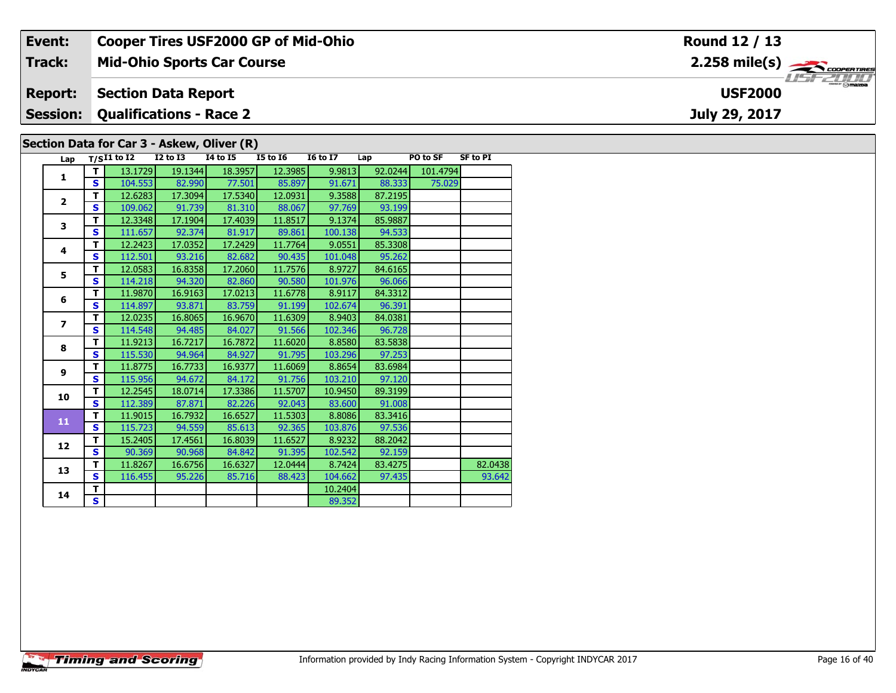| Track:<br>$2.258$ mile(s) $\overbrace{\hspace{2cm}}$ coorentines<br><b>Mid-Ohio Sports Car Course</b>                                                                                   |  |
|-----------------------------------------------------------------------------------------------------------------------------------------------------------------------------------------|--|
|                                                                                                                                                                                         |  |
| <b>Report:</b><br><b>Section Data Report</b><br><b>USF2000</b>                                                                                                                          |  |
| <b>Session:</b><br><b>Qualifications - Race 2</b><br>July 29, 2017                                                                                                                      |  |
| Section Data for Car 3 - Askew, Oliver (R)                                                                                                                                              |  |
| <b>16 to 17</b><br><b>SF to PI</b><br><b>I5 to I6</b><br>PO to SF<br>T/SI1 to I2<br>I2 to I3<br>14 to 15<br>Lap<br>Lap                                                                  |  |
| 9.9813<br>18.3957<br>19.1344<br>12.3985<br>92.0244<br>101.4794<br>13.1729<br>104E51<br><u>lon co</u><br>00,000<br><b>PE 020</b><br>$\epsilon$<br><b>77 E011</b><br>$OC$ $O07$<br>01.671 |  |

| Lap            |                         | $T/SI1$ to I2 | $I2$ to $I3$ | 14 to 15 | <b>I5 to I6</b> | <b>I6 to I7</b> | Lap     | <b>PO to SF</b> | SF to PI |
|----------------|-------------------------|---------------|--------------|----------|-----------------|-----------------|---------|-----------------|----------|
| 1              | т                       | 13.1729       | 19.1344      | 18.3957  | 12.3985         | 9.9813          | 92.0244 | 101.4794        |          |
|                | $\mathbf{s}$            | 104.553       | 82.990       | 77.501   | 85.897          | 91.671          | 88.333  | 75.029          |          |
| $\overline{2}$ | T                       | 12.6283       | 17.3094      | 17.5340  | 12.0931         | 9.3588          | 87.2195 |                 |          |
|                | S                       | 109.062       | 91.739       | 81.310   | 88.067          | 97.769          | 93.199  |                 |          |
| 3              | т                       | 12.3348       | 17.1904      | 17.4039  | 11.8517         | 9.1374          | 85.9887 |                 |          |
|                | S                       | 111.657       | 92.374       | 81.917   | 89.861          | 100.138         | 94.533  |                 |          |
| 4              | т                       | 12.2423       | 17.0352      | 17.2429  | 11.7764         | 9.0551          | 85.3308 |                 |          |
|                | $\mathbf{s}$            | 112.501       | 93.216       | 82.682   | 90.435          | 101.048         | 95.262  |                 |          |
| 5              | T                       | 12.0583       | 16.8358      | 17.2060  | 11.7576         | 8.9727          | 84.6165 |                 |          |
|                | S                       | 114.218       | 94.320       | 82.860   | 90.580          | 101.976         | 96.066  |                 |          |
| 6              | T                       | 11.9870       | 16.9163      | 17.0213  | 11.6778         | 8.9117          | 84.3312 |                 |          |
|                | $\mathbf{s}$            | 114.897       | 93.871       | 83.759   | 91.199          | 102.674         | 96.391  |                 |          |
| $\overline{z}$ | T                       | 12.0235       | 16.8065      | 16.9670  | 11.6309         | 8.9403          | 84.0381 |                 |          |
|                | $\mathbf{s}$            | 114.548       | 94.485       | 84.027   | 91.566          | 102.346         | 96.728  |                 |          |
| 8              | T                       | 11.9213       | 16.7217      | 16.7872  | 11.6020         | 8.8580          | 83.5838 |                 |          |
|                | $\mathbf{s}$            | 115.530       | 94.964       | 84.927   | 91.795          | 103.296         | 97.253  |                 |          |
| 9              | T                       | 11.8775       | 16.7733      | 16.9377  | 11.6069         | 8.8654          | 83.6984 |                 |          |
|                | $\mathbf{s}$            | 115.956       | 94.672       | 84.172   | 91.756          | 103.210         | 97.120  |                 |          |
| 10             | $\overline{\mathsf{r}}$ | 12.2545       | 18.0714      | 17.3386  | 11.5707         | 10.9450         | 89.3199 |                 |          |
|                | $\mathbf{s}$            | 112.389       | 87.871       | 82.226   | 92.043          | 83.600          | 91.008  |                 |          |
| 11             | T                       | 11.9015       | 16.7932      | 16.6527  | 11.5303         | 8.8086          | 83.3416 |                 |          |
|                | S                       | 115.723       | 94.559       | 85.613   | 92.365          | 103.876         | 97.536  |                 |          |
| 12             | T                       | 15.2405       | 17.4561      | 16.8039  | 11.6527         | 8.9232          | 88.2042 |                 |          |
|                | S                       | 90.369        | 90.968       | 84.842   | 91.395          | 102.542         | 92.159  |                 |          |
| 13             | T                       | 11.8267       | 16.6756      | 16.6327  | 12.0444         | 8.7424          | 83.4275 |                 | 82.0438  |
|                | S                       | 116.455       | 95.226       | 85.716   | 88.423          | 104.662         | 97.435  |                 | 93.642   |
| 14             | т                       |               |              |          |                 | 10.2404         |         |                 |          |
|                | S                       |               |              |          |                 | 89.352          |         |                 |          |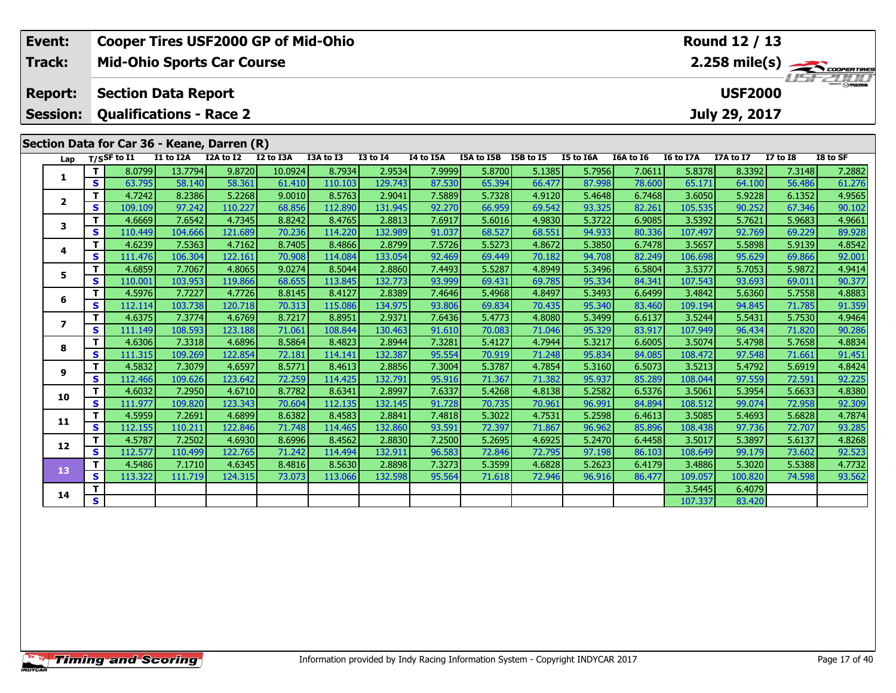| Event:                                                  |                         |                                   |                   |                   | <b>Cooper Tires USF2000 GP of Mid-Ohio</b> |                   |                   |                  |                  |                  |                  |                  |                   | Round 12 / 13    |                  |                         |
|---------------------------------------------------------|-------------------------|-----------------------------------|-------------------|-------------------|--------------------------------------------|-------------------|-------------------|------------------|------------------|------------------|------------------|------------------|-------------------|------------------|------------------|-------------------------|
| Track:                                                  |                         | <b>Mid-Ohio Sports Car Course</b> |                   |                   |                                            |                   |                   |                  |                  |                  |                  |                  |                   |                  |                  | $2.258 \text{ mile(s)}$ |
| <b>Report:</b>                                          |                         | <b>Section Data Report</b>        |                   |                   |                                            |                   |                   |                  |                  |                  |                  |                  |                   | <b>USF2000</b>   |                  |                         |
|                                                         |                         |                                   |                   |                   |                                            |                   |                   |                  |                  |                  |                  |                  |                   |                  |                  |                         |
| <b>Session:</b>                                         |                         | <b>Qualifications - Race 2</b>    |                   |                   |                                            |                   |                   |                  |                  |                  |                  |                  |                   | July 29, 2017    |                  |                         |
| Section Data for Car 36 - Keane, Darren (R)<br>Lap<br>1 |                         |                                   |                   |                   |                                            |                   |                   |                  |                  |                  |                  |                  |                   |                  |                  |                         |
|                                                         |                         | $T/S$ SF to $I1$                  | I1 to I2A         | I2A to I2         | I2 to I3A                                  | I3A to I3         | <b>I3 to I4</b>   | I4 to I5A        | I5A to I5B       | I5B to I5        | I5 to I6A        | I6A to I6        | <b>I6 to I7A</b>  | <b>I7A to I7</b> | <b>I7 to I8</b>  | I8 to SF                |
|                                                         | T.                      | 8.0799                            | 13.7794           | 9.8720            | 10.0924                                    | 8.7934            | 2.9534            | 7.9999           | 5.8700           | 5.1385           | 5.7956           | 7.0611           | 5.8378            | 8.3392           | 7.3148           | 7.2882                  |
|                                                         | $\mathbf s$             | 63.795                            | 58.140            | 58.361            | 61.410                                     | 110.103           | 129.743           | 87.530           | 65.394           | 66.477           | 87.998           | 78.600           | 65.171            | 64.100           | 56.486           | 61.276                  |
|                                                         | т                       | 4.7242                            | 8.2386            | 5.2268            | 9.0010                                     | 8.5763            | 2.9041            | 7.5889           | 5.7328           | 4.9120           | 5.4648           | 6.7468           | 3.6050            | 5.9228           | 6.1352           | 4.9565                  |
| $\mathbf{2}$                                            | $\mathbf{s}$            | 109.109                           | 97.242            | 110.227           | 68.856                                     | 112.890           | 131.945           | 92.270           | 66.959           | 69.542           | 93.325           | 82.261           | 105.535           | 90.252           | 67.346           | 90.102                  |
|                                                         | T                       | 4.6669                            | 7.6542            | 4.7345            | 8.8242                                     | 8.4765            | 2.8813            | 7.6917           | 5.6016           | 4.9830           | 5.3722           | 6.9085           | 3.5392            | 5.7621           | 5.9683           | 4.9661                  |
|                                                         | $\mathbf{s}$            | 110.449                           | 104.666           | 121.689           | 70.236                                     | 114.220           | 132.989           | 91.037           | 68.527           | 68.551           | 94.933           | 80.336           | 107.497           | 92.769           | 69.229           | 89.928                  |
| 3<br>T.<br>4<br>S<br>т<br>5<br>S<br>т                   | 4.6239                  | 7.5363                            | 4.7162            | 8.7405            | 8.4866                                     | 2.8799            | 7.5726            | 5.5273           | 4.8672           | 5.3850           | 6.7478           | 3.5657           | 5.5898            | 5.9139           | 4.8542           |                         |
|                                                         |                         | 111.476                           | 106.304           | 122.161           | 70.908                                     | 114.084           | 133.054           | 92.469           | 69.449           | 70.182           | 94.708           | 82.249           | 106.698           | 95.629           | 69.866           | 92.001                  |
|                                                         |                         | 4.6859                            | 7.7067            | 4.8065            | 9.0274                                     | 8.5044            | 2.8860            | 7.4493           | 5.5287           | 4.8949           | 5.3496           | 6.5804           | 3.5377            | 5.7053           | 5.9872           | 4.9414                  |
|                                                         |                         | 110.001                           | 103.953           | 119.866           | 68.655                                     | 113.845           | 132.773           | 93.999           | 69.431           | 69.785           | 95.334           | 84.341           | 107.543           | 93.693           | 69.011           | 90.377                  |
| 6                                                       |                         | 4.5976                            | 7.7227            | 4.7726            | 8.8145                                     | 8.4127            | 2.8389            | 7.4646           | 5.4968           | 4.8497           | 5.3493           | 6.6499           | 3.4842            | 5.6360           | 5.7558           | 4.8883                  |
|                                                         | $\mathbf{s}$            | 112.114                           | 103.738           | 120.718           | 70.313                                     | 115.086           | 134.975           | 93.806           | 69.834           | 70.435           | 95.340           | 83.460           | 109.194           | 94.845           | 71.785           | 91.359                  |
| $\overline{\mathbf{z}}$                                 | т                       | 4.6375                            | 7.3774            | 4.6769            | 8.7217                                     | 8.8951            | 2.9371            | 7.6436           | 5.4773           | 4.8080           | 5.3499           | 6.6137           | 3.5244            | 5.5431           | 5.7530           | 4.9464                  |
|                                                         | $\mathbf{s}$            | 111.149                           | 108.593           | 123.188           | 71.061                                     | 108.844           | 130.463           | 91.610           | 70.083           | 71.046           | 95.329           | 83.917           | 107.949           | 96.434           | 71.820           | 90.286                  |
| 8                                                       | т                       | 4.6306                            | 7.3318            | 4.6896            | 8.5864                                     | 8.4823            | 2.8944            | 7.3281           | 5.4127           | 4.7944           | 5.3217           | 6.6005           | 3.5074            | 5.4798           | 5.7658           | 4.8834                  |
|                                                         | $\mathbf s$<br>т        | 111.315<br>4.5832                 | 109.269<br>7.3079 | 122.854<br>4.6597 | 72.181<br>8.5771                           | 114.141<br>8.4613 | 132.387<br>2.8856 | 95.554<br>7.3004 | 70.919<br>5.3787 | 71.248<br>4.7854 | 95.834<br>5.3160 | 84.085<br>6.5073 | 108.472<br>3.5213 | 97.548<br>5.4792 | 71.661<br>5.6919 | 91.451<br>4.8424        |
| 9                                                       | $\mathbf{s}$            | 112.466                           | 109.626           | 123.642           | 72.259                                     | 114.425           | 132.791           | 95.916           | 71.367           | 71.382           | 95.937           | 85.289           | 108.044           | 97.559           | 72.591           | 92.225                  |
|                                                         | т                       | 4.6032                            | 7.2950            | 4.6710            | 8.7782                                     | 8.6341            | 2.8997            | 7.6337           | 5.4268           | 4.8138           | 5.2582           | 6.5376           | 3.5061            | 5.3954           | 5.6633           | 4.8380                  |
| 10                                                      | $\mathbf{s}$            | 111.977                           | 109.820           | 123.343           | 70.604                                     | 112.135           | 132.145           | 91.728           | 70.735           | 70.961           | 96.991           | 84.894           | 108.512           | 99.074           | 72.958           | 92.309                  |
|                                                         | т                       | 4.5959                            | 7.2691            | 4.6899            | 8.6382                                     | 8.4583            | 2.8841            | 7.4818           | 5.3022           | 4.7531           | 5.2598           | 6.4613           | 3.5085            | 5.4693           | 5.6828           | 4.7874                  |
| 11                                                      | $\mathbf{s}$            | 112.155                           | 110.211           | 122.846           | 71.748                                     | 114.465           | 132.860           | 93.591           | 72.397           | 71.867           | 96.962           | 85.896           | 108.438           | 97.736           | 72.707           | 93.285                  |
|                                                         | т                       | 4.5787                            | 7.2502            | 4.6930            | 8.6996                                     | 8.4562            | 2.8830            | 7.2500           | 5.2695           | 4.6925           | 5.2470           | 6.4458           | 3.5017            | 5.3897           | 5.6137           | 4.8268                  |
| 12                                                      | $\mathbf{s}$            | 112.577                           | 110.499           | 122.765           | 71.242                                     | 114.494           | 132.911           | 96.583           | 72.846           | 72.795           | 97.198           | 86.103           | 108.649           | 99.179           | 73.602           | 92.523                  |
| 13                                                      | $\mathbf T$             | 4.5486                            | 7.1710            | 4.6345            | 8.4816                                     | 8.5630            | 2.8898            | 7.3273           | 5.3599           | 4.6828           | 5.2623           | 6.4179           | 3.4886            | 5.3020           | 5.5388           | 4.7732                  |
|                                                         | S                       | 113.322                           | 111.719           | 124.315           | 73.073                                     | 113.066           | 132.598           | 95.564           | 71.618           | 72.946           | 96.916           | 86.477           | 109.057           | 100.820          | 74.598           | 93.562                  |
| 14                                                      | т                       |                                   |                   |                   |                                            |                   |                   |                  |                  |                  |                  |                  | 3.5445            | 6.4079           |                  |                         |
|                                                         | $\overline{\mathbf{s}}$ |                                   |                   |                   |                                            |                   |                   |                  |                  |                  |                  |                  | 107.337           | 83.420           |                  |                         |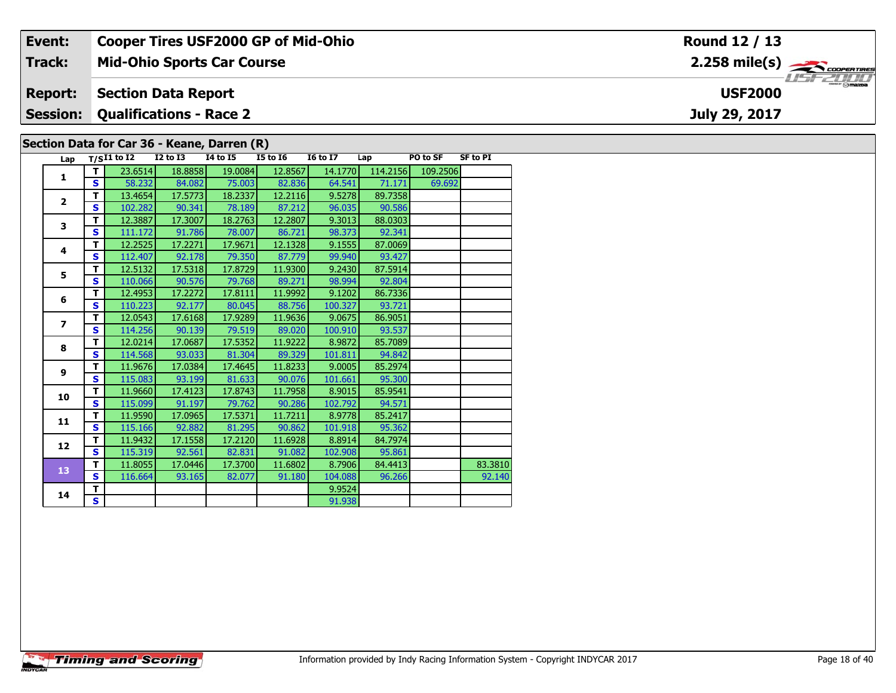| Event:         | <b>Cooper Tires USF2000 GP of Mid-Ohio</b>                                                                                                                                                              | Round 12 / 13                          |  |  |  |  |  |  |  |  |  |
|----------------|---------------------------------------------------------------------------------------------------------------------------------------------------------------------------------------------------------|----------------------------------------|--|--|--|--|--|--|--|--|--|
| Track:         | <b>Mid-Ohio Sports Car Course</b>                                                                                                                                                                       |                                        |  |  |  |  |  |  |  |  |  |
| <b>Report:</b> | <b>Section Data Report</b>                                                                                                                                                                              | $m = \bigcirc$ mazne<br><b>USF2000</b> |  |  |  |  |  |  |  |  |  |
|                | <b>Session: Qualifications - Race 2</b>                                                                                                                                                                 | July 29, 2017                          |  |  |  |  |  |  |  |  |  |
|                | Section Data for Car 36 - Keane, Darren (R)                                                                                                                                                             |                                        |  |  |  |  |  |  |  |  |  |
| Lap            | <b>16 to 17</b><br><b>SF to PI</b><br><b>I4 to I5</b><br>PO to SF<br><b>I5 to I6</b><br>T/SI1 to I2<br>I2 to I3<br>Lap<br>$236514$ $188858$ $190084$<br>14 1770 114 2156 109 2506<br>- 12.8567 <b>L</b> |                                        |  |  |  |  |  |  |  |  |  |

| Lap              |              | $T/SI1$ to I2 | <b>I2 to I3</b> | <b>14 to 15</b> | <b>I5 to 16</b> | <b>16 to 17</b> | Lap      | PO to SF | <b>SF to PI</b> |
|------------------|--------------|---------------|-----------------|-----------------|-----------------|-----------------|----------|----------|-----------------|
| $\mathbf{1}$     | т            | 23.6514       | 18.8858         | 19.0084         | 12.8567         | 14.1770         | 114.2156 | 109.2506 |                 |
|                  | S            | 58.232        | 84.082          | 75.003          | 82.836          | 64.541          | 71.171   | 69.692   |                 |
| $\overline{2}$   | T            | 13.4654       | 17.5773         | 18.2337         | 12.2116         | 9.5278          | 89.7358  |          |                 |
|                  | S            | 102.282       | 90.341          | 78.189          | 87.212          | 96.035          | 90.586   |          |                 |
| 3                | T            | 12.3887       | 17.3007         | 18.2763         | 12.2807         | 9.3013          | 88.0303  |          |                 |
|                  | S            | 111.172       | 91.786          | 78.007          | 86.721          | 98.373          | 92.341   |          |                 |
| 4                | T            | 12.2525       | 17.2271         | 17.9671         | 12.1328         | 9.1555          | 87.0069  |          |                 |
|                  | $\mathbf{s}$ | 112.407       | 92.178          | 79.350          | 87.779          | 99.940          | 93.427   |          |                 |
| 5                | т            | 12.5132       | 17.5318         | 17.8729         | 11.9300         | 9.2430          | 87.5914  |          |                 |
|                  | $\mathbf{s}$ | 110.066       | 90.576          | 79.768          | 89.271          | 98.994          | 92.804   |          |                 |
| 6                | T            | 12.4953       | 17.2272         | 17.8111         | 11.9992         | 9.1202          | 86.7336  |          |                 |
|                  | $\mathbf{s}$ | 110.223       | 92.177          | 80.045          | 88.756          | 100.327         | 93.721   |          |                 |
| $\overline{ }$   | T            | 12.0543       | 17.6168         | 17.9289         | 11.9636         | 9.0675          | 86.9051  |          |                 |
|                  | S            | 114.256       | 90.139          | 79.519          | 89.020          | 100.910         | 93.537   |          |                 |
| 8                | т            | 12.0214       | 17.0687         | 17.5352         | 11.9222         | 8.9872          | 85.7089  |          |                 |
|                  | $\mathbf{s}$ | 114.568       | 93.033          | 81.304          | 89.329          | 101.811         | 94.842   |          |                 |
| $\boldsymbol{9}$ | т            | 11.9676       | 17.0384         | 17.4645         | 11.8233         | 9.0005          | 85.2974  |          |                 |
|                  | S            | 115.083       | 93.199          | 81.633          | 90.076          | 101.661         | 95.300   |          |                 |
| 10               | т            | 11.9660       | 17.4123         | 17.8743         | 11.7958         | 8.9015          | 85.9541  |          |                 |
|                  | S            | 115.099       | 91.197          | 79.762          | 90.286          | 102.792         | 94.571   |          |                 |
| 11               | т            | 11.9590       | 17.0965         | 17.5371         | 11.7211         | 8.9778          | 85.2417  |          |                 |
|                  | $\mathbf{s}$ | 115.166       | 92.882          | 81.295          | 90.862          | 101.918         | 95.362   |          |                 |
| 12               | T            | 11.9432       | 17.1558         | 17.2120         | 11.6928         | 8.8914          | 84.7974  |          |                 |
|                  | $\mathbf{s}$ | 115.319       | 92.561          | 82.831          | 91.082          | 102.908         | 95.861   |          |                 |
| 13               | т            | 11.8055       | 17.0446         | 17.3700         | 11.6802         | 8.7906          | 84.4413  |          | 83.3810         |
|                  | S            | 116.664       | 93.165          | 82.077          | 91.180          | 104.088         | 96.266   |          | 92.140          |
| 14               | T            |               |                 |                 |                 | 9.9524          |          |          |                 |
|                  | $\mathbf{s}$ |               |                 |                 |                 | 91.938          |          |          |                 |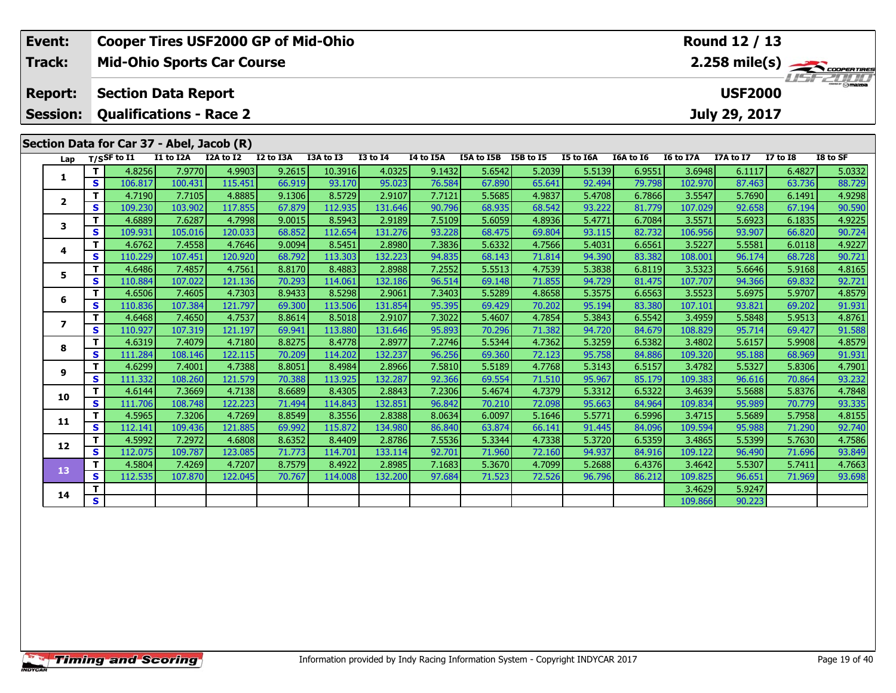| Event:                   | Round 12 / 13<br><b>Cooper Tires USF2000 GP of Mid-Ohio</b><br><b>Mid-Ohio Sports Car Course</b><br>$2.258 \text{ mile(s)}$ |                                           |                   |                   |                  |                   |                   |                  |                  |                  |                  |                  |                   |                  |                  |                  |
|--------------------------|-----------------------------------------------------------------------------------------------------------------------------|-------------------------------------------|-------------------|-------------------|------------------|-------------------|-------------------|------------------|------------------|------------------|------------------|------------------|-------------------|------------------|------------------|------------------|
| Track:                   |                                                                                                                             |                                           |                   |                   |                  |                   |                   |                  |                  |                  |                  |                  |                   |                  |                  |                  |
|                          |                                                                                                                             |                                           |                   |                   |                  |                   |                   |                  |                  |                  |                  |                  |                   |                  |                  |                  |
| <b>Report:</b>           |                                                                                                                             | <b>Section Data Report</b>                |                   |                   |                  |                   |                   |                  |                  |                  |                  |                  |                   | <b>USF2000</b>   |                  |                  |
| <b>Session:</b>          |                                                                                                                             | <b>Qualifications - Race 2</b>            |                   |                   |                  |                   |                   |                  |                  |                  |                  |                  |                   | July 29, 2017    |                  |                  |
|                          |                                                                                                                             |                                           |                   |                   |                  |                   |                   |                  |                  |                  |                  |                  |                   |                  |                  |                  |
|                          |                                                                                                                             | Section Data for Car 37 - Abel, Jacob (R) | I1 to I2A         | I2A to I2         | I2 to I3A        | I3A to I3         |                   | I4 to I5A        | I5A to I5B       |                  | I5 to I6A        | I6A to I6        | <b>I6 to I7A</b>  | I7A to I7        | <b>I7 to 18</b>  | I8 to SF         |
| Lap                      |                                                                                                                             | $T/S$ SF to $I1$                          |                   |                   |                  |                   | <b>I3 to I4</b>   |                  |                  | I5B to I5        |                  |                  |                   |                  |                  |                  |
| 1                        | T<br>S                                                                                                                      | 4.8256<br>106.817                         | 7.9770<br>100.431 | 4.9903<br>115.451 | 9.2615<br>66.919 | 10.3916<br>93.170 | 4.0325<br>95.023  | 9.1432<br>76.584 | 5.6542<br>67.890 | 5.2039<br>65.641 | 5.5139<br>92.494 | 6.9551<br>79.798 | 3.6948<br>102.970 | 6.1117<br>87.463 | 6.4827<br>63.736 | 5.0332<br>88.729 |
|                          | $\mathbf{T}$                                                                                                                | 4.7190                                    | 7.7105            | 4.8885            | 9.1306           | 8.5729            | 2.9107            | 7.7121           | 5.5685           | 4.9837           | 5.4708           | 6.7866           | 3.5547            | 5.7690           | 6.1491           | 4.9298           |
| $\overline{2}$           | $\mathbf{s}$                                                                                                                | 109.230                                   | 103.902           | 117.855           | 67.879           | 112.935           | 131.646           | 90.796           | 68.935           | 68.542           | 93.222           | 81.779           | 107.029           | 92.658           | 67.194           | 90.590           |
|                          | T                                                                                                                           | 4.6889                                    | 7.6287            | 4.7998            | 9.0015           | 8.5943            | 2.9189            | 7.5109           | 5.6059           | 4.8936           | 5.4771           | 6.7084           | 3.5571            | 5.6923           | 6.1835           | 4.9225           |
| 3                        | $\mathbf{s}$                                                                                                                | 109.931                                   | 105.016           | 120.033           | 68.852           | 112.654           | 131.276           | 93.228           | 68.475           | 69.804           | 93.115           | 82.732           | 106.956           | 93.907           | 66.820           | 90.724           |
|                          | T<br>4.6762<br>4.7646<br>7.4558<br>4<br>$\mathbf s$<br>110.229                                                              |                                           |                   |                   |                  | 8.5451            | 2.8980            | 7.3836           | 5.6332           | 4.7566           | 5.4031           | 6.6561           | 3.5227            | 5.5581           | 6.0118           | 4.9227           |
|                          |                                                                                                                             |                                           | 107.451           | 120.920           | 68.792           | 113.303           | 132.223           | 94.835           | 68.143           | 71.814           | 94.390           | 83.382           | 108.001           | 96.174           | 68.728           | 90.721           |
| 5                        | T                                                                                                                           | 4.6486                                    | 7.4857            | 4.7561            | 8.8170           | 8.4883            | 2.8988            | 7.2552           | 5.5513           | 4.7539           | 5.3838           | 6.8119           | 3.5323            | 5.6646           | 5.9168           | 4.8165           |
|                          | S                                                                                                                           | 110.884                                   | 107.022           | 121.136           | 70.293           | 114.061           | 132.186           | 96.514           | 69.148           | 71.855           | 94.729           | 81.475           | 107.707           | 94.366           | 69.832           | 92.721           |
| 6                        | T                                                                                                                           | 4.6506                                    | 7.4605            | 4.7303            | 8.9433           | 8.5298            | 2.9061            | 7.3403           | 5.5289           | 4.8658           | 5.3575           | 6.6563           | 3.5523            | 5.6975           | 5.9707           | 4.8579           |
|                          | $\mathbf{s}$                                                                                                                | 110.836                                   | 107.384           | 121.797           | 69.300           | 113.506           | 131.854           | 95.395           | 69.429           | 70.202           | 95.194           | 83.380           | 107.101           | 93.821           | 69.202           | 91.931           |
| $\overline{\phantom{a}}$ | T                                                                                                                           | 4.6468                                    | 7.4650            | 4.7537            | 8.8614           | 8.5018            | 2.9107            | 7.3022           | 5.4607           | 4.7854           | 5.3843           | 6.5542           | 3.4959            | 5.5848           | 5.9513           | 4.8761           |
|                          | $\mathbf{s}$                                                                                                                | 110.927                                   | 107.319           | 121.197           | 69.941           | 113.880           | 131.646           | 95.893           | 70.296           | 71.382           | 94.720           | 84.679           | 108.829           | 95.714           | 69.427           | 91.588           |
| 8                        | T                                                                                                                           | 4.6319                                    | 7.4079            | 4.7180            | 8.8275           | 8.4778            | 2.8977            | 7.2746           | 5.5344           | 4.7362           | 5.3259           | 6.5382           | 3.4802            | 5.6157           | 5.9908           | 4.8579           |
|                          | $\mathbf s$                                                                                                                 | 111.284                                   | 108.146           | 122.115           | 70.209           | 114.202           | 132.237           | 96.256           | 69.360           | 72.123           | 95.758           | 84.886           | 109.320           | 95.188           | 68.969           | 91.931           |
| 9                        | T<br>$\mathbf{s}$                                                                                                           | 4.6299<br>111.332                         | 7.4001            | 4.7388<br>121.579 | 8.8051<br>70.388 | 8.4984            | 2.8966<br>132.287 | 7.5810<br>92.366 | 5.5189           | 4.7768           | 5.3143           | 6.5157           | 3.4782<br>109.383 | 5.5327           | 5.8306           | 4.7901<br>93.232 |
|                          | T                                                                                                                           | 4.6144                                    | 108.260<br>7.3669 | 4.7138            | 8.6689           | 113.925<br>8.4305 | 2.8843            | 7.2306           | 69.554<br>5.4674 | 71.510<br>4.7379 | 95.967<br>5.3312 | 85.179<br>6.5322 | 3.4639            | 96.616<br>5.5688 | 70.864<br>5.8376 | 4.7848           |
| 10                       | $\mathbf{s}$                                                                                                                | 111.706                                   | 108.748           | 122.223           | 71.494           | 114.843           | 132.851           | 96.842           | 70.210           | 72.098           | 95.663           | 84.964           | 109.834           | 95.989           | 70.779           | 93.335           |
|                          | T                                                                                                                           | 4.5965                                    | 7.3206            | 4.7269            | 8.8549           | 8.3556            | 2.8388            | 8.0634           | 6.0097           | 5.1646           | 5.5771           | 6.5996           | 3.4715            | 5.5689           | 5.7958           | 4.8155           |
| 11                       | $\mathbf{s}$                                                                                                                | 112.141                                   | 109.436           | 121.885           | 69.992           | 115.872           | 134.980           | 86.840           | 63.874           | 66.141           | 91.445           | 84.096           | 109.594           | 95.988           | 71.290           | 92.740           |
|                          | т                                                                                                                           | 4.5992                                    | 7.2972            | 4.6808            | 8.6352           | 8.4409            | 2.8786            | 7.5536           | 5.3344           | 4.7338           | 5.3720           | 6.5359           | 3.4865            | 5.5399           | 5.7630           | 4.7586           |
| 12                       | $\mathbf{s}$                                                                                                                | 112.075                                   | 109.787           | 123.085           | 71.773           | 114.701           | 133.114           | 92.701           | 71.960           | 72.160           | 94.937           | 84.916           | 109.122           | 96.490           | 71.696           | 93.849           |
|                          | $\mathbf{T}$                                                                                                                | 4.5804                                    | 7.4269            | 4.7207            | 8.7579           | 8.4922            | 2.8985            | 7.1683           | 5.3670           | 4.7099           | 5.2688           | 6.4376           | 3.4642            | 5.5307           | 5.7411           | 4.7663           |
| 13                       | S                                                                                                                           | 112.535                                   | 107.870           | 122.045           | 70.767           | 114.008           | 132.200           | 97.684           | 71.523           | 72.526           | 96.796           | 86.212           | 109.825           | 96.651           | 71.969           | 93.698           |
| 14                       | т                                                                                                                           |                                           |                   |                   |                  |                   |                   |                  |                  |                  |                  |                  | 3.4629            | 5.9247           |                  |                  |
|                          | $\overline{\mathbf{s}}$                                                                                                     |                                           |                   |                   |                  |                   |                   |                  |                  |                  |                  |                  | 109.866           | 90.223           |                  |                  |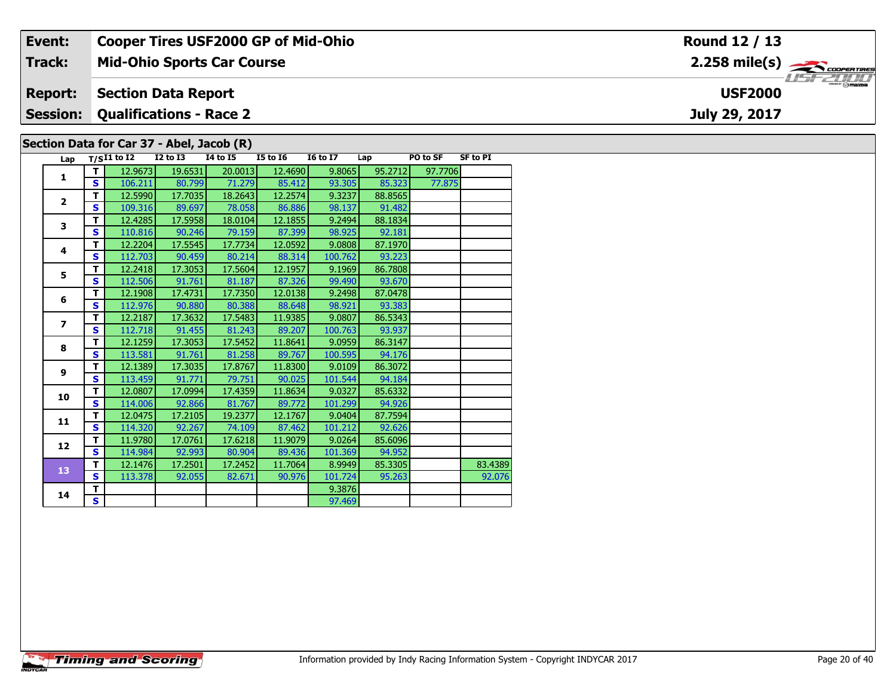| Event:          |          |                                                 |                                              | <b>Cooper Tires USF2000 GP of Mid-Ohio</b> |                 |                 |         |          |                 | Round 12 / 13                                             |  |  |  |  |
|-----------------|----------|-------------------------------------------------|----------------------------------------------|--------------------------------------------|-----------------|-----------------|---------|----------|-----------------|-----------------------------------------------------------|--|--|--|--|
| <b>Track:</b>   |          |                                                 |                                              | <b>Mid-Ohio Sports Car Course</b>          |                 |                 |         |          |                 | $2.258$ mile(s) $\overbrace{\hspace{2.5cm}}$ coorer TIRES |  |  |  |  |
| <b>Report:</b>  |          |                                                 | <b>USF2000</b><br><b>Section Data Report</b> |                                            |                 |                 |         |          |                 |                                                           |  |  |  |  |
| <b>Session:</b> |          | <b>Qualifications - Race 2</b><br>July 29, 2017 |                                              |                                            |                 |                 |         |          |                 |                                                           |  |  |  |  |
|                 |          |                                                 |                                              | Section Data for Car 37 - Abel, Jacob (R)  |                 |                 |         |          |                 |                                                           |  |  |  |  |
|                 |          | Lap $T/SI1$ to I2                               | $I2$ to $I3$                                 | <b>I4 to I5</b>                            | <b>I5 to 16</b> | <b>I6 to I7</b> | Lap     | PO to SF | <b>SF to PI</b> |                                                           |  |  |  |  |
|                 |          | 12.9673                                         | 19.6531                                      | 20.0013                                    | 12.4690         | 9.8065          | 95.2712 | 97.7706  |                 |                                                           |  |  |  |  |
|                 | <b>S</b> | 106.211                                         | 80.799                                       | 71.279                                     | 85.412          | 93.305          | 85.323  | 77.875   |                 |                                                           |  |  |  |  |
|                 |          | 12.5990                                         | 17.7035                                      | 18.2643                                    | 12.2574         | 9.3237          | 88.8565 |          |                 |                                                           |  |  |  |  |

91.482

88.1834

98.137

 $9.2494$ 

| з  | S. | 110.816 | 90.246  | 79.159  | 87.399  | 98.925  | 92.181  |         |
|----|----|---------|---------|---------|---------|---------|---------|---------|
| 4  | т  | 12.2204 | 17.5545 | 17.7734 | 12.0592 | 9.0808  | 87.1970 |         |
|    | S  | 112.703 | 90.459  | 80.214  | 88.314  | 100.762 | 93.223  |         |
| 5  | т  | 12.2418 | 17.3053 | 17.5604 | 12.1957 | 9.1969  | 86.7808 |         |
|    | S. | 112.506 | 91.761  | 81.187  | 87.326  | 99.490  | 93.670  |         |
| 6  | т  | 12.1908 | 17.4731 | 17.7350 | 12.0138 | 9.2498  | 87.0478 |         |
|    | S  | 112.976 | 90.880  | 80.388  | 88.648  | 98.921  | 93.383  |         |
| 7  | т  | 12.2187 | 17.3632 | 17.5483 | 11.9385 | 9.0807  | 86.5343 |         |
|    | S. | 112.718 | 91.455  | 81.243  | 89.207  | 100.763 | 93.937  |         |
| 8  | т  | 12.1259 | 17.3053 | 17.5452 | 11.8641 | 9.0959  | 86.3147 |         |
|    | S. | 113.581 | 91.761  | 81.258  | 89.767  | 100.595 | 94.176  |         |
| 9  | т  | 12.1389 | 17.3035 | 17.8767 | 11.8300 | 9.0109  | 86.3072 |         |
|    | S  | 113.459 | 91.771  | 79.751  | 90.025  | 101.544 | 94.184  |         |
| 10 | т  | 12.0807 | 17.0994 | 17.4359 | 11.8634 | 9.0327  | 85.6332 |         |
|    | S. | 114.006 | 92.866  | 81.767  | 89.772  | 101.299 | 94.926  |         |
| 11 | т  | 12.0475 | 17.2105 | 19.2377 | 12.1767 | 9.0404  | 87.7594 |         |
|    | S. | 114.320 | 92.267  | 74.109  | 87.462  | 101.212 | 92.626  |         |
| 12 | т  | 11.9780 | 17.0761 | 17.6218 | 11.9079 | 9.0264  | 85.6096 |         |
|    | S. | 114.984 | 92.993  | 80.904  | 89.436  | 101.369 | 94.952  |         |
| 13 | т  | 12.1476 | 17.2501 | 17.2452 | 11.7064 | 8.9949  | 85.3305 | 83.4389 |
|    | S  | 113.378 | 92.055  | 82.671  | 90.976  | 101.724 | 95.263  | 92.076  |
| 14 | т  |         |         |         |         | 9.3876  |         |         |
|    | S. |         |         |         |         | 97.469  |         |         |

109.316

12.4285

 $\mathbf{s}$ 

 $\overline{\mathsf{r}}$ 

 $\overline{\mathbf{2}}$ 

 $\overline{\mathbf{3}}$ 

89.697

17.5958

18.2643

78.058

18.0104

86.886

12.1855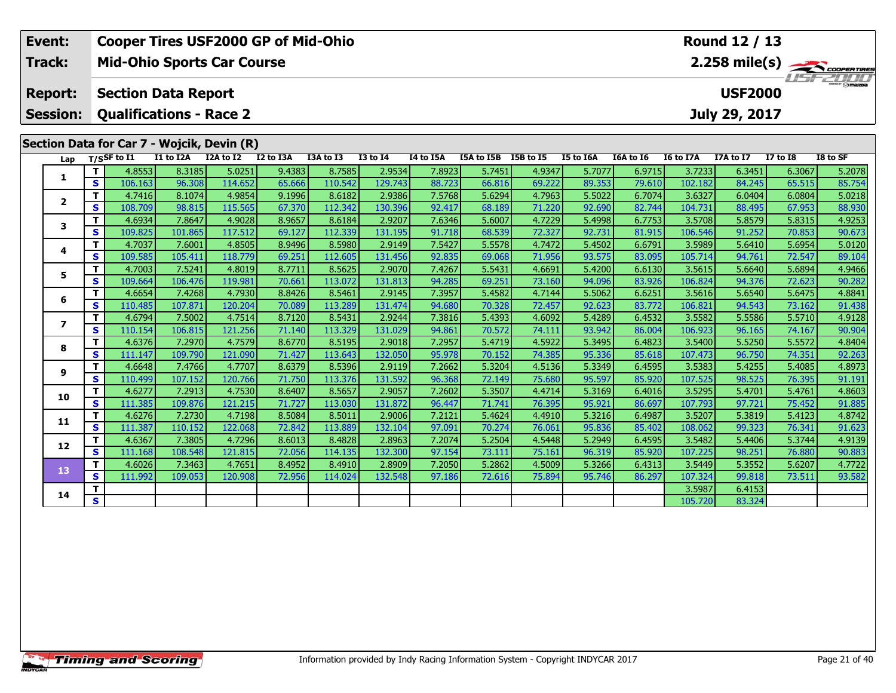| Event:                   | Round 12 / 13<br><b>Cooper Tires USF2000 GP of Mid-Ohio</b><br><b>Mid-Ohio Sports Car Course</b><br>$2.258 \text{ mile(s)}$ |                                            |                   |                   |                  |                   |                   |                  |                  |                  |                  |                  |                   |                  |                  |                  |
|--------------------------|-----------------------------------------------------------------------------------------------------------------------------|--------------------------------------------|-------------------|-------------------|------------------|-------------------|-------------------|------------------|------------------|------------------|------------------|------------------|-------------------|------------------|------------------|------------------|
| Track:                   |                                                                                                                             |                                            |                   |                   |                  |                   |                   |                  |                  |                  |                  |                  |                   |                  |                  |                  |
|                          |                                                                                                                             |                                            |                   |                   |                  |                   |                   |                  |                  |                  |                  |                  |                   |                  |                  |                  |
| <b>Report:</b>           |                                                                                                                             | <b>Section Data Report</b>                 |                   |                   |                  |                   |                   |                  |                  |                  |                  |                  |                   | <b>USF2000</b>   |                  |                  |
| <b>Session:</b>          |                                                                                                                             | <b>Qualifications - Race 2</b>             |                   |                   |                  |                   |                   |                  |                  |                  |                  |                  |                   | July 29, 2017    |                  |                  |
|                          |                                                                                                                             |                                            |                   |                   |                  |                   |                   |                  |                  |                  |                  |                  |                   |                  |                  |                  |
|                          |                                                                                                                             | Section Data for Car 7 - Wojcik, Devin (R) | I1 to I2A         | I2A to I2         | I2 to I3A        | I3A to I3         | <b>I3 to I4</b>   | <b>I4 to I5A</b> | I5A to I5B       | I5B to I5        | I5 to I6A        | I6A to I6        | <b>I6 to I7A</b>  | I7A to I7        | <b>I7 to 18</b>  | I8 to SF         |
| Lap                      |                                                                                                                             | $T/S$ SF to $I1$                           |                   | 5.0251            |                  |                   |                   |                  |                  |                  |                  |                  |                   |                  |                  |                  |
| 1                        | T<br>S                                                                                                                      | 4.8553<br>106.163                          | 8.3185<br>96.308  | 114.652           | 9.4383<br>65.666 | 8.7585<br>110.542 | 2.9534<br>129.743 | 7.8923<br>88.723 | 5.7451<br>66.816 | 4.9347<br>69.222 | 5.7077<br>89.353 | 6.9715<br>79.610 | 3.7233<br>102.182 | 6.3451<br>84.245 | 6.3067<br>65.515 | 5.2078<br>85.754 |
|                          | $\mathbf{T}$                                                                                                                | 4.7416                                     | 8.1074            | 4.9854            | 9.1996           | 8.6182            | 2.9386            | 7.5768           | 5.6294           | 4.7963           | 5.5022           | 6.7074           | 3.6327            | 6.0404           | 6.0804           | 5.0218           |
| $\mathbf{2}$             | $\mathbf{s}$                                                                                                                | 108.709                                    | 98.815            | 115.565           | 67.370           | 112.342           | 130.396           | 92.417           | 68.189           | 71.220           | 92.690           | 82.744           | 104.731           | 88.495           | 67.953           | 88.930           |
|                          | T                                                                                                                           | 4.6934                                     | 7.8647            | 4.9028            | 8.9657           | 8.6184            | 2.9207            | 7.6346           | 5.6007           | 4.7229           | 5.4998           | 6.7753           | 3.5708            | 5.8579           | 5.8315           | 4.9253           |
| 3                        | $\mathbf{s}$                                                                                                                | 109.825                                    | 101.865           | 117.512           | 69.127           | 112.339           | 131.195           | 91.718           | 68.539           | 72.327           | 92.731           | 81.915           | 106.546           | 91.252           | 70.853           | 90.673           |
|                          | T                                                                                                                           | 4.7037                                     | 7.6001            | 4.8505            | 8.9496           | 8.5980            | 2.9149            | 7.5427           | 5.5578           | 4.7472           | 5.4502           | 6.6791           | 3.5989            | 5.6410           | 5.6954           | 5.0120           |
| 4                        | $\mathbf{s}$                                                                                                                | 109.585                                    | 105.411           | 118.779           | 69.251           | 112.605           | 131.456           | 92.835           | 69.068           | 71.956           | 93.575           | 83.095           | 105.714           | 94.761           | 72.547           | 89.104           |
| 5                        | T.                                                                                                                          | 4.7003                                     | 7.5241            | 4.8019            | 8.7711           | 8.5625            | 2.9070            | 7.4267           | 5.5431           | 4.6691           | 5.4200           | 6.6130           | 3.5615            | 5.6640           | 5.6894           | 4.9466           |
|                          | S                                                                                                                           | 109.664                                    | 106.476           | 119.981           | 70.661           | 113.072           | 131.813           | 94.285           | 69.251           | 73.160           | 94.096           | 83.926           | 106.824           | 94.376           | 72.623           | 90.282           |
| 6                        | T                                                                                                                           | 4.6654                                     | 7.4268            | 4.7930            | 8.8426           | 8.5461            | 2.9145            | 7.3957           | 5.4582           | 4.7144           | 5.5062           | 6.6251           | 3.5616            | 5.6540           | 5.6475           | 4.8841           |
|                          | $\mathbf{s}$                                                                                                                | 110.485                                    | 107.871           | 120.204           | 70.089           | 113.289           | 131.474           | 94.680           | 70.328           | 72.457           | 92.623           | 83.772           | 106.821           | 94.543           | 73.162           | 91.438           |
| $\overline{\phantom{a}}$ | T                                                                                                                           | 4.6794                                     | 7.5002            | 4.7514            | 8.7120           | 8.5431            | 2.9244            | 7.3816           | 5.4393           | 4.6092           | 5.4289           | 6.4532           | 3.5582            | 5.5586           | 5.5710           | 4.9128           |
|                          | $\mathbf{s}$                                                                                                                | 110.154                                    | 106.815           | 121.256           | 71.140           | 113.329           | 131.029           | 94.861           | 70.572           | 74.111           | 93.942           | 86.004           | 106.923           | 96.165           | 74.167           | 90.904           |
| 8                        | T                                                                                                                           | 4.6376                                     | 7.2970            | 4.7579            | 8.6770           | 8.5195            | 2.9018            | 7.2957           | 5.4719           | 4.5922           | 5.3495           | 6.4823           | 3.5400            | 5.5250           | 5.5572           | 4.8404           |
|                          | $\mathbf s$                                                                                                                 | 111.147                                    | 109.790           | 121.090           | 71.427           | 113.643           | 132.050           | 95.978           | 70.152           | 74.385           | 95.336           | 85.618           | 107.473           | 96.750           | 74.351           | 92.263           |
| 9                        | T                                                                                                                           | 4.6648                                     | 7.4766            | 4.7707            | 8.6379           | 8.5396            | 2.9119            | 7.2662           | 5.3204           | 4.5136           | 5.3349           | 6.4595           | 3.5383            | 5.4255           | 5.4085           | 4.8973           |
|                          | $\mathbf{s}$                                                                                                                | 110.499                                    | 107.152           | 120.766           | 71.750           | 113.376           | 131.592           | 96.368<br>7.2602 | 72.149           | 75.680           | 95.597           | 85.920           | 107.525<br>3.5295 | 98.525           | 76.395           | 91.191           |
| 10                       | T<br>$\mathbf{s}$                                                                                                           | 4.6277<br>111.385                          | 7.2913<br>109.876 | 4.7530<br>121.215 | 8.6407<br>71.727 | 8.5657<br>113.030 | 2.9057<br>131.872 | 96.447           | 5.3507<br>71.741 | 4.4714<br>76.395 | 5.3169<br>95.921 | 6.4016<br>86.697 | 107.793           | 5.4701<br>97.721 | 5.4761<br>75.452 | 4.8603<br>91.885 |
|                          | T.                                                                                                                          | 4.6276                                     | 7.2730            | 4.7198            | 8.5084           | 8.5011            | 2.9006            | 7.2121           | 5.4624           | 4.4910           | 5.3216           | 6.4987           | 3.5207            | 5.3819           | 5.4123           | 4.8742           |
| 11                       | $\mathbf{s}$                                                                                                                | 111.387                                    | 110.152           | 122.068           | 72.842           | 113.889           | 132.104           | 97.091           | 70.274           | 76.061           | 95.836           | 85.402           | 108.062           | 99.323           | 76.341           | 91.623           |
|                          | т                                                                                                                           | 4.6367                                     | 7.3805            | 4.7296            | 8.6013           | 8.4828            | 2.8963            | 7.2074           | 5.2504           | 4.5448           | 5.2949           | 6.4595           | 3.5482            | 5.4406           | 5.3744           | 4.9139           |
| 12                       | $\mathbf{s}$                                                                                                                | 111.168                                    | 108.548           | 121.815           | 72.056           | 114.135           | 132.300           | 97.154           | 73.111           | 75.161           | 96.319           | 85.920           | 107.225           | 98.251           | 76.880           | 90.883           |
|                          | $\mathbf{T}$                                                                                                                | 4.6026                                     | 7.3463            | 4.7651            | 8.4952           | 8.4910            | 2.8909            | 7.2050           | 5.2862           | 4.5009           | 5.3266           | 6.4313           | 3.5449            | 5.3552           | 5.6207           | 4.7722           |
| 13                       | S                                                                                                                           | 111.992                                    | 109.053           | 120.908           | 72.956           | 114.024           | 132.548           | 97.186           | 72.616           | 75.894           | 95.746           | 86.297           | 107.324           | 99.818           | 73.511           | 93.582           |
|                          | т                                                                                                                           |                                            |                   |                   |                  |                   |                   |                  |                  |                  |                  |                  | 3.5987            | 6.4153           |                  |                  |
| 14                       | $\overline{\mathbf{s}}$                                                                                                     |                                            |                   |                   |                  |                   |                   |                  |                  |                  |                  |                  | 105.720           | 83.324           |                  |                  |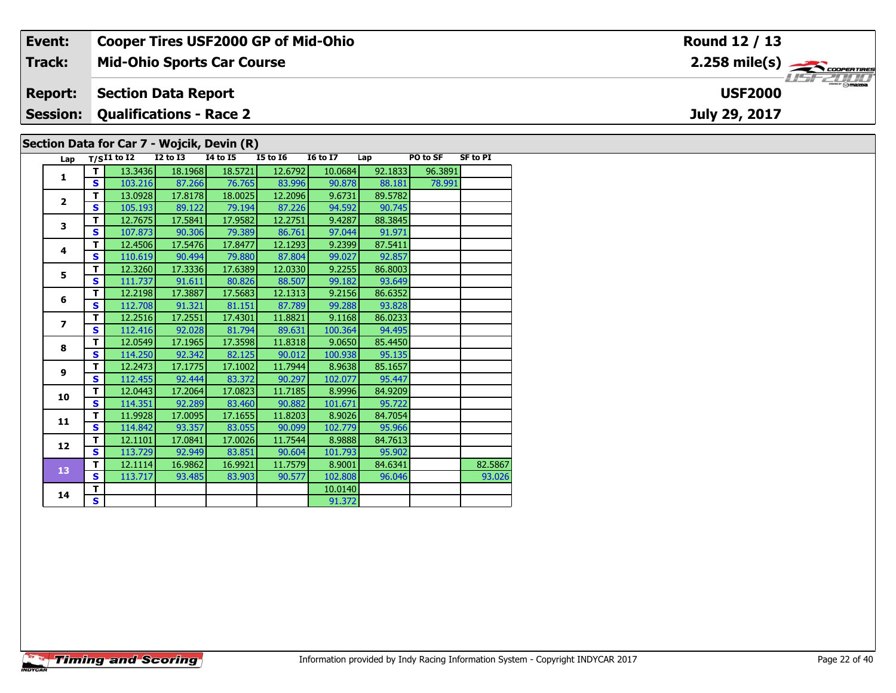| Event:         |                                                          |                   |                            | <b>Cooper Tires USF2000 GP of Mid-Ohio</b> |                 |                 |         |          |                 | Round 12 / 13                                            |  |
|----------------|----------------------------------------------------------|-------------------|----------------------------|--------------------------------------------|-----------------|-----------------|---------|----------|-----------------|----------------------------------------------------------|--|
| Track:         |                                                          |                   |                            | <b>Mid-Ohio Sports Car Course</b>          |                 |                 |         |          |                 | $2.258$ mile(s) $\overbrace{\hspace{2.5cm}}$ coorentines |  |
| <b>Report:</b> |                                                          |                   | <b>Section Data Report</b> |                                            |                 |                 |         |          |                 | <b>USF2000</b>                                           |  |
|                | <b>Session: Qualifications - Race 2</b><br>July 29, 2017 |                   |                            |                                            |                 |                 |         |          |                 |                                                          |  |
|                |                                                          |                   |                            | Section Data for Car 7 - Wojcik, Devin (R) |                 |                 |         |          |                 |                                                          |  |
|                |                                                          | Lap $T/SI1$ to I2 | $I2$ to $I3$               | 14 to 15                                   | <b>I5 to I6</b> | <b>I6 to I7</b> | Lap     | PO to SF | <b>SF to PI</b> |                                                          |  |
|                |                                                          | 13.3436           | 18.1968                    | 18.5721                                    | 12.6792         | 10.0684         | 92.1833 | 96.3891  |                 |                                                          |  |
|                | S.                                                       | 103.216           | 87.266                     | 76.765                                     | 83.996          | 90.878          | 88.181  | 78.991   |                 |                                                          |  |
|                |                                                          | 13.0928           | 17.8178                    | 18.0025                                    | 12.2096         | 9.6731          | 89.5782 |          |                 |                                                          |  |

9.4287

97.044

9.2399

99.02

9.2255

99.182

9.2156

99.288

9.1168

100.364

9.0650

8.9638

102.077

8.9996

8.9026

102.779

8.9888

101.793

8.9001

102.80

10.0140

91.372

101.671

100.938

90.745

88.3845

91.971

87.5411

92.857

86.8003

93.649

86.6352

93.82

86.0233

94.495

85.4450

95.135

85.1657

95.447

84.9209

95.722

84.7054

95.966

84.7613

95.902

84.6341

96.046

 $\overline{\mathbf{2}}$ 

 $\mathbf{3}$ 

 $\overline{\mathbf{4}}$ 

 $\overline{\mathbf{5}}$ 

 $6\phantom{1}$ 

 $\overline{\mathbf{z}}$ 

8

 $\mathbf{9}$ 

10

11

 $12$ 

13

14

 $\overline{\mathbf{s}}$ 

 $\overline{\mathsf{r}}$ 

 $\overline{\mathbf{s}}$ 

 $\overline{\mathsf{r}}$ 

 $\mathbf s$ 

T

 $\overline{\mathbf{s}}$ 

 $T$ 

S

 $\mathbf T$ 

 $\overline{\mathbf{s}}$ 

 $\mathbf{T}$ 

 $\overline{\mathbf{s}}$ 

T

S

 $\overline{\mathsf{r}}$ 

 $\overline{\mathbf{s}}$ 

 $\mathbf{T}$ 

 $\overline{\mathbf{s}}$ 

T.

 $\overline{\mathbf{s}}$ 

 $\mathbf{T}$ 

 $\overline{\mathbf{s}}$ 

 $\mathbf T$ 

 $\mathbf{s}$ 

105.193

12.7675

107,873

12.4506

110.619

12.3260

111.737

12.2198

112.708

12.2516

112.416

12.0549

114,250

12.2473

112.455

12.0443

114.351

11.9928

114.842

12.1101

113,729

12.1114

113.717

89.122

17.5841

90.306

17.5476

90.494

17.3336

17.3887

91.321

17.2551

92.028

17.1965

92.342

17.1775

92.444

17.2064

92.289

17.0095

93.357

17.0841

92.949

16.9862

93.485

91.611

79.194

17.9582

79.38

17.8477

79.88

17.6389

80.826

17.5683

81.151

17.4301

81.794

17.3598

82.125

17.1002

83.372

17.0823

83.460

17.1655

83.055

17.0026

83.851

16.9921

83.903

87.226

12.2751

86.761

12.1293

87.804

12.0330

88.507

12.1313

87.789

11.8821

89.631

11.8318

90.012

11.7944

90.297

11.7185

90.882

11.8203

90.099

11.7544

90.604

11.7579

90.577

82.5867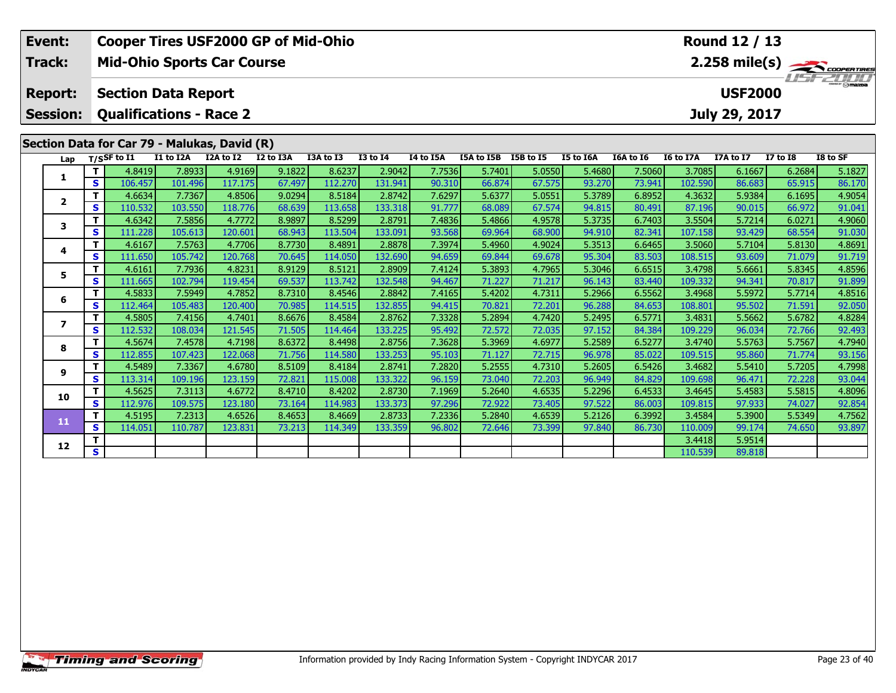| Event:                  |                   |                                              |                                   |                   | <b>Cooper Tires USF2000 GP of Mid-Ohio</b> |                   |                   |                  |                      |                  |                  |                  |                   | Round 12 / 13    |                  |                         |
|-------------------------|-------------------|----------------------------------------------|-----------------------------------|-------------------|--------------------------------------------|-------------------|-------------------|------------------|----------------------|------------------|------------------|------------------|-------------------|------------------|------------------|-------------------------|
| Track:                  |                   |                                              | <b>Mid-Ohio Sports Car Course</b> |                   |                                            |                   |                   |                  |                      |                  |                  |                  |                   |                  |                  | $2.258 \text{ mile(s)}$ |
| <b>Report:</b>          |                   |                                              | <b>Section Data Report</b>        |                   |                                            |                   |                   |                  |                      |                  |                  |                  |                   | <b>USF2000</b>   |                  | USFZUID                 |
| <b>Session:</b>         |                   |                                              | <b>Qualifications - Race 2</b>    |                   |                                            |                   |                   |                  |                      |                  |                  |                  |                   | July 29, 2017    |                  |                         |
|                         |                   | Section Data for Car 79 - Malukas, David (R) |                                   |                   |                                            |                   |                   |                  |                      |                  |                  |                  |                   |                  |                  |                         |
|                         |                   |                                              |                                   |                   |                                            |                   |                   |                  |                      |                  |                  |                  |                   |                  |                  |                         |
| Lap                     |                   | $T/S$ SF to $I1$                             | I1 to I2A                         | I2A to I2         | I2 to I3A                                  | I3A to I3         | <b>I3 to I4</b>   | I4 to I5A        | I5A to I5B I5B to I5 |                  | I5 to I6A        | I6A to I6        | I6 to I7A         | I7A to I7        | <b>I7 to I8</b>  | I8 to SF                |
| 1                       | т                 | 4.8419                                       | 7.8933                            | 4.9169            | 9.1822                                     | 8.6237            | 2.9042            | 7.7536           | 5.7401               | 5.0550           | 5.4680           | 7.5060           | 3.7085            | 6.1667           | 6.2684           | 5.1827                  |
|                         | S                 | 106.457                                      | 101.496                           | 117.175           | 67.497                                     | 112.270           | 131.941           | 90.310           | 66.874               | 67.575           | 93.270           | 73.941           | 102.590           | 86.683           | 65.915           | 86.170                  |
| $\mathbf{2}$            | т<br>$\mathbf{s}$ | 4.6634<br>110.532                            | 7.7367<br>103.550                 | 4.8506<br>118.776 | 9.0294<br>68.639                           | 8.5184<br>113.658 | 2.8742<br>133.318 | 7.6297<br>91.777 | 5.6377<br>68.089     | 5.0551<br>67.574 | 5.3789<br>94.815 | 6.8952<br>80.491 | 4.3632<br>87.196  | 5.9384<br>90.015 | 6.1695<br>66.972 | 4.9054<br>91.041        |
|                         | т                 | 4.6342                                       | 7.5856                            | 4.7772            | 8.9897                                     | 8.5299            | 2.8791            | 7.4836           | 5.4866               | 4.9578           | 5.3735           | 6.7403           | 3.5504            | 5.7214           | 6.0271           | 4.9060                  |
| 3                       | S                 | 111.228                                      | 105.613                           | 120.601           | 68.943                                     | 113.504           | 133.091           | 93.568           | 69.964               | 68.900           | 94.910           | 82.341           | 107.158           | 93.429           | 68.554           | 91.030                  |
|                         | т                 | 4.6167                                       | 7.5763                            | 4.7706            | 8.7730                                     | 8.4891            | 2.8878            | 7.3974           | 5.4960               | 4.9024           | 5.3513           | 6.6465           | 3.5060            | 5.7104           | 5.8130           | 4.8691                  |
| 4                       | S                 | 111.650                                      | 105.742                           | 120.768           | 70.645                                     | 114.050           | 132.690           | 94.659           | 69.844               | 69.678           | 95.304           | 83.503           | 108.515           | 93.609           | 71.079           | 91.719                  |
|                         | т                 | 4.6161                                       | 7.7936                            | 4.8231            | 8.9129                                     | 8.5121            | 2.8909            | 7.4124           | 5.3893               | 4.7965           | 5.3046           | 6.6515           | 3.4798            | 5.6661           | 5.8345           | 4.8596                  |
| 5                       | $\mathbf{s}$      | 111.665                                      | 102.794                           | 119.454           | 69.537                                     | 113.742           | 132.548           | 94.467           | 71.227               | 71.217           | 96.143           | 83.440           | 109.332           | 94.341           | 70.817           | 91.899                  |
| 6                       | т                 | 4.5833                                       | 7.5949                            | 4.7852            | 8.7310                                     | 8.4546            | 2.8842            | 7.4165           | 5.4202               | 4.7311           | 5.2966           | 6.5562           | 3.4968            | 5.5972           | 5.7714           | 4.8516                  |
|                         | S                 | 112.464                                      | 105.483                           | 120.400           | 70.985                                     | 114.515           | 132.855           | 94.415           | 70.821               | 72.201           | 96.288           | 84.653           | 108.801           | 95.502           | 71.591           | 92.050                  |
| $\overline{\mathbf{z}}$ | т                 | 4.5805                                       | 7.4156                            | 4.7401            | 8.6676                                     | 8.4584            | 2.8762            | 7.3328           | 5.2894               | 4.7420           | 5.2495           | 6.5771           | 3.4831            | 5.5662           | 5.6782           | 4.8284                  |
|                         | $\mathbf{s}$      | 112.532                                      | 108.034                           | 121.545           | 71.505                                     | 114.464           | 133.225           | 95.492           | 72.572               | 72.035           | 97.152           | 84.384           | 109.229           | 96.034           | 72.766           | 92.493                  |
| 8                       | т                 | 4.5674                                       | 7.4578                            | 4.7198            | 8.6372                                     | 8.4498            | 2.8756            | 7.3628           | 5.3969               | 4.6977           | 5.2589           | 6.5277           | 3.4740            | 5.5763           | 5.7567           | 4.7940                  |
|                         | $\mathbf{s}$      | 112.855                                      | 107.423                           | 122.068           | 71.756                                     | 114.580           | 133.253           | 95.103           | 71.127               | 72.715           | 96.978           | 85.022           | 109.515           | 95.860           | 71.774           | 93.156                  |
| 9                       | т                 | 4.5489                                       | 7.3367                            | 4.6780            | 8.5109                                     | 8.4184            | 2.8741            | 7.2820           | 5.2555               | 4.7310           | 5.2605           | 6.5426           | 3.4682            | 5.5410           | 5.7205           | 4.7998                  |
|                         | S<br>т            | 113.314<br>4.5625                            | 109.196<br>7.3113                 | 123.159<br>4.6772 | 72.821<br>8.4710                           | 115.008<br>8.4202 | 133.322<br>2.8730 | 96.159<br>7.1969 | 73.040<br>5.2640     | 72.203<br>4.6535 | 96.949<br>5.2296 | 84.829           | 109.698<br>3.4645 | 96.471<br>5.4583 | 72.228           | 93.044                  |
| 10                      | S                 | 112.976                                      | 109.575                           | 123.180           | 73.164                                     | 114.983           | 133.373           | 97.296           | 72.922               | 73.405           | 97.522           | 6.4533<br>86.003 | 109.815           | 97.933           | 5.5815<br>74.027 | 4.8096<br>92.854        |
|                         | Т                 | 4.5195                                       | 7.2313                            | 4.6526            | 8.4653                                     | 8.4669            | 2.8733            | 7.2336           | 5.2840               | 4.6539           | 5.2126           | 6.3992           | 3.4584            | 5.3900           | 5.5349           | 4.7562                  |
| 11                      | $\mathbf{s}$      | 114.051                                      | 110.787                           | 123.831           | 73.213                                     | 114.349           | 133.359           | 96.802           | 72.646               | 73.399           | 97.840           | 86.730           | 110.009           | 99.174           | 74.650           | 93.897                  |
|                         | т                 |                                              |                                   |                   |                                            |                   |                   |                  |                      |                  |                  |                  | 3.4418            | 5.9514           |                  |                         |
| 12                      | S.                |                                              |                                   |                   |                                            |                   |                   |                  |                      |                  |                  |                  | 110.539           | 89.818           |                  |                         |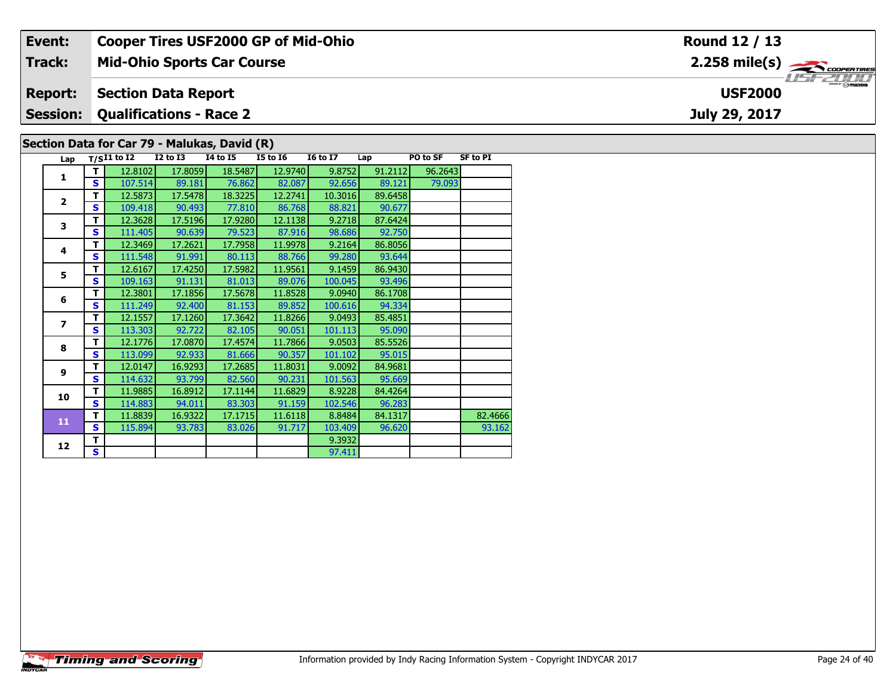| Event:          |                                              |          |          |          | <b>Cooper Tires USF2000 GP of Mid-Ohio</b> |     |          |                 | Round 12 / 13                                                                |  |  |  |  |
|-----------------|----------------------------------------------|----------|----------|----------|--------------------------------------------|-----|----------|-----------------|------------------------------------------------------------------------------|--|--|--|--|
| <b>Track:</b>   | <b>Mid-Ohio Sports Car Course</b>            |          |          |          |                                            |     |          |                 | $2.258$ mile(s) $\overbrace{\hspace{2.5cm}}$ coder Tires<br><b>LISE 2000</b> |  |  |  |  |
| <b>Report:</b>  | <b>Section Data Report</b><br><b>USF2000</b> |          |          |          |                                            |     |          |                 |                                                                              |  |  |  |  |
| <b>Session:</b> | <b>Qualifications - Race 2</b>               |          |          |          |                                            |     |          | July 29, 2017   |                                                                              |  |  |  |  |
|                 | Section Data for Car 79 - Malukas, David (R) |          |          |          |                                            |     |          |                 |                                                                              |  |  |  |  |
|                 | Lan $T/SI1$ to I2                            | I2 to I3 | 14 to 15 | I5 to I6 | <b>I6 to I7</b>                            | Lap | PO to SF | <b>SF to PI</b> |                                                                              |  |  |  |  |

| Lap            |    | $T/SI1$ to $I2$ | <b>I2 to I3</b> | <b>I4 to I5</b> | <b>I5 to 16</b> | <b>16 to 17</b> | Lap     | PO to SF | <b>SF to PI</b> |
|----------------|----|-----------------|-----------------|-----------------|-----------------|-----------------|---------|----------|-----------------|
| 1              | T  | 12.8102         | 17.8059         | 18.5487         | 12.9740         | 9.8752          | 91.2112 | 96.2643  |                 |
|                | S. | 107.514         | 89.181          | 76.862          | 82.087          | 92.656          | 89.121  | 79.093   |                 |
| $\overline{2}$ | т  | 12.5873         | 17.5478         | 18.3225         | 12.2741         | 10.3016         | 89.6458 |          |                 |
|                | S  | 109.418         | 90.493          | 77.810          | 86.768          | 88.821          | 90.677  |          |                 |
| 3              | т  | 12.3628         | 17.5196         | 17.9280         | 12.1138         | 9.2718          | 87.6424 |          |                 |
|                | S  | 111.405         | 90.639          | 79.523          | 87.916          | 98.686          | 92.750  |          |                 |
| 4              | т  | 12.3469         | 17.2621         | 17.7958         | 11.9978         | 9.2164          | 86.8056 |          |                 |
|                | S. | 111.548         | 91.991          | 80.113          | 88.766          | 99.280          | 93.644  |          |                 |
| 5              | т  | 12.6167         | 17.4250         | 17.5982         | 11.9561         | 9.1459          | 86.9430 |          |                 |
|                | S  | 109.163         | 91.131          | 81.013          | 89.076          | 100.045         | 93.496  |          |                 |
| 6              | т  | 12.3801         | 17.1856         | 17.5678         | 11.8528         | 9.0940          | 86.1708 |          |                 |
|                | S  | 111.249         | 92.400          | 81.153          | 89.852          | 100.616         | 94.334  |          |                 |
| $\overline{ }$ | т  | 12.1557         | 17.1260         | 17.3642         | 11.8266         | 9.0493          | 85.4851 |          |                 |
|                | S  | 113.303         | 92.722          | 82.105          | 90.051          | 101.113         | 95.090  |          |                 |
| 8              | T  | 12.1776         | 17.0870         | 17.4574         | 11.7866         | 9.0503          | 85.5526 |          |                 |
|                | S  | 113.099         | 92.933          | 81.666          | 90.357          | 101.102         | 95.015  |          |                 |
| 9              | т  | 12.0147         | 16.9293         | 17.2685         | 11.8031         | 9.0092          | 84.9681 |          |                 |
|                | S  | 114.632         | 93.799          | 82.560          | 90.231          | 101.563         | 95.669  |          |                 |
| 10             | т  | 11.9885         | 16.8912         | 17.1144         | 11.6829         | 8.9228          | 84.4264 |          |                 |
|                | S  | 114.883         | 94.011          | 83.303          | 91.159          | 102.546         | 96.283  |          |                 |
| 11             | т  | 11.8839         | 16.9322         | 17.1715         | 11.6118         | 8.8484          | 84.1317 |          | 82.4666         |
|                | S  | 115.894         | 93.783          | 83.026          | 91.717          | 103.409         | 96.620  |          | 93.162          |
| 12             | т  |                 |                 |                 |                 | 9.3932          |         |          |                 |
|                | S. |                 |                 |                 |                 | 97.411          |         |          |                 |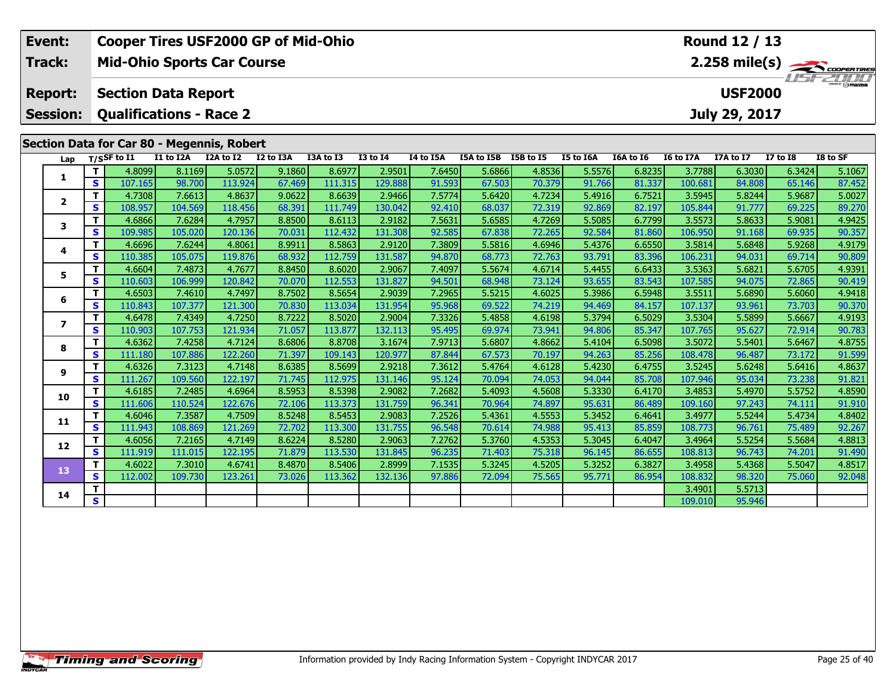| Event:                                                                                                                                              | <b>Cooper Tires USF2000 GP of Mid-Ohio</b><br>Round 12 / 13<br><b>Mid-Ohio Sports Car Course</b><br>$2.258 \text{ mile(s)}$ |                                |           |           |           |           |                  |           |                  |          |        |        |                   |                  |        |        |
|-----------------------------------------------------------------------------------------------------------------------------------------------------|-----------------------------------------------------------------------------------------------------------------------------|--------------------------------|-----------|-----------|-----------|-----------|------------------|-----------|------------------|----------|--------|--------|-------------------|------------------|--------|--------|
| <b>Track:</b>                                                                                                                                       |                                                                                                                             |                                |           |           |           |           |                  |           |                  |          |        |        |                   |                  |        |        |
| <b>Report:</b>                                                                                                                                      |                                                                                                                             | <b>Section Data Report</b>     |           |           |           |           |                  |           |                  |          |        |        |                   | <b>USF2000</b>   |        |        |
| <b>Session:</b>                                                                                                                                     |                                                                                                                             | <b>Qualifications - Race 2</b> |           |           |           |           |                  |           |                  |          |        |        |                   | July 29, 2017    |        |        |
| Section Data for Car 80 - Megennis, Robert<br>$T/S$ SF to $I1$<br>I3A to I3<br><b>I3 to I4</b><br>I4 to I5A<br>I5A to I5B<br>I5B to I5<br>I5 to I6A |                                                                                                                             |                                |           |           |           |           |                  |           |                  |          |        |        |                   |                  |        |        |
| Lap                                                                                                                                                 |                                                                                                                             |                                | I1 to I2A | I2A to I2 | I2 to I3A | I6A to I6 | <b>I6 to I7A</b> | I7A to I7 | $I7$ to $I8$     | I8 to SF |        |        |                   |                  |        |        |
|                                                                                                                                                     | T.                                                                                                                          | 4.8099                         | 8.1169    | 5.0572    | 9.1860    | 8.6977    | 2.9501           | 7.6450    | 5.6866           | 4.8536   | 5.5576 | 6.8235 | 3.7788            | 6.3030           | 6.3424 | 5.1067 |
| 1                                                                                                                                                   | S                                                                                                                           | 107.165                        | 98.700    | 113.924   | 67.469    | 111.315   | 129.888          | 91.593    | 67.503           | 70.379   | 91.766 | 81.337 | 100.681           | 84.808           | 65.146 | 87.452 |
|                                                                                                                                                     | $\mathbf T$                                                                                                                 | 4.7308                         | 7.6613    | 4.8637    | 9.0622    | 8.6639    | 2.9466           | 7.5774    | 5.6420           | 4.7234   | 5.4916 | 6.7521 | 3.5945            | 5.8244           | 5.9687 | 5.0027 |
| $\mathbf{2}$                                                                                                                                        | $\mathbf{s}$                                                                                                                | 108.957                        | 104.569   | 118.456   | 68.391    | 111.749   | 130.042          | 92.410    | 68.037           | 72.319   | 92.869 | 82.197 | 105.844           | 91.777           | 69.225 | 89.270 |
| 3                                                                                                                                                   | T                                                                                                                           | 4.6866                         | 7.6284    | 4.7957    | 8.8500    | 8.6113    | 2.9182           | 7.5631    | 5.6585           | 4.7269   | 5.5085 | 6.7799 | 3.5573            | 5.8633           | 5.9081 | 4.9425 |
|                                                                                                                                                     | $\mathbf{s}$                                                                                                                | 109.985                        | 105.020   | 120.136   | 70.031    | 112.432   | 131.308          | 92.585    | 67.838           | 72.265   | 92.584 | 81.860 | 106.950           | 91.168           | 69.935 | 90.357 |
| 4                                                                                                                                                   | T.                                                                                                                          | 4.6696                         | 7.6244    | 4.8061    | 8.9911    | 8.5863    | 2.9120           | 7.3809    | 5.5816           | 4.6946   | 5.4376 | 6.6550 | 3.5814            | 5.6848           | 5.9268 | 4.9179 |
|                                                                                                                                                     | $\mathbf{s}$                                                                                                                | 110.385                        | 105.075   | 119.876   | 68.932    | 112.759   | 131.587          | 94.870    | 68.773           | 72.763   | 93.791 | 83.396 | 106.231           | 94.031           | 69.714 | 90.809 |
| 5                                                                                                                                                   | Т                                                                                                                           | 4.6604                         | 7.4873    | 4.7677    | 8.8450    | 8.6020    | 2.9067           | 7.4097    | 5.5674           | 4.6714   | 5.4455 | 6.6433 | 3.5363            | 5.6821           | 5.6705 | 4.9391 |
|                                                                                                                                                     | S                                                                                                                           | 110.603                        | 106.999   | 120.842   | 70.070    | 112.553   | 131.827          | 94.501    | 68.948           | 73.124   | 93.655 | 83.543 | 107.585           | 94.075           | 72.865 | 90.419 |
| 6                                                                                                                                                   | T.                                                                                                                          | 4.6503                         | 7.4610    | 4.7497    | 8.7502    | 8.5654    | 2.9039           | 7.2965    | 5.5215           | 4.6025   | 5.3986 | 6.5948 | 3.5511            | 5.6890           | 5.6060 | 4.9418 |
|                                                                                                                                                     | $\mathbf{s}$                                                                                                                | 110.843                        | 107.377   | 121.300   | 70.830    | 113.034   | 131.954          | 95.968    | 69.522           | 74.219   | 94.469 | 84.157 | 107.137           | 93.961           | 73.703 | 90.370 |
| $\overline{\phantom{a}}$                                                                                                                            | T                                                                                                                           | 4.6478                         | 7.4349    | 4.7250    | 8.7222    | 8.5020    | 2.9004           | 7.3326    | 5.4858           | 4.6198   | 5.3794 | 6.5029 | 3.5304            | 5.5899           | 5.6667 | 4.9193 |
|                                                                                                                                                     | $\mathbf{s}$                                                                                                                | 110.903                        | 107.753   | 121.934   | 71.057    | 113.877   | 132.113          | 95.495    | 69.974           | 73.941   | 94.806 | 85.347 | 107.765           | 95.627           | 72.914 | 90.783 |
| 8                                                                                                                                                   | T                                                                                                                           | 4.6362                         | 7.4258    | 4.7124    | 8.6806    | 8.8708    | 3.1674           | 7.9713    | 5.6807           | 4.8662   | 5.4104 | 6.5098 | 3.5072            | 5.5401           | 5.6467 | 4.8755 |
|                                                                                                                                                     | $\mathbf{s}$                                                                                                                | 111.180                        | 107.886   | 122.260   | 71.397    | 109.143   | 120.977          | 87.844    | 67.573           | 70.197   | 94.263 | 85.256 | 108.478           | 96.487           | 73.172 | 91.599 |
| 9                                                                                                                                                   | T                                                                                                                           | 4.6326                         | 7.3123    | 4.7148    | 8.6385    | 8.5699    | 2.9218           | 7.3612    | 5.4764           | 4.6128   | 5.4230 | 6.4755 | 3.5245            | 5.6248           | 5.6416 | 4.8637 |
|                                                                                                                                                     | $\mathbf{s}$                                                                                                                | 111.267                        | 109.560   | 122.197   | 71.745    | 112.975   | 131.146          | 95.124    | 70.094           | 74.053   | 94.044 | 85.708 | 107.946           | 95.034           | 73.238 | 91.821 |
| 10                                                                                                                                                  | $\mathbf T$                                                                                                                 | 4.6185                         | 7.2485    | 4.6964    | 8.5953    | 8.5398    | 2.9082           | 7.2682    | 5.4093           | 4.5608   | 5.3330 | 6.4170 | 3.4853            | 5.4970           | 5.5752 | 4.8590 |
|                                                                                                                                                     | $\mathbf{s}$                                                                                                                | 111.606                        | 110.524   | 122.676   | 72.106    | 113.373   | 131.759          | 96.341    | 70.964           | 74.897   | 95.631 | 86.489 | 109.160           | 97.243           | 74.111 | 91.910 |
| 11                                                                                                                                                  | $\mathbf T$                                                                                                                 | 4.6046                         | 7.3587    | 4.7509    | 8.5248    | 8.5453    | 2.9083           | 7.2526    | 5.4361           | 4.5553   | 5.3452 | 6.4641 | 3.4977            | 5.5244           | 5.4734 | 4.8402 |
|                                                                                                                                                     | $\mathbf{s}$                                                                                                                | 111.943                        | 108.869   | 121.269   | 72.702    | 113.300   | 131.755          | 96.548    | 70.614           | 74.988   | 95.413 | 85.859 | 108.773           | 96.761           | 75.489 | 92.267 |
| 12                                                                                                                                                  | $\mathbf{T}$                                                                                                                | 4.6056                         | 7.2165    | 4.7149    | 8.6224    | 8.5280    | 2.9063           | 7.2762    | 5.3760           | 4.5353   | 5.3045 | 6.4047 | 3.4964            | 5.5254           | 5.5684 | 4.8813 |
|                                                                                                                                                     | $\mathbf{s}$                                                                                                                | 111.919                        | 111.015   | 122.195   | 71.879    | 113.530   | 131.845          | 96.235    | 71.403<br>5.3245 | 75.318   | 96.145 | 86.655 | 108.813           | 96.743           | 74.201 | 91.490 |
| 13                                                                                                                                                  | T.                                                                                                                          | 4.6022                         | 7.3010    | 4.6741    | 8.4870    | 8.5406    | 2.8999           | 7.1535    |                  | 4.5205   | 5.3252 | 6.3827 | 3.4958            | 5.4368           | 5.5047 | 4.8517 |
|                                                                                                                                                     | S<br>T.                                                                                                                     | 112.002                        | 109.730   | 123.261   | 73.026    | 113.362   | 132.136          | 97.886    | 72.094           | 75.565   | 95.771 | 86.954 | 108.832<br>3.4901 | 98.320<br>5.5713 | 75.060 | 92.048 |
| 14                                                                                                                                                  | S                                                                                                                           |                                |           |           |           |           |                  |           |                  |          |        |        | 109.010           | 95.946           |        |        |
|                                                                                                                                                     |                                                                                                                             |                                |           |           |           |           |                  |           |                  |          |        |        |                   |                  |        |        |

**Timing and Scoring**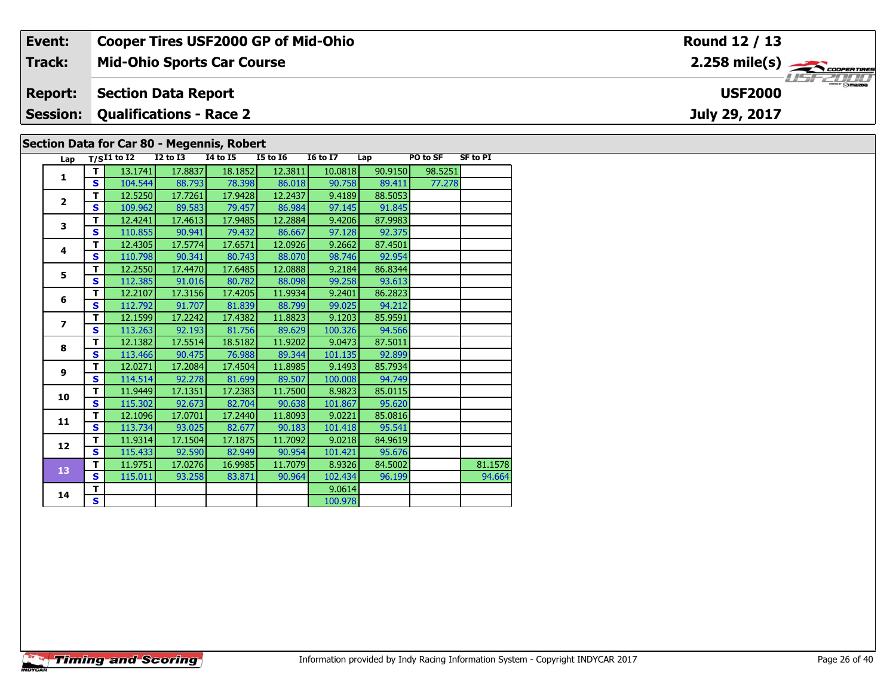| Event:         | <b>Cooper Tires USF2000 GP of Mid-Ohio</b>                  |                    |                 | Round 12 / 13                                            |  |  |  |  |  |  |  |  |
|----------------|-------------------------------------------------------------|--------------------|-----------------|----------------------------------------------------------|--|--|--|--|--|--|--|--|
| Track:         | <b>Mid-Ohio Sports Car Course</b>                           |                    |                 | $2.258$ mile(s) $\rightarrow$<br><i><b>LISF 2000</b></i> |  |  |  |  |  |  |  |  |
| <b>Report:</b> | <b>Section Data Report</b>                                  |                    |                 | <b>USF2000</b>                                           |  |  |  |  |  |  |  |  |
|                | <b>Session: Qualifications - Race 2</b>                     |                    |                 | July 29, 2017                                            |  |  |  |  |  |  |  |  |
|                | Section Data for Car 80 - Megennis, Robert                  |                    |                 |                                                          |  |  |  |  |  |  |  |  |
|                | $1 - n$ $T/CI1$ to $I2$<br>12 to 13<br>T4 to T5<br>15 to 16 | T6 to T7<br>l an i | <b>PO to SE</b> | SF to PT                                                 |  |  |  |  |  |  |  |  |

| Lap                     |                         | $T/SI1$ to I2 | <b>I2 to I3</b> | <b>I4 to I5</b> | <b>I5 to 16</b> | <b>16 to 17</b> | Lap     | PO to SF | <b>SF to PI</b> |
|-------------------------|-------------------------|---------------|-----------------|-----------------|-----------------|-----------------|---------|----------|-----------------|
| 1                       | т                       | 13.1741       | 17.8837         | 18.1852         | 12.3811         | 10.0818         | 90.9150 | 98.5251  |                 |
|                         | S                       | 104.544       | 88.793          | 78.398          | 86.018          | 90.758          | 89.411  | 77.278   |                 |
| $\overline{\mathbf{2}}$ | T.                      | 12.5250       | 17.7261         | 17.9428         | 12.2437         | 9.4189          | 88.5053 |          |                 |
|                         | $\mathbf{s}$            | 109.962       | 89.583          | 79.457          | 86.984          | 97.145          | 91.845  |          |                 |
| 3                       | T                       | 12.4241       | 17.4613         | 17.9485         | 12.2884         | 9.4206          | 87.9983 |          |                 |
|                         | S                       | 110.855       | 90.941          | 79.432          | 86.667          | 97.128          | 92.375  |          |                 |
| 4                       | T                       | 12.4305       | 17.5774         | 17.6571         | 12.0926         | 9.2662          | 87.4501 |          |                 |
|                         | S                       | 110.798       | 90.341          | 80.743          | 88.070          | 98.746          | 92.954  |          |                 |
| 5                       | T                       | 12.2550       | 17.4470         | 17.6485         | 12.0888         | 9.2184          | 86.8344 |          |                 |
|                         | S                       | 112.385       | 91.016          | 80.782          | 88.098          | 99.258          | 93.613  |          |                 |
| 6                       | T                       | 12.2107       | 17.3156         | 17.4205         | 11.9934         | 9.2401          | 86.2823 |          |                 |
|                         | S                       | 112.792       | 91.707          | 81.839          | 88.799          | 99.025          | 94.212  |          |                 |
| $\overline{ }$          | т                       | 12.1599       | 17.2242         | 17.4382         | 11.8823         | 9.1203          | 85.9591 |          |                 |
|                         | S                       | 113.263       | 92.193          | 81.756          | 89.629          | 100.326         | 94.566  |          |                 |
| 8                       | T                       | 12.1382       | 17.5514         | 18.5182         | 11.9202         | 9.0473          | 87.5011 |          |                 |
|                         | $\mathbf{s}$            | 113.466       | 90.475          | 76.988          | 89.344          | 101.135         | 92.899  |          |                 |
| 9                       | T                       | 12.0271       | 17.2084         | 17.4504         | 11.8985         | 9.1493          | 85.7934 |          |                 |
|                         | $\mathbf{s}$            | 114.514       | 92.278          | 81.699          | 89.507          | 100.008         | 94.749  |          |                 |
| 10                      | T                       | 11.9449       | 17.1351         | 17.2383         | 11.7500         | 8.9823          | 85.0115 |          |                 |
|                         | $\mathbf{s}$            | 115.302       | 92.673          | 82.704          | 90.638          | 101.867         | 95.620  |          |                 |
| 11                      | T                       | 12.1096       | 17.0701         | 17.2440         | 11.8093         | 9.0221          | 85.0816 |          |                 |
|                         | $\overline{\mathbf{s}}$ | 113.734       | 93.025          | 82.677          | 90.183          | 101.418         | 95.541  |          |                 |
| 12                      | T                       | 11.9314       | 17.1504         | 17.1875         | 11.7092         | 9.0218          | 84.9619 |          |                 |
|                         | S                       | 115.433       | 92.590          | 82.949          | 90.954          | 101.421         | 95.676  |          |                 |
| 13                      | T                       | 11.9751       | 17.0276         | 16.9985         | 11.7079         | 8.9326          | 84.5002 |          | 81.1578         |
|                         | $\mathbf{s}$            | 115.011       | 93.258          | 83.871          | 90.964          | 102.434         | 96.199  |          | 94.664          |
| 14                      | T                       |               |                 |                 |                 | 9.0614          |         |          |                 |
|                         | $\overline{\mathbf{s}}$ |               |                 |                 |                 | 100.978         |         |          |                 |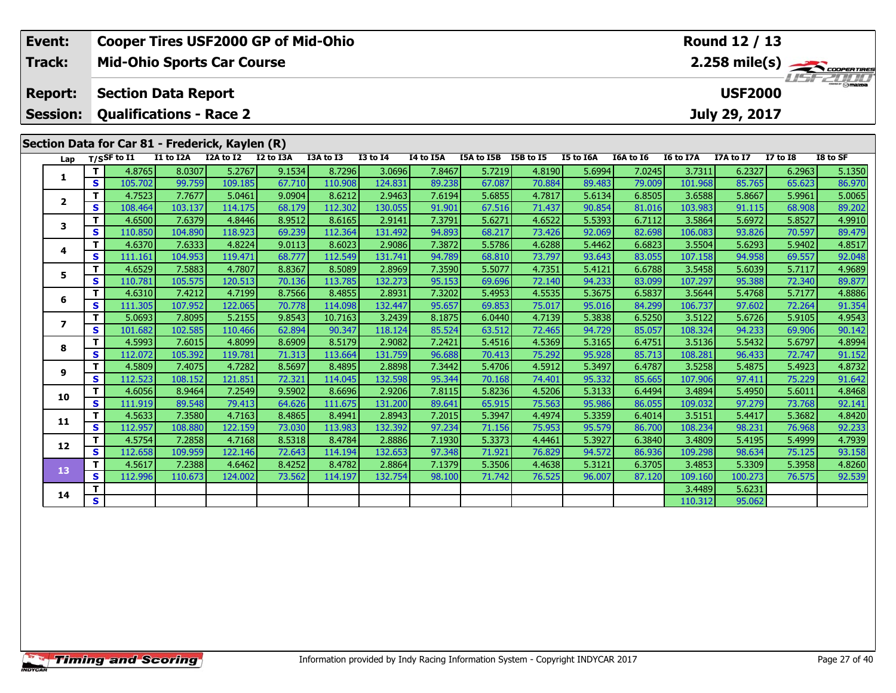| Event:                  |                                                                                                                                                                                                                                                                                                |                                                 |                   |                   | <b>Cooper Tires USF2000 GP of Mid-Ohio</b> |                   |                   |                  |                      |                  |                  |                  |                   | Round 12 / 13    |                  |                         |
|-------------------------|------------------------------------------------------------------------------------------------------------------------------------------------------------------------------------------------------------------------------------------------------------------------------------------------|-------------------------------------------------|-------------------|-------------------|--------------------------------------------|-------------------|-------------------|------------------|----------------------|------------------|------------------|------------------|-------------------|------------------|------------------|-------------------------|
| Track:                  |                                                                                                                                                                                                                                                                                                | <b>Mid-Ohio Sports Car Course</b>               |                   |                   |                                            |                   |                   |                  |                      |                  |                  |                  |                   |                  |                  | $2.258 \text{ mile(s)}$ |
| <b>Report:</b>          |                                                                                                                                                                                                                                                                                                | <b>Section Data Report</b>                      |                   |                   |                                            |                   |                   |                  |                      |                  |                  |                  |                   | <b>USF2000</b>   |                  |                         |
| <b>Session:</b>         |                                                                                                                                                                                                                                                                                                | <b>Qualifications - Race 2</b>                  |                   |                   |                                            |                   |                   |                  |                      |                  |                  |                  |                   | July 29, 2017    |                  |                         |
|                         |                                                                                                                                                                                                                                                                                                |                                                 |                   |                   |                                            |                   |                   |                  |                      |                  |                  |                  |                   |                  |                  |                         |
|                         |                                                                                                                                                                                                                                                                                                | Section Data for Car 81 - Frederick, Kaylen (R) |                   |                   |                                            |                   |                   |                  |                      |                  |                  |                  |                   |                  |                  |                         |
| Lap                     |                                                                                                                                                                                                                                                                                                | $T/S$ SF to $I1$                                | I1 to I2A         | I2A to I2         | I2 to I3A                                  | I3A to I3         | <b>I3 to I4</b>   | I4 to I5A        | I5A to I5B I5B to I5 |                  | I5 to I6A        | I6A to I6        | <b>I6 to I7A</b>  | I7A to I7        | <b>I7 to I8</b>  | I8 to SF                |
| 1                       | 5.2767<br>T.<br>4.8765<br>9.1534<br>8.7296<br>7.8467<br>5.7219<br>4.8190<br>8.0307<br>3.0696<br>S<br>105.702<br>99.759<br>109.185<br>67.710<br>110.908<br>89.238<br>67.087<br>124.831<br>70.884<br>7.7677<br>T<br>4.7523<br>9.0904<br>5.0461<br>8.6212<br>2.9463<br>7.6194<br>5.6855<br>4.7817 |                                                 |                   |                   |                                            |                   |                   |                  |                      |                  | 5.6994           | 7.0245           | 3.7311            | 6.2327           | 6.2963           | 5.1350                  |
|                         |                                                                                                                                                                                                                                                                                                |                                                 |                   |                   |                                            |                   |                   |                  |                      |                  | 89.483<br>5.6134 | 79.009<br>6.8505 | 101.968<br>3.6588 | 85.765<br>5.8667 | 65.623<br>5.9961 | 86.970<br>5.0065        |
| $\mathbf{2}$            | $\mathbf{s}$                                                                                                                                                                                                                                                                                   | 108.464                                         | 103.137           | 114.175           | 68.179                                     | 112.302           | 130.055           | 91.901           | 67.516               | 71.437           | 90.854           | 81.016           | 103.983           | 91.115           | 68.908           | 89.202                  |
|                         | T                                                                                                                                                                                                                                                                                              | 4.6500                                          | 7.6379            | 4.8446            | 8.9512                                     | 8.6165            | 2.9141            | 7.3791           | 5.6271               | 4.6522           | 5.5393           | 6.7112           | 3.5864            | 5.6972           | 5.8527           | 4.9910                  |
| 3                       | $\mathbf{s}$                                                                                                                                                                                                                                                                                   | 110.850                                         | 104.890           | 118.923           | 69.239                                     | 112.364           | 131.492           | 94.893           | 68.217               | 73.426           | 92.069           | 82.698           | 106.083           | 93.826           | 70.597           | 89.479                  |
|                         | T.                                                                                                                                                                                                                                                                                             | 4.6370                                          | 7.6333            | 4.8224            | 9.0113                                     | 8.6023            | 2.9086            | 7.3872           | 5.5786               | 4.6288           | 5.4462           | 6.6823           | 3.5504            | 5.6293           | 5.9402           | 4.8517                  |
| 4                       | $\mathbf s$                                                                                                                                                                                                                                                                                    | 111.161                                         | 104.953           | 119.471           | 68.777                                     | 112.549           | 131.741           | 94.789           | 68.810               | 73.797           | 93.643           | 83.055           | 107.158           | 94.958           | 69.557           | 92.048                  |
|                         | т                                                                                                                                                                                                                                                                                              | 4.6529                                          | 7.5883            | 4.7807            | 8.8367                                     | 8.5089            | 2.8969            | 7.3590           | 5.5077               | 4.7351           | 5.4121           | 6.6788           | 3.5458            | 5.6039           | 5.7117           | 4.9689                  |
| 5                       | S                                                                                                                                                                                                                                                                                              | 110.781                                         | 105.575           | 120.513           | 70.136                                     | 113.785           | 132.273           | 95.153           | 69.696               | 72.140           | 94.233           | 83.099           | 107.297           | 95.388           | 72.340           | 89.877                  |
| 6                       | т                                                                                                                                                                                                                                                                                              | 4.6310                                          | 7.4212            | 4.7199            | 8.7566                                     | 8.4855            | 2.8931            | 7.3202           | 5.4953               | 4.5535           | 5.3675           | 6.5837           | 3.5644            | 5.4768           | 5.7177           | 4.8886                  |
|                         | $\mathbf{s}$                                                                                                                                                                                                                                                                                   | 111.305                                         | 107.952           | 122.065           | 70.778                                     | 114.098           | 132.447           | 95.657           | 69.853               | 75.017           | 95.016           | 84.299           | 106.737           | 97.602           | 72.264           | 91.354                  |
| $\overline{\mathbf{z}}$ | т                                                                                                                                                                                                                                                                                              | 5.0693                                          | 7.8095            | 5.2155            | 9.8543                                     | 10.7163           | 3.2439            | 8.1875           | 6.0440               | 4.7139           | 5.3838           | 6.5250           | 3.5122            | 5.6726           | 5.9105           | 4.9543                  |
|                         | $\mathbf{s}$                                                                                                                                                                                                                                                                                   | 101.682                                         | 102.585           | 110.466           | 62.894                                     | 90.347            | 118.124           | 85.524           | 63.512               | 72.465           | 94.729           | 85.057           | 108.324           | 94.233           | 69.906           | 90.142                  |
| 8                       | T.                                                                                                                                                                                                                                                                                             | 4.5993                                          | 7.6015            | 4.8099            | 8.6909                                     | 8.5179            | 2.9082            | 7.2421           | 5.4516               | 4.5369           | 5.3165           | 6.4751           | 3.5136            | 5.5432           | 5.6797           | 4.8994                  |
|                         | $\mathbf{s}$                                                                                                                                                                                                                                                                                   | 112.072                                         | 105.392           | 119.781           | 71.313                                     | 113.664           | 131.759           | 96.688           | 70.413               | 75.292           | 95.928           | 85.713           | 108.281           | 96.433           | 72.747           | 91.152                  |
| 9                       | т                                                                                                                                                                                                                                                                                              | 4.5809                                          | 7.4075            | 4.7282            | 8.5697                                     | 8.4895            | 2.8898            | 7.3442           | 5.4706               | 4.5912           | 5.3497           | 6.4787           | 3.5258            | 5.4875           | 5.4923           | 4.8732                  |
|                         | $\mathbf{s}$                                                                                                                                                                                                                                                                                   | 112.523                                         | 108.152           | 121.851           | 72.321                                     | 114.045           | 132.598           | 95.344           | 70.168               | 74.401           | 95.332           | 85.665           | 107.906           | 97.411           | 75.229           | 91.642                  |
| 10                      | т                                                                                                                                                                                                                                                                                              | 4.6056                                          | 8.9464            | 7.2549            | 9.5902                                     | 8.6696            | 2.9206            | 7.8115           | 5.8236               | 4.5206           | 5.3133           | 6.4494           | 3.4894            | 5.4950           | 5.6011           | 4.8468                  |
|                         | $\mathbf{s}$                                                                                                                                                                                                                                                                                   | 111.919                                         | 89.548            | 79.413            | 64.626                                     | 111.675           | 131.200           | 89.641           | 65.915               | 75.563           | 95.986           | 86.055           | 109.032           | 97.279           | 73.768           | 92.141                  |
| 11                      | т<br>S                                                                                                                                                                                                                                                                                         | 4.5633<br>112.957                               | 7.3580<br>108.880 | 4.7163<br>122.159 | 8.4865<br>73.030                           | 8.4941<br>113.983 | 2.8943<br>132.392 | 7.2015<br>97.234 | 5.3947<br>71.156     | 4.4974<br>75.953 | 5.3359<br>95.579 | 6.4014<br>86.700 | 3.5151<br>108.234 | 5.4417<br>98.231 | 5.3682<br>76.968 | 4.8420<br>92.233        |
|                         | т                                                                                                                                                                                                                                                                                              | 4.5754                                          | 7.2858            | 4.7168            | 8.5318                                     | 8.4784            | 2.8886            | 7.1930           | 5.3373               | 4.4461           | 5.3927           | 6.3840           | 3.4809            | 5.4195           | 5.4999           | 4.7939                  |
| 12                      | $\mathbf{s}$                                                                                                                                                                                                                                                                                   | 112.658                                         | 109.959           | 122.146           | 72.643                                     | 114.194           | 132.653           | 97.348           | 71.921               | 76.829           | 94.572           | 86.936           | 109.298           | 98.634           | 75.125           | 93.158                  |
|                         | $\mathbf{T}$                                                                                                                                                                                                                                                                                   | 4.5617                                          | 7.2388            | 4.6462            | 8.4252                                     | 8.4782            | 2.8864            | 7.1379           | 5.3506               | 4.4638           | 5.3121           | 6.3705           | 3.4853            | 5.3309           | 5.3958           | 4.8260                  |
| 13                      | $\mathbf{s}$                                                                                                                                                                                                                                                                                   | 112.996                                         | 110.673           | 124.002           | 73.562                                     | 114.197           | 132.754           | 98.100           | 71.742               | 76.525           | 96.007           | 87.120           | 109.160           | 100.273          | 76.575           | 92.539                  |
|                         | т                                                                                                                                                                                                                                                                                              |                                                 |                   |                   |                                            |                   |                   |                  |                      |                  |                  |                  | 3.4489            | 5.6231           |                  |                         |
| 14                      | $\mathbf{s}$                                                                                                                                                                                                                                                                                   |                                                 |                   |                   |                                            |                   |                   |                  |                      |                  |                  |                  | 110.312           | 95.062           |                  |                         |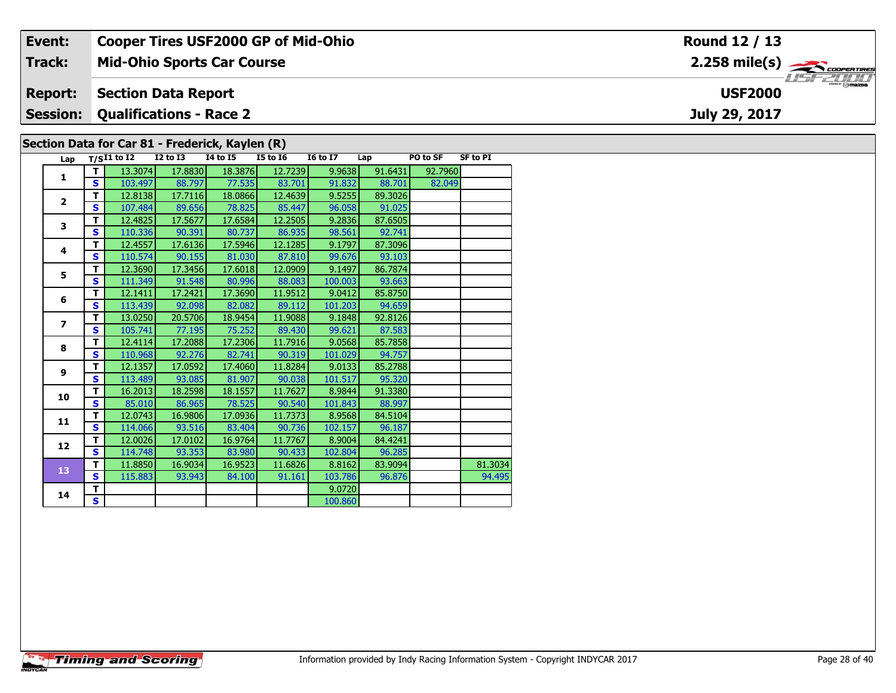| Event:          |                                |                   |                            | <b>Cooper Tires USF2000 GP of Mid-Ohio</b>      |          |                 |         |          |                 | Round 12 / 13                             |
|-----------------|--------------------------------|-------------------|----------------------------|-------------------------------------------------|----------|-----------------|---------|----------|-----------------|-------------------------------------------|
| <b>Track:</b>   |                                |                   |                            | <b>Mid-Ohio Sports Car Course</b>               |          |                 |         |          |                 | $2.258$ mile(s) $\rightarrow$ COOPERTIRES |
| <b>Report:</b>  |                                |                   | <b>Section Data Report</b> |                                                 |          |                 |         |          |                 | $-2000$<br><b>USF2000</b>                 |
| <b>Session:</b> | <b>Qualifications - Race 2</b> |                   |                            |                                                 |          |                 |         |          | July 29, 2017   |                                           |
|                 |                                |                   |                            | Section Data for Car 81 - Frederick, Kaylen (R) |          |                 |         |          |                 |                                           |
|                 |                                | Lap $T/SI1$ to I2 | I2 to I3                   | I4 to I5                                        | I5 to I6 | <b>16 to 17</b> | Lap     | PO to SF | <b>SF to PI</b> |                                           |
|                 |                                | 13.3074           | 17.8830                    | 18.3876                                         | 12.7239  | 9.9638          | 91.6431 | 92.7960  |                 |                                           |
|                 | S.                             | 103.497           | 88.797                     | 77.535                                          | 83.701   | 91.832          | 88.701  | 82.049   |                 |                                           |

| Lap            |              | $T/SI1$ to I2 | <b>I2 to I3</b> | 14 to 15 | <b>I5 to 16</b> | <b>16 to 17</b> | Lap     | PO to SF | <b>SF to PI</b> |
|----------------|--------------|---------------|-----------------|----------|-----------------|-----------------|---------|----------|-----------------|
| 1              | т            | 13.3074       | 17,8830         | 18.3876  | 12.7239         | 9.9638          | 91.6431 | 92.7960  |                 |
|                | S            | 103.497       | 88.797          | 77.535   | 83.701          | 91.832          | 88.701  | 82.049   |                 |
| $\overline{2}$ | т            | 12.8138       | 17.7116         | 18.0866  | 12.4639         | 9.5255          | 89.3026 |          |                 |
|                | S            | 107.484       | 89.656          | 78.825   | 85.447          | 96.058          | 91.025  |          |                 |
| 3              | т            | 12.4825       | 17.5677         | 17.6584  | 12.2505         | 9.2836          | 87.6505 |          |                 |
|                | S            | 110.336       | 90.391          | 80.737   | 86.935          | 98.561          | 92.741  |          |                 |
| 4              | T            | 12.4557       | 17.6136         | 17.5946  | 12.1285         | 9.1797          | 87.3096 |          |                 |
|                | S            | 110.574       | 90.155          | 81.030   | 87.810          | 99.676          | 93.103  |          |                 |
| 5              | T            | 12.3690       | 17.3456         | 17.6018  | 12.0909         | 9.1497          | 86.7874 |          |                 |
|                | S            | 111.349       | 91.548          | 80.996   | 88.083          | 100.003         | 93.663  |          |                 |
| 6              | T            | 12.1411       | 17.2421         | 17.3690  | 11.9512         | 9.0412          | 85.8750 |          |                 |
|                | S            | 113.439       | 92.098          | 82.082   | 89.112          | 101.203         | 94.659  |          |                 |
| $\overline{ }$ | T            | 13.0250       | 20.5706         | 18.9454  | 11.9088         | 9.1848          | 92.8126 |          |                 |
|                | $\mathbf{s}$ | 105.741       | 77.195          | 75.252   | 89.430          | 99.621          | 87.583  |          |                 |
| 8              | T            | 12.4114       | 17.2088         | 17.2306  | 11.7916         | 9.0568          | 85.7858 |          |                 |
|                | $\mathbf{s}$ | 110.968       | 92.276          | 82.741   | 90.319          | 101.029         | 94.757  |          |                 |
| 9              | T            | 12.1357       | 17.0592         | 17.4060  | 11.8284         | 9.0133          | 85.2788 |          |                 |
|                | $\mathbf{s}$ | 113.489       | 93.085          | 81.907   | 90.038          | 101.517         | 95.320  |          |                 |
| 10             | T            | 16.2013       | 18.2598         | 18.1557  | 11.7627         | 8.9844          | 91.3380 |          |                 |
|                | $\mathbf{s}$ | 85.010        | 86.965          | 78.525   | 90.540          | 101.843         | 88.997  |          |                 |
| 11             | T            | 12.0743       | 16.9806         | 17.0936  | 11.7373         | 8.9568          | 84.5104 |          |                 |
|                | $\mathbf{s}$ | 114.066       | 93.516          | 83.404   | 90.736          | 102.157         | 96.187  |          |                 |
| 12             | T            | 12.0026       | 17.0102         | 16.9764  | 11.7767         | 8.9004          | 84.4241 |          |                 |
|                | $\mathbf{s}$ | 114.748       | 93.353          | 83.980   | 90.433          | 102.804         | 96.285  |          |                 |
| 13             | т            | 11.8850       | 16.9034         | 16.9523  | 11.6826         | 8.8162          | 83.9094 |          | 81.3034         |
|                | $\mathbf{s}$ | 115.883       | 93.943          | 84.100   | 91.161          | 103.786         | 96.876  |          | 94.495          |
| 14             | т            |               |                 |          |                 | 9.0720          |         |          |                 |
|                | S            |               |                 |          |                 | 100.860         |         |          |                 |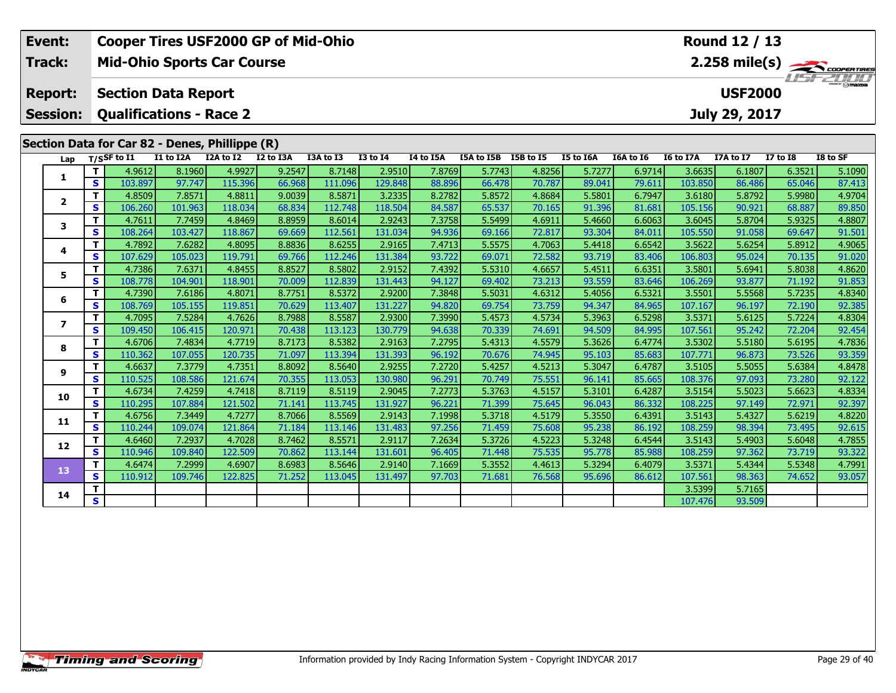| Event:                  |                   | <b>Cooper Tires USF2000 GP of Mid-Ohio</b>     |                   |                   |                  |                   |                   |                  |                      |                  |                  |                  |                   | Round 12 / 13    |                  |                         |
|-------------------------|-------------------|------------------------------------------------|-------------------|-------------------|------------------|-------------------|-------------------|------------------|----------------------|------------------|------------------|------------------|-------------------|------------------|------------------|-------------------------|
| Track:                  |                   | <b>Mid-Ohio Sports Car Course</b>              |                   |                   |                  |                   |                   |                  |                      |                  |                  |                  |                   |                  |                  | $2.258 \text{ mile(s)}$ |
| <b>Report:</b>          |                   | <b>Section Data Report</b>                     |                   |                   |                  |                   |                   |                  |                      |                  |                  |                  |                   | <b>USF2000</b>   |                  |                         |
| <b>Session:</b>         |                   | <b>Qualifications - Race 2</b>                 |                   |                   |                  |                   |                   |                  |                      |                  |                  |                  |                   | July 29, 2017    |                  |                         |
|                         |                   | Section Data for Car 82 - Denes, Phillippe (R) |                   |                   |                  |                   |                   |                  |                      |                  |                  |                  |                   |                  |                  |                         |
| Lap                     |                   | $T/S$ SF to I1                                 | I1 to I2A         | I2A to I2         | I2 to I3A        | I3A to I3         | <b>I3 to I4</b>   | I4 to I5A        | I5A to I5B I5B to I5 |                  | I5 to I6A        | I6A to I6        | <b>I6 to I7A</b>  | I7A to I7        | <b>I7 to I8</b>  | I8 to SF                |
|                         | T                 | 4.9612                                         | 8.1960            | 4.9927            | 9.2547           | 8.7148            | 2.9510            | 7.8769           | 5.7743               | 4.8256           | 5.7277           | 6.9714           | 3.6635            | 6.1807           | 6.3521           | 5.1090                  |
| 1                       | $\mathbf{s}$      | 103.897                                        | 97.747            | 115.396           | 66.968           | 111.096           | 129.848           | 88.896           | 66.478               | 70.787           | 89.041           | 79.611           | 103.850           | 86.486           | 65.046           | 87.413                  |
| $\mathbf{2}$            | T                 | 4.8509                                         | 7.8571            | 4.8811            | 9.0039           | 8.5871            | 3.2335            | 8.2782           | 5.8572               | 4.8684           | 5.5801           | 6.7947           | 3.6180            | 5.8792           | 5.9980           | 4.9704                  |
|                         | $\mathbf{s}$      | 106.260                                        | 101.963           | 118.034           | 68.834           | 112.748           | 118.504           | 84.587           | 65.537               | 70.165           | 91.396           | 81.681           | 105.156           | 90.921           | 68.887           | 89.850                  |
| 3                       | T                 | 4.7611                                         | 7.7459            | 4.8469            | 8.8959           | 8.6014            | 2.9243            | 7.3758           | 5.5499               | 4.6911           | 5.4660           | 6.6063           | 3.6045            | 5.8704           | 5.9325           | 4.8807                  |
|                         | S                 | 108.264                                        | 103.427           | 118.867           | 69.669           | 112.561           | 131.034           | 94.936           | 69.166               | 72.817           | 93.304           | 84.011           | 105.550           | 91.058           | 69.647           | 91.501                  |
| 4                       | T                 | 4.7892                                         | 7.6282            | 4.8095            | 8.8836           | 8.6255            | 2.9165            | 7.4713           | 5.5575               | 4.7063           | 5.4418           | 6.6542           | 3.5622            | 5.6254           | 5.8912           | 4.9065                  |
|                         | $\mathbf s$       | 107.629                                        | 105.023           | 119.791           | 69.766           | 112.246           | 131.384           | 93.722           | 69.071               | 72.582           | 93.719           | 83.406           | 106.803           | 95.024           | 70.135           | 91.020                  |
| 5.                      | T                 | 4.7386                                         | 7.6371            | 4.8455            | 8.8527           | 8.5802            | 2.9152            | 7.4392           | 5.5310               | 4.6657           | 5.4511           | 6.6351           | 3.5801            | 5.6941           | 5.8038           | 4.8620                  |
|                         | S                 | 108.778                                        | 104.901           | 118.901           | 70.009           | 112.839           | 131.443           | 94.127           | 69.402               | 73.213           | 93.559           | 83.646           | 106.269           | 93.877           | 71.192           | 91.853                  |
| 6                       | T                 | 4.7390                                         | 7.6186            | 4.8071            | 8.7751           | 8.5372            | 2.9200            | 7.3848           | 5.5031               | 4.6312           | 5.4056           | 6.5321           | 3.5501            | 5.5568           | 5.7235           | 4.8340                  |
|                         | $\mathbf{s}$      | 108.769                                        | 105.155           | 119.851           | 70.629           | 113.407           | 131.227           | 94.820           | 69.754               | 73.759           | 94.347           | 84.965           | 107.167           | 96.197           | 72.190           | 92.385                  |
| $\overline{\mathbf{z}}$ | T                 | 4.7095                                         | 7.5284            | 4.7626            | 8.7988           | 8.5587            | 2.9300            | 7.3990           | 5.4573               | 4.5734           | 5.3963           | 6.5298           | 3.5371            | 5.6125           | 5.7224           | 4.8304                  |
|                         | $\mathbf{s}$      | 109.450                                        | 106.415           | 120.971           | 70.438           | 113.123           | 130.779           | 94.638           | 70.339               | 74.691           | 94.509           | 84.995           | 107.561           | 95.242           | 72.204           | 92.454                  |
| 8                       | T                 | 4.6706                                         | 7.4834            | 4.7719            | 8.7173           | 8.5382            | 2.9163            | 7.2795           | 5.4313               | 4.5579           | 5.3626           | 6.4774           | 3.5302            | 5.5180           | 5.6195           | 4.7836                  |
|                         | $\mathbf s$       | 110.362                                        | 107.055<br>7.3779 | 120.735<br>4.7351 | 71.097           | 113.394           | 131.393<br>2.9255 | 96.192<br>7.2720 | 70.676               | 74.945           | 95.103           | 85.683           | 107.771<br>3.5105 | 96.873           | 73.526           | 93.359                  |
| 9                       | T<br>$\mathbf{s}$ | 4.6637<br>110.525                              | 108.586           | 121.674           | 8.8092<br>70.355 | 8.5640<br>113.053 | 130.980           | 96.291           | 5.4257<br>70.749     | 4.5213<br>75.551 | 5.3047<br>96.141 | 6.4787<br>85.665 | 108.376           | 5.5055<br>97.093 | 5.6384<br>73.280 | 4.8478<br>92.122        |
|                         | $\mathbf{T}$      | 4.6734                                         | 7.4259            | 4.7418            | 8.7119           | 8.5119            | 2.9045            | 7.2773           | 5.3763               | 4.5157           | 5.3101           | 6.4287           | 3.5154            | 5.5023           | 5.6623           | 4.8334                  |
| 10                      | $\mathbf{s}$      | 110.295                                        | 107.884           | 121.502           | 71.141           | 113.745           | 131.927           | 96.221           | 71.399               | 75.645           | 96.043           | 86.332           | 108.225           | 97.149           | 72.971           | 92.397                  |
|                         | T                 | 4.6756                                         | 7.3449            | 4.7277            | 8.7066           | 8.5569            | 2.9143            | 7.1998           | 5.3718               | 4.5179           | 5.3550           | 6.4391           | 3.5143            | 5.4327           | 5.6219           | 4.8220                  |
| 11                      | $\mathbf{s}$      | 110.244                                        | 109.074           | 121.864           | 71.184           | 113.146           | 131.483           | 97.256           | 71.459               | 75.608           | 95.238           | 86.192           | 108.259           | 98.394           | 73.495           | 92.615                  |
|                         | Т                 | 4.6460                                         | 7.2937            | 4.7028            | 8.7462           | 8.5571            | 2.9117            | 7.2634           | 5.3726               | 4.5223           | 5.3248           | 6.4544           | 3.5143            | 5.4903           | 5.6048           | 4.7855                  |
| 12                      | $\mathbf{s}$      | 110.946                                        | 109.840           | 122.509           | 70.862           | 113.144           | 131.601           | 96.405           | 71.448               | 75.535           | 95.778           | 85.988           | 108.259           | 97.362           | 73.719           | 93.322                  |
|                         | $\mathbf{T}$      | 4.6474                                         | 7.2999            | 4.6907            | 8.6983           | 8.5646            | 2.9140            | 7.1669           | 5.3552               | 4.4613           | 5.3294           | 6.4079           | 3.5371            | 5.4344           | 5.5348           | 4.7991                  |
| 13                      | S                 | 110.912                                        | 109.746           | 122.825           | 71.252           | 113.045           | 131.497           | 97.703           | 71.681               | 76.568           | 95.696           | 86.612           | 107.561           | 98.363           | 74.652           | 93.057                  |
|                         | т                 |                                                |                   |                   |                  |                   |                   |                  |                      |                  |                  |                  | 3.5399            | 5.7165           |                  |                         |
| 14                      | $\mathbf{s}$      |                                                |                   |                   |                  |                   |                   |                  |                      |                  |                  |                  | 107.476           | 93.509           |                  |                         |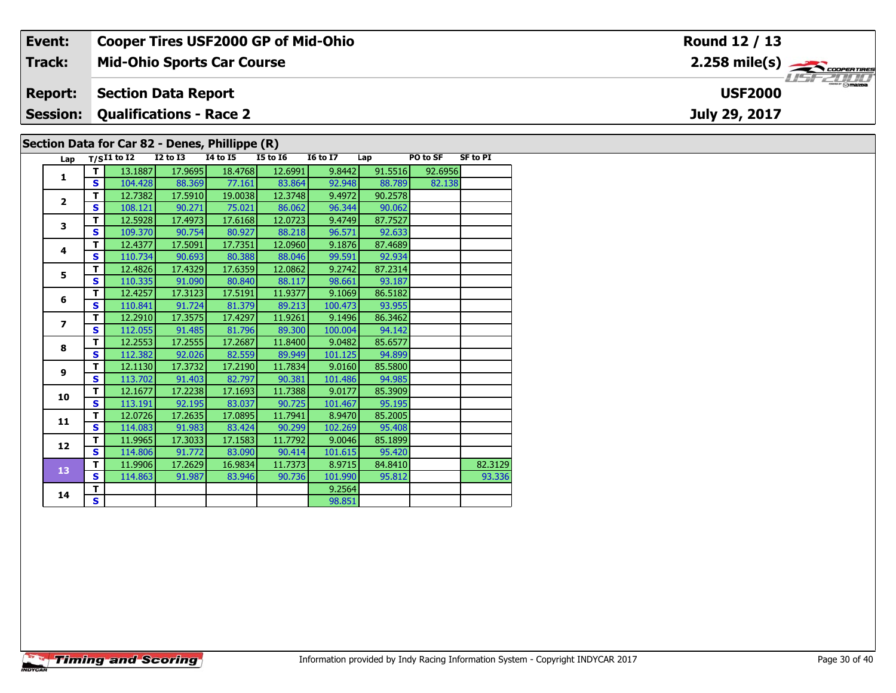| Event:                                         |                            | <b>Cooper Tires USF2000 GP of Mid-Ohio</b> |          |          |                 |     |          |                | Round 12 / 13                                     |  |  |
|------------------------------------------------|----------------------------|--------------------------------------------|----------|----------|-----------------|-----|----------|----------------|---------------------------------------------------|--|--|
| Track:                                         |                            | <b>Mid-Ohio Sports Car Course</b>          |          |          |                 |     |          |                | $2.258$ mile(s) $\rightarrow$<br><b>LIST 2000</b> |  |  |
| <b>Report:</b>                                 | <b>Section Data Report</b> |                                            |          |          |                 |     |          | <b>USF2000</b> |                                                   |  |  |
| <b>Session: Qualifications - Race 2</b>        |                            |                                            |          |          |                 |     |          |                | July 29, 2017                                     |  |  |
| Section Data for Car 82 - Denes, Phillippe (R) |                            |                                            |          |          |                 |     |          |                |                                                   |  |  |
| Lap                                            | $T/SI1$ to $I2$            | I2 to I3                                   | 14 to 15 | I5 to I6 | <b>I6 to I7</b> | Lap | PO to SF | SF to PI       |                                                   |  |  |

| Lap                     |              | $T/SI1$ to I2 | <b>I2 to I3</b> | 14 to 15 | <b>I5 to 16</b> | <b>16 to 17</b> | Lap     | PO to SF | <b>SF to PI</b> |
|-------------------------|--------------|---------------|-----------------|----------|-----------------|-----------------|---------|----------|-----------------|
| $\mathbf{1}$            | т            | 13.1887       | 17.9695         | 18.4768  | 12.6991         | 9.8442          | 91.5516 | 92.6956  |                 |
|                         | S.           | 104.428       | 88.369          | 77.161   | 83.864          | 92.948          | 88.789  | 82.138   |                 |
| $\overline{2}$          | т            | 12.7382       | 17.5910         | 19.0038  | 12.3748         | 9.4972          | 90.2578 |          |                 |
|                         | $\mathbf{s}$ | 108.121       | 90.271          | 75.021   | 86.062          | 96.344          | 90.062  |          |                 |
| 3                       | T            | 12.5928       | 17.4973         | 17.6168  | 12.0723         | 9.4749          | 87.7527 |          |                 |
|                         | S            | 109.370       | 90.754          | 80.927   | 88.218          | 96.571          | 92.633  |          |                 |
| 4                       | T            | 12.4377       | 17.5091         | 17.7351  | 12.0960         | 9.1876          | 87.4689 |          |                 |
|                         | S            | 110.734       | 90.693          | 80.388   | 88.046          | 99.591          | 92.934  |          |                 |
| 5                       | T            | 12.4826       | 17.4329         | 17.6359  | 12.0862         | 9.2742          | 87.2314 |          |                 |
|                         | S            | 110.335       | 91.090          | 80.840   | 88.117          | 98.661          | 93.187  |          |                 |
| 6                       | т            | 12.4257       | 17.3123         | 17.5191  | 11.9377         | 9.1069          | 86.5182 |          |                 |
|                         | S            | 110.841       | 91.724          | 81.379   | 89.213          | 100.473         | 93.955  |          |                 |
|                         | T            | 12.2910       | 17.3575         | 17.4297  | 11.9261         | 9.1496          | 86.3462 |          |                 |
| $\overline{\mathbf{z}}$ | S            | 112.055       | 91.485          | 81.796   | 89.300          | 100.004         | 94.142  |          |                 |
| 8                       | т            | 12.2553       | 17.2555         | 17.2687  | 11.8400         | 9.0482          | 85.6577 |          |                 |
|                         | S            | 112.382       | 92.026          | 82.559   | 89.949          | 101.125         | 94.899  |          |                 |
| 9                       | т            | 12.1130       | 17.3732         | 17.2190  | 11.7834         | 9.0160          | 85.5800 |          |                 |
|                         | S            | 113.702       | 91.403          | 82.797   | 90.381          | 101.486         | 94.985  |          |                 |
| 10                      | т            | 12.1677       | 17.2238         | 17.1693  | 11.7388         | 9.0177          | 85.3909 |          |                 |
|                         | $\mathbf{s}$ | 113.191       | 92.195          | 83.037   | 90.725          | 101.467         | 95.195  |          |                 |
| 11                      | T            | 12.0726       | 17.2635         | 17.0895  | 11.7941         | 8.9470          | 85.2005 |          |                 |
|                         | $\mathbf{s}$ | 114.083       | 91.983          | 83.424   | 90.299          | 102.269         | 95.408  |          |                 |
| 12                      | T            | 11.9965       | 17.3033         | 17.1583  | 11.7792         | 9.0046          | 85.1899 |          |                 |
|                         | $\mathbf{s}$ | 114.806       | 91.772          | 83.090   | 90.414          | 101.615         | 95.420  |          |                 |
| 13                      | т            | 11.9906       | 17.2629         | 16.9834  | 11.7373         | 8.9715          | 84.8410 |          | 82.3129         |
|                         | S            | 114.863       | 91.987          | 83.946   | 90.736          | 101.990         | 95.812  |          | 93.336          |
| 14                      | т            |               |                 |          |                 | 9.2564          |         |          |                 |
|                         | S.           |               |                 |          |                 | 98.851          |         |          |                 |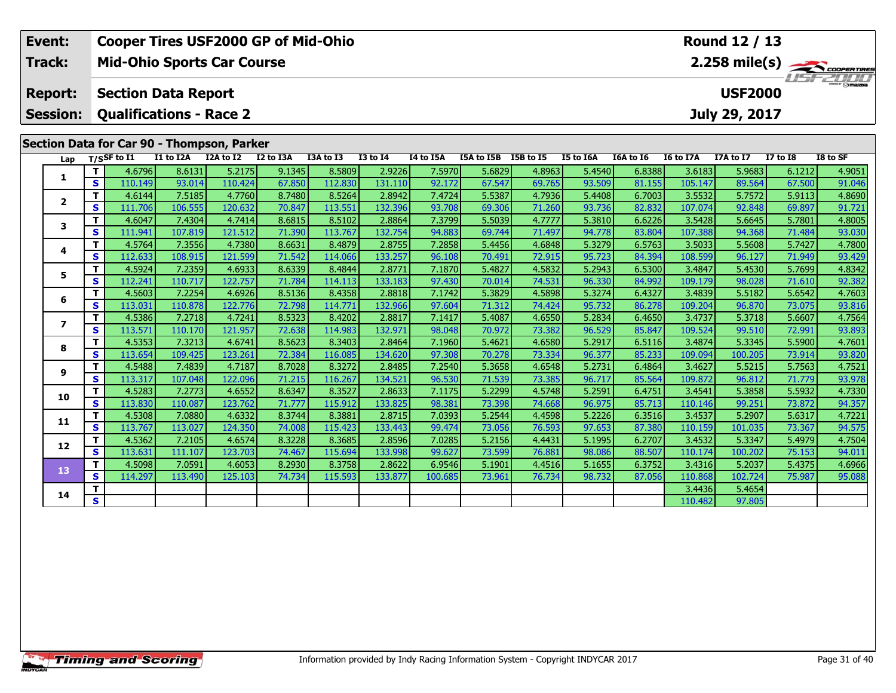| Event:            |                   | <b>Cooper Tires USF2000 GP of Mid-Ohio</b> |                   |                   |                  |                   |                   |                  |                      |                  |                  |                  |                   | Round 12 / 13    |                  |                         |
|-------------------|-------------------|--------------------------------------------|-------------------|-------------------|------------------|-------------------|-------------------|------------------|----------------------|------------------|------------------|------------------|-------------------|------------------|------------------|-------------------------|
| <b>Track:</b>     |                   | <b>Mid-Ohio Sports Car Course</b>          |                   |                   |                  |                   |                   |                  |                      |                  |                  |                  |                   |                  |                  | $2.258 \text{ mile(s)}$ |
| <b>Report:</b>    |                   | <b>Section Data Report</b>                 |                   |                   |                  |                   |                   |                  |                      |                  |                  |                  |                   | <b>USF2000</b>   |                  |                         |
| <b>Session:</b>   |                   | <b>Qualifications - Race 2</b>             |                   |                   |                  |                   |                   |                  |                      |                  |                  |                  |                   | July 29, 2017    |                  |                         |
|                   |                   | Section Data for Car 90 - Thompson, Parker |                   |                   |                  |                   |                   |                  |                      |                  |                  |                  |                   |                  |                  |                         |
| Lap               |                   | $T/S$ SF to I1                             | I1 to I2A         | I2A to I2         | I2 to I3A        | I3A to I3         | <b>I3 to I4</b>   | I4 to I5A        | I5A to I5B I5B to I5 |                  | I5 to I6A        | I6A to I6        | I6 to I7A         | I7A to I7        | <b>I7 to I8</b>  | I8 to SF                |
|                   | $\mathbf T$       | 4.6796                                     | 8.6131            | 5.2175            | 9.1345           | 8.5809            | 2.9226            | 7.5970           | 5.6829               | 4.8963           | 5.4540           | 6.8388           | 3.6183            | 5.9683           | 6.1212           | 4.9051                  |
| 1                 | S                 | 110.149                                    | 93.014            | 110.424           | 67.850           | 112.830           | 131.110           | 92.172           | 67.547               | 69.765           | 93.509           | 81.155           | 105.147           | 89.564           | 67.500           | 91.046                  |
|                   | $\mathbf{T}$      | 4.6144                                     | 7.5185            | 4.7760            | 8.7480           | 8.5264            | 2.8942            | 7.4724           | 5.5387               | 4.7936           | 5.4408           | 6.7003           | 3.5532            | 5.7572           | 5.9113           | 4.8690                  |
| $\mathbf{2}$      | $\mathbf{s}$      | 111.706                                    | 106.555           | 120.632           | 70.847           | 113.551           | 132.396           | 93.708           | 69.306               | 71.260           | 93.736           | 82.832           | 107.074           | 92.848           | 69.897           | 91.721                  |
|                   | T.                | 4.6047                                     | 7.4304            | 4.7414            | 8.6815           | 8.5102            | 2.8864            | 7.3799           | 5.5039               | 4.7777           | 5.3810           | 6.6226           | 3.5428            | 5.6645           | 5.7801           | 4.8005                  |
| 3                 | $\mathbf{s}$      | 111.941                                    | 107.819           | 121.512           | 71.390           | 113.767           | 132.754           | 94.883           | 69.744               | 71.497           | 94.778           | 83.804           | 107.388           | 94.368           | 71.484           | 93.030                  |
|                   | T.                | 4.5764                                     | 7.3556            | 4.7380            | 8.6631           | 8.4879            | 2.8755            | 7.2858           | 5.4456               | 4.6848           | 5.3279           | 6.5763           | 3.5033            | 5.5608           | 5.7427           | 4.7800                  |
| 4<br>$\mathbf{s}$ |                   | 112.633                                    | 108.915           | 121.599           | 71.542           | 114.066           | 133.257           | 96.108           | 70.491               | 72.915           | 95.723           | 84.394           | 108.599           | 96.127           | 71.949           | 93.429                  |
| 5                 | T.                | 4.5924                                     | 7.2359            | 4.6933            | 8.6339           | 8.4844            | 2.8771            | 7.1870           | 5.4827               | 4.5832           | 5.2943           | 6.5300           | 3.4847            | 5.4530           | 5.7699           | 4.8342                  |
|                   | <b>S</b>          | 112.241                                    | 110.717           | 122.757           | 71.784           | 114.113           | 133.183           | 97.430           | 70.014               | 74.531           | 96.330           | 84.992           | 109.179           | 98.028           | 71.610           | 92.382                  |
| 6                 | T                 | 4.5603                                     | 7.2254            | 4.6926            | 8.5136           | 8.4358            | 2.8818            | 7.1742           | 5.3829               | 4.5898           | 5.3274           | 6.4327           | 3.4839            | 5.5182           | 5.6542           | 4.7603                  |
|                   | $\mathbf{s}$      | 113.031                                    | 110.878           | 122.776           | 72.798           | 114.771           | 132.966           | 97.604           | 71.312               | 74.424           | 95.732           | 86.278           | 109.204           | 96.870           | 73.075           | 93.816                  |
| $\overline{ }$    | T                 | 4.5386                                     | 7.2718            | 4.7241            | 8.5323           | 8.4202            | 2.8817            | 7.1417           | 5.4087               | 4.6550           | 5.2834           | 6.4650           | 3.4737            | 5.3718           | 5.6607           | 4.7564                  |
|                   | $\mathbf{s}$      | 113.571                                    | 110.170           | 121.957           | 72.638           | 114.983           | 132.971           | 98.048           | 70.972               | 73.382           | 96.529           | 85.847           | 109.524           | 99.510           | 72.991           | 93.893                  |
| 8                 | $\mathbf{T}$      | 4.5353                                     | 7.3213            | 4.6741            | 8.5623           | 8.3403            | 2.8464            | 7.1960           | 5.4621               | 4.6580           | 5.2917           | 6.5116           | 3.4874            | 5.3345           | 5.5900           | 4.7601                  |
|                   | $\mathbf{s}$      | 113.654                                    | 109.425           | 123.261<br>4.7187 | 72.384           | 116.085           | 134.620           | 97.308<br>7.2540 | 70.278               | 73.334           | 96.377           | 85.233           | 109.094           | 100.205          | 73.914<br>5.7563 | 93.820                  |
| 9                 | T<br>$\mathbf{s}$ | 4.5488<br>113.317                          | 7.4839<br>107.048 | 122.096           | 8.7028<br>71.215 | 8.3272<br>116.267 | 2.8485<br>134.521 | 96.530           | 5.3658<br>71.539     | 4.6548<br>73.385 | 5.2731<br>96.717 | 6.4864<br>85.564 | 3.4627<br>109.872 | 5.5215<br>96.812 | 71.779           | 4.7521<br>93.978        |
|                   | T.                | 4.5283                                     | 7.2773            | 4.6552            | 8.6347           | 8.3527            | 2.8633            | 7.1175           | 5.2299               | 4.5748           | 5.2591           | 6.4751           | 3.4541            | 5.3858           | 5.5932           | 4.7330                  |
| 10                | $\mathbf{s}$      | 113.830                                    | 110.087           | 123.762           | 71.777           | 115.912           | 133.825           | 98.381           | 73.398               | 74.668           | 96.975           | 85.713           | 110.146           | 99.251           | 73.872           | 94.357                  |
|                   | $\mathbf{T}$      | 4.5308                                     | 7.0880            | 4.6332            | 8.3744           | 8.3881            | 2.8715            | 7.0393           | 5.2544               | 4.4598           | 5.2226           | 6.3516           | 3.4537            | 5.2907           | 5.6317           | 4.7221                  |
| 11                | $\mathbf{s}$      | 113.767                                    | 113.027           | 124.350           | 74.008           | 115.423           | 133.443           | 99.474           | 73.056               | 76.593           | 97.653           | 87.380           | 110.159           | 101.035          | 73.367           | 94.575                  |
|                   | T                 | 4.5362                                     | 7.2105            | 4.6574            | 8.3228           | 8.3685            | 2.8596            | 7.0285           | 5.2156               | 4.4431           | 5.1995           | 6.2707           | 3.4532            | 5.3347           | 5.4979           | 4.7504                  |
| 12                | $\mathbf{s}$      | 113.631                                    | 111.107           | 123.703           | 74.467           | 115.694           | 133.998           | 99.627           | 73.599               | 76.881           | 98.086           | 88.507           | 110.174           | 100.202          | 75.153           | 94.011                  |
|                   | T.                | 4.5098                                     | 7.0591            | 4.6053            | 8.2930           | 8.3758            | 2.8622            | 6.9546           | 5.1901               | 4.4516           | 5.1655           | 6.3752           | 3.4316            | 5.2037           | 5.4375           | 4.6966                  |
| 13                | $\mathbf{s}$      | 114.297                                    | 113.490           | 125.103           | 74.734           | 115.593           | 133.877           | 100.685          | 73.961               | 76.734           | 98.732           | 87.056           | 110.868           | 102.724          | 75.987           | 95.088                  |
|                   | T.                |                                            |                   |                   |                  |                   |                   |                  |                      |                  |                  |                  | 3.4436            | 5.4654           |                  |                         |
| 14                | S                 |                                            |                   |                   |                  |                   |                   |                  |                      |                  |                  |                  | 110.482           | 97.805           |                  |                         |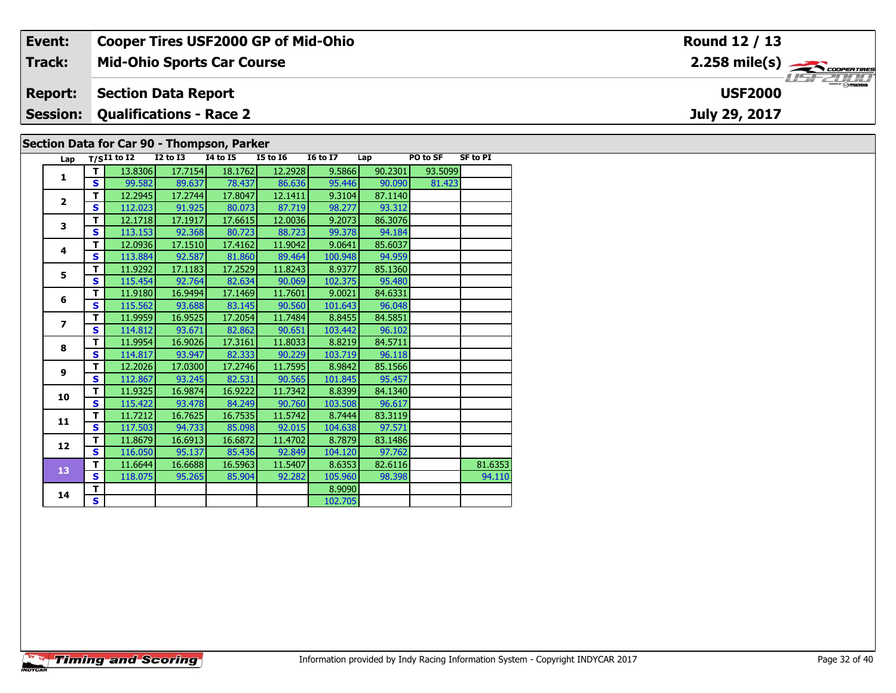| Event:                                     | <b>Cooper Tires USF2000 GP of Mid-Ohio</b> | Round 12 / 13                                                             |  |  |  |  |  |  |  |  |
|--------------------------------------------|--------------------------------------------|---------------------------------------------------------------------------|--|--|--|--|--|--|--|--|
| Track:                                     | <b>Mid-Ohio Sports Car Course</b>          | $2.258$ mile(s) $\overbrace{\hspace{2cm}}$ coorerings<br><b>LIST 2000</b> |  |  |  |  |  |  |  |  |
| <b>Report:</b>                             | <b>Section Data Report</b>                 | <b>USF2000</b>                                                            |  |  |  |  |  |  |  |  |
|                                            | <b>Session: Qualifications - Race 2</b>    | July 29, 2017                                                             |  |  |  |  |  |  |  |  |
| Section Data for Car 90 - Thompson, Parker |                                            |                                                                           |  |  |  |  |  |  |  |  |

| Lap                     |              | $T/SI1$ to I2 | <b>I2 to I3</b> | <b>14 to 15</b> | <b>I5 to 16</b> | <b>I6 to I7</b> | Lap     | PO to SF | <b>SF to PI</b> |
|-------------------------|--------------|---------------|-----------------|-----------------|-----------------|-----------------|---------|----------|-----------------|
| 1                       | т            | 13.8306       | 17.7154         | 18.1762         | 12.2928         | 9.5866          | 90.2301 | 93.5099  |                 |
|                         | S            | 99.582        | 89.637          | 78.437          | 86.636          | 95.446          | 90.090  | 81.423   |                 |
| $\overline{2}$          | T            | 12.2945       | 17.2744         | 17.8047         | 12.1411         | 9.3104          | 87.1140 |          |                 |
|                         | S            | 112.023       | 91.925          | 80.073          | 87.719          | 98.277          | 93.312  |          |                 |
| 3                       | т            | 12.1718       | 17.1917         | 17.6615         | 12.0036         | 9.2073          | 86.3076 |          |                 |
|                         | $\mathbf{s}$ | 113.153       | 92.368          | 80.723          | 88.723          | 99.378          | 94.184  |          |                 |
| $\overline{\mathbf{4}}$ | т            | 12.0936       | 17.1510         | 17.4162         | 11.9042         | 9.0641          | 85.6037 |          |                 |
|                         | S            | 113.884       | 92.587          | 81.860          | 89.464          | 100.948         | 94.959  |          |                 |
| 5                       | T            | 11.9292       | 17.1183         | 17.2529         | 11.8243         | 8.9377          | 85.1360 |          |                 |
|                         | $\mathbf{s}$ | 115.454       | 92.764          | 82.634          | 90.069          | 102.375         | 95.480  |          |                 |
| 6                       | T            | 11.9180       | 16.9494         | 17.1469         | 11.7601         | 9.0021          | 84.6331 |          |                 |
|                         | $\mathbf{s}$ | 115.562       | 93.688          | 83.145          | 90.560          | 101.643         | 96.048  |          |                 |
| $\overline{ }$          | T            | 11.9959       | 16.9525         | 17.2054         | 11.7484         | 8.8455          | 84.5851 |          |                 |
|                         | $\mathbf{s}$ | 114.812       | 93.671          | 82.862          | 90.651          | 103.442         | 96.102  |          |                 |
| 8                       | T            | 11.9954       | 16.9026         | 17.3161         | 11.8033         | 8.8219          | 84.5711 |          |                 |
|                         | S            | 114.817       | 93.947          | 82.333          | 90.229          | 103.719         | 96.118  |          |                 |
| 9                       | T            | 12.2026       | 17.0300         | 17.2746         | 11.7595         | 8.9842          | 85.1566 |          |                 |
|                         | $\mathbf{s}$ | 112.867       | 93.245          | 82.531          | 90.565          | 101.845         | 95.457  |          |                 |
| 10                      | T            | 11.9325       | 16.9874         | 16.9222         | 11.7342         | 8.8399          | 84.1340 |          |                 |
|                         | $\mathbf{s}$ | 115.422       | 93.478          | 84.249          | 90.760          | 103.508         | 96.617  |          |                 |
| 11                      | T            | 11.7212       | 16.7625         | 16.7535         | 11.5742         | 8.7444          | 83.3119 |          |                 |
|                         | $\mathbf{s}$ | 117.503       | 94.733          | 85.098          | 92.015          | 104.638         | 97.571  |          |                 |
| 12                      | T            | 11.8679       | 16.6913         | 16.6872         | 11.4702         | 8.7879          | 83.1486 |          |                 |
|                         | $\mathbf{s}$ | 116.050       | 95.137          | 85.436          | 92.849          | 104.120         | 97.762  |          |                 |
| 13                      | T            | 11.6644       | 16.6688         | 16.5963         | 11.5407         | 8.6353          | 82.6116 |          | 81.6353         |
|                         | S            | 118.075       | 95.265          | 85.904          | 92.282          | 105.960         | 98.398  |          | 94.110          |
| 14                      | T            |               |                 |                 |                 | 8.9090          |         |          |                 |
|                         | S            |               |                 |                 |                 | 102.705         |         |          |                 |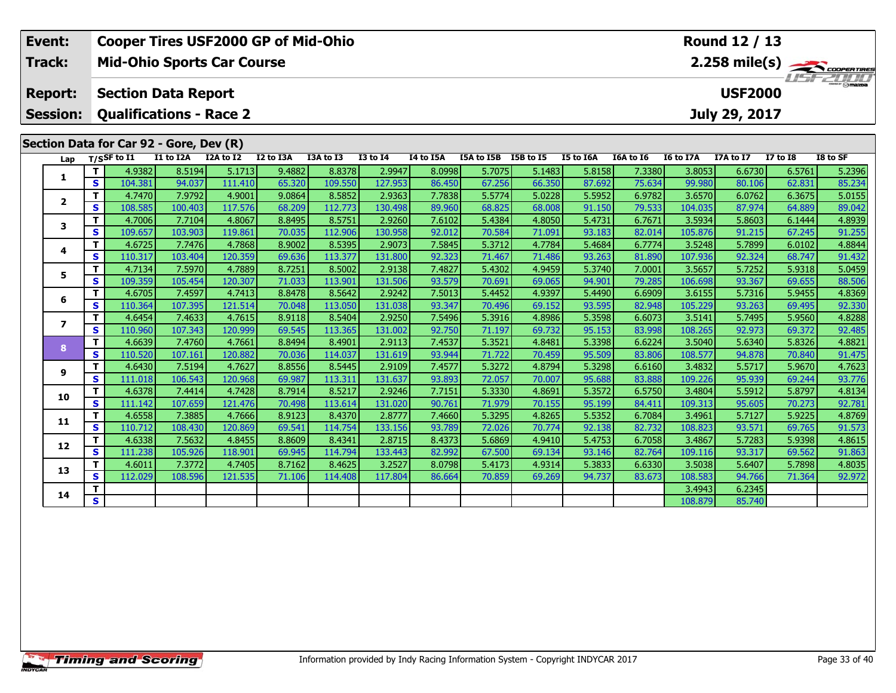| Event:          |                   |                                         |                   |                   | <b>Cooper Tires USF2000 GP of Mid-Ohio</b> |                   |                   |                  |                      |                  |                  |                  |                   | Round 12 / 13    |                  |                         |
|-----------------|-------------------|-----------------------------------------|-------------------|-------------------|--------------------------------------------|-------------------|-------------------|------------------|----------------------|------------------|------------------|------------------|-------------------|------------------|------------------|-------------------------|
| Track:          |                   | <b>Mid-Ohio Sports Car Course</b>       |                   |                   |                                            |                   |                   |                  |                      |                  |                  |                  |                   |                  |                  | $2.258 \text{ mile(s)}$ |
| <b>Report:</b>  |                   | <b>Section Data Report</b>              |                   |                   |                                            |                   |                   |                  |                      |                  |                  |                  |                   | <b>USF2000</b>   |                  |                         |
|                 |                   |                                         |                   |                   |                                            |                   |                   |                  |                      |                  |                  |                  |                   |                  |                  |                         |
| <b>Session:</b> |                   | <b>Qualifications - Race 2</b>          |                   |                   |                                            |                   |                   |                  |                      |                  |                  |                  |                   | July 29, 2017    |                  |                         |
|                 |                   | Section Data for Car 92 - Gore, Dev (R) |                   |                   |                                            |                   |                   |                  |                      |                  |                  |                  |                   |                  |                  |                         |
| Lap             |                   | $T/S$ SF to $I1$                        | I1 to I2A         | I2A to I2         | I2 to I3A                                  | I3A to I3         | <b>I3 to I4</b>   | I4 to I5A        | I5A to I5B I5B to I5 |                  | I5 to I6A        | I6A to I6        | I6 to I7A         | I7A to I7        | <b>I7 to I8</b>  | I8 to SF                |
|                 | T                 | 4.9382                                  | 8.5194            | 5.1713            | 9.4882                                     | 8.8378            | 2.9947            | 8.0998           | 5.7075               | 5.1483           | 5.8158           | 7.3380           | 3.8053            | 6.6730           | 6.5761           | 5.2396                  |
| 1               | S                 | 104.381                                 | 94.037            | 111.410           | 65.320                                     | 109.550           | 127.953           | 86.450           | 67.256               | 66.350           | 87.692           | 75.634           | 99.980            | 80.106           | 62.831           | 85.234                  |
|                 | $\mathbf{T}$      | 4.7470                                  | 7.9792            | 4.9001            | 9.0864                                     | 8.5852            | 2.9363            | 7.7838           | 5.5774               | 5.0228           | 5.5952           | 6.9782           | 3.6570            | 6.0762           | 6.3675           | 5.0155                  |
| $\mathbf{2}$    | $\mathbf{s}$      | 108.585                                 | 100.403           | 117.576           | 68.209                                     | 112.773           | 130.498           | 89.960           | 68.825               | 68.008           | 91.150           | 79.533           | 104.035           | 87.974           | 64.889           | 89.042                  |
| 3               | T                 | 4.7006                                  | 7.7104            | 4.8067            | 8.8495                                     | 8.5751            | 2.9260            | 7.6102           | 5.4384               | 4.8050           | 5.4731           | 6.7671           | 3.5934            | 5.8603           | 6.1444           | 4.8939                  |
|                 | $\mathbf{s}$      | 109.657                                 | 103.903           | 119.861           | 70.035                                     | 112.906           | 130.958           | 92.012           | 70.584               | 71.091           | 93.183           | 82.014           | 105.876           | 91.215           | 67.245           | 91.255                  |
| 4               | T.                | 4.6725                                  | 7.7476            | 4.7868            | 8.9002                                     | 8.5395            | 2.9073            | 7.5845           | 5.3712               | 4.7784           | 5.4684           | 6.7774           | 3.5248            | 5.7899           | 6.0102           | 4.8844                  |
|                 | S                 | 110.317                                 | 103.404           | 120.359           | 69.636                                     | 113.377           | 131.800           | 92.323           | 71.467               | 71.486           | 93.263           | 81.890           | 107.936           | 92.324           | 68.747           | 91.432                  |
| 5               | T                 | 4.7134                                  | 7.5970            | 4.7889            | 8.7251                                     | 8.5002            | 2.9138            | 7.4827           | 5.4302               | 4.9459           | 5.3740           | 7.0001           | 3.5657            | 5.7252           | 5.9318           | 5.0459                  |
|                 | $\mathbf{s}$      | 109.359                                 | 105.454           | 120.307           | 71.033                                     | 113.901           | 131.506           | 93.579           | 70.691               | 69.065           | 94.901           | 79.285           | 106.698           | 93.367           | 69.655           | 88.506                  |
| 6               | T                 | 4.6705                                  | 7.4597            | 4.7413            | 8.8478                                     | 8.5642            | 2.9242            | 7.5013           | 5.4452               | 4.9397           | 5.4490           | 6.6909           | 3.6155            | 5.7316           | 5.9455           | 4.8369                  |
|                 | $\mathbf{s}$      | 110.364<br>4.6454                       | 107.395           | 121.514<br>4.7615 | 70.048<br>8.9118                           | 113.050<br>8.5404 | 131.038           | 93.347           | 70.496               | 69.152           | 93.595           | 82.948           | 105.229<br>3.5141 | 93.263<br>5.7495 | 69.495           | 92.330                  |
| $\overline{ }$  | Т<br>$\mathbf{s}$ | 110.960                                 | 7.4633<br>107.343 | 120.999           | 69.545                                     | 113.365           | 2.9250<br>131.002 | 7.5496<br>92.750 | 5.3916<br>71.197     | 4.8986<br>69.732 | 5.3598<br>95.153 | 6.6073<br>83.998 | 108.265           | 92.973           | 5.9560<br>69.372 | 4.8288<br>92.485        |
|                 | $\mathbf T$       | 4.6639                                  | 7.4760            | 4.7661            | 8.8494                                     | 8.4901            | 2.9113            | 7.4537           | 5.3521               | 4.8481           | 5.3398           | 6.6224           | 3.5040            | 5.6340           | 5.8326           | 4.8821                  |
| 8               | $\mathbf{s}$      | 110.520                                 | 107.161           | 120.882           | 70.036                                     | 114.037           | 131.619           | 93.944           | 71.722               | 70.459           | 95.509           | 83.806           | 108.577           | 94.878           | 70.840           | 91.475                  |
|                 | $\mathbf T$       | 4.6430                                  | 7.5194            | 4.7627            | 8.8556                                     | 8.5445            | 2.9109            | 7.4577           | 5.3272               | 4.8794           | 5.3298           | 6.6160           | 3.4832            | 5.5717           | 5.9670           | 4.7623                  |
| 9               | $\mathbf{s}$      | 111.018                                 | 106.543           | 120.968           | 69.987                                     | 113.311           | 131.637           | 93.893           | 72.057               | 70.007           | 95.688           | 83.888           | 109.226           | 95.939           | 69.244           | 93.776                  |
|                 | T                 | 4.6378                                  | 7.4414            | 4.7428            | 8.7914                                     | 8.5217            | 2.9246            | 7.7151           | 5.3330               | 4.8691           | 5.3572           | 6.5750           | 3.4804            | 5.5912           | 5.8797           | 4.8134                  |
| 10              | $\mathbf{s}$      | 111.142                                 | 107.659           | 121.476           | 70.498                                     | 113.614           | 131.020           | 90.761           | 71.979               | 70.155           | 95.199           | 84.411           | 109.313           | 95.605           | 70.273           | 92.781                  |
|                 | т                 | 4.6558                                  | 7.3885            | 4.7666            | 8.9123                                     | 8.4370            | 2.8777            | 7.4660           | 5.3295               | 4.8265           | 5.5352           | 6.7084           | 3.4961            | 5.7127           | 5.9225           | 4.8769                  |
| 11              | S                 | 110.712                                 | 108.430           | 120.869           | 69.541                                     | 114.754           | 133.156           | 93.789           | 72.026               | 70.774           | 92.138           | 82.732           | 108.823           | 93.571           | 69.765           | 91.573                  |
|                 | т                 | 4.6338                                  | 7.5632            | 4.8455            | 8.8609                                     | 8.4341            | 2.8715            | 8.4373           | 5.6869               | 4.9410           | 5.4753           | 6.7058           | 3.4867            | 5.7283           | 5.9398           | 4.8615                  |
| 12              | $\mathbf{s}$      | 111.238                                 | 105.926           | 118.901           | 69.945                                     | 114.794           | 133.443           | 82.992           | 67.500               | 69.134           | 93.146           | 82.764           | 109.116           | 93.317           | 69.562           | 91.863                  |
| 13              | т                 | 4.6011                                  | 7.3772            | 4.7405            | 8.7162                                     | 8.4625            | 3.2527            | 8.0798           | 5.4173               | 4.9314           | 5.3833           | 6.6330           | 3.5038            | 5.6407           | 5.7898           | 4.8035                  |
|                 | $\mathbf{s}$      | 112.029                                 | 108.596           | 121.535           | 71.106                                     | 114.408           | 117.804           | 86.664           | 70.859               | 69.269           | 94.737           | 83.673           | 108.583           | 94.766           | 71.364           | 92.972                  |
| 14              | т                 |                                         |                   |                   |                                            |                   |                   |                  |                      |                  |                  |                  | 3.4943            | 6.2345           |                  |                         |
|                 | $\mathbf{s}$      |                                         |                   |                   |                                            |                   |                   |                  |                      |                  |                  |                  | 108.879           | 85.740           |                  |                         |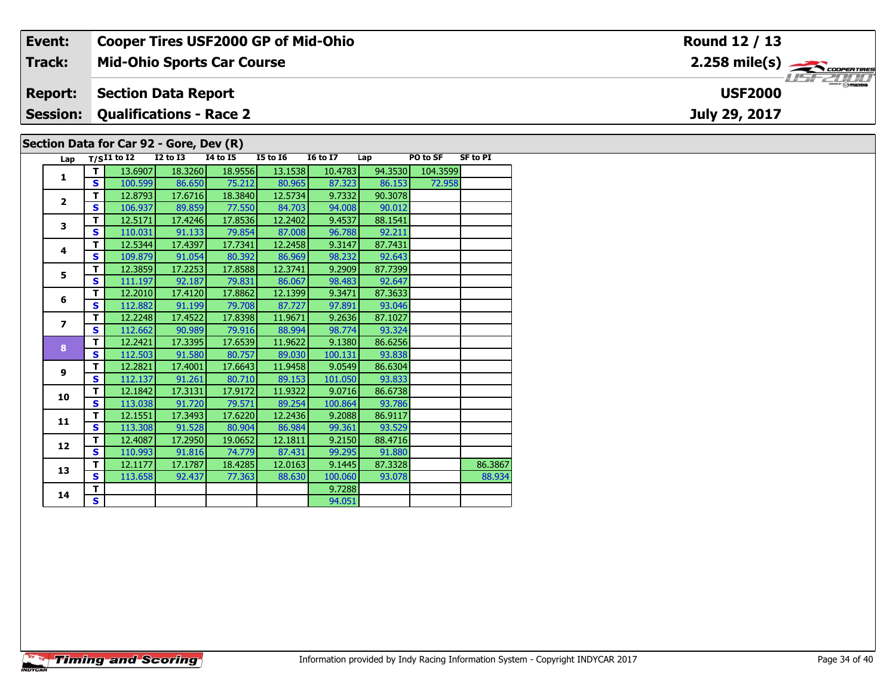| Event:          |          |                                         |          | <b>Cooper Tires USF2000 GP of Mid-Ohio</b> |                 |                 |         |          |                 | Round 12 / 13                                                             |
|-----------------|----------|-----------------------------------------|----------|--------------------------------------------|-----------------|-----------------|---------|----------|-----------------|---------------------------------------------------------------------------|
| <b>Track:</b>   |          |                                         |          | <b>Mid-Ohio Sports Car Course</b>          |                 |                 |         |          |                 | $2.258$ mile(s) $\rightarrow$ Coorer Times                                |
| <b>Report:</b>  |          | <b>Section Data Report</b>              |          |                                            |                 |                 |         |          |                 | $\overline{\phantom{a}}$ $\overline{\phantom{a}}$ mazpa<br><b>USF2000</b> |
| <b>Session:</b> |          | <b>Qualifications - Race 2</b>          |          |                                            |                 |                 |         |          |                 | July 29, 2017                                                             |
|                 |          | Section Data for Car 92 - Gore, Dev (R) |          |                                            |                 |                 |         |          |                 |                                                                           |
|                 |          | Lap $T/SI1$ to I2                       | I2 to I3 | 14 to 15                                   | <b>I5 to 16</b> | <b>16 to 17</b> | Lap     | PO to SF | <b>SF to PI</b> |                                                                           |
|                 |          | 13.6907                                 | 18.3260  | 18.9556                                    | 13.1538         | 10.4783         | 94.3530 | 104.3599 |                 |                                                                           |
|                 | <b>S</b> | 100.599                                 | 86.650   | 75.212                                     | 80.965          | 87.323          | 86.153  | 72.958   |                 |                                                                           |
|                 |          | 12.8793                                 | 17.6716  | 18.3840                                    | 12.5734         | 9.7332          | 90.3078 |          |                 |                                                                           |

| 1              |    |         |         |         |         |         |         |        |         |
|----------------|----|---------|---------|---------|---------|---------|---------|--------|---------|
|                | S. | 100.599 | 86.650  | 75.212  | 80.965  | 87.323  | 86.153  | 72.958 |         |
| $\overline{2}$ | т  | 12.8793 | 17.6716 | 18.3840 | 12.5734 | 9.7332  | 90.3078 |        |         |
|                | S  | 106.937 | 89.859  | 77.550  | 84.703  | 94.008  | 90.012  |        |         |
| 3              | т  | 12.5171 | 17.4246 | 17.8536 | 12.2402 | 9.4537  | 88.1541 |        |         |
|                | S  | 110.031 | 91.133  | 79.854  | 87.008  | 96.788  | 92.211  |        |         |
| 4              | т  | 12.5344 | 17.4397 | 17.7341 | 12.2458 | 9.3147  | 87.7431 |        |         |
|                | S  | 109.879 | 91.054  | 80.392  | 86.969  | 98.232  | 92.643  |        |         |
| 5              | т  | 12.3859 | 17.2253 | 17.8588 | 12.3741 | 9.2909  | 87.7399 |        |         |
|                | S  | 111.197 | 92.187  | 79.831  | 86.067  | 98.483  | 92.647  |        |         |
| 6              | т  | 12.2010 | 17.4120 | 17.8862 | 12.1399 | 9.3471  | 87.3633 |        |         |
|                | S  | 112.882 | 91.199  | 79.708  | 87.727  | 97.891  | 93.046  |        |         |
| $\overline{ }$ | т  | 12.2248 | 17.4522 | 17.8398 | 11.9671 | 9.2636  | 87.1027 |        |         |
|                | S  | 112.662 | 90.989  | 79.916  | 88.994  | 98.774  | 93.324  |        |         |
| 8              | т  | 12.2421 | 17.3395 | 17.6539 | 11.9622 | 9.1380  | 86.6256 |        |         |
|                | S  | 112.503 | 91.580  | 80.757  | 89.030  | 100.131 | 93.838  |        |         |
| 9              | т  | 12.2821 | 17.4001 | 17.6643 | 11.9458 | 9.0549  | 86.6304 |        |         |
|                | S  | 112.137 | 91.261  | 80.710  | 89.153  | 101.050 | 93.833  |        |         |
| 10             | т  | 12.1842 | 17.3131 | 17.9172 | 11.9322 | 9.0716  | 86.6738 |        |         |
|                | S  | 113.038 | 91.720  | 79.571  | 89.254  | 100.864 | 93.786  |        |         |
| 11             | т  | 12.1551 | 17.3493 | 17.6220 | 12.2436 | 9.2088  | 86.9117 |        |         |
|                | S  | 113.308 | 91.528  | 80.904  | 86.984  | 99.361  | 93.529  |        |         |
|                | т  | 12.4087 | 17.2950 | 19.0652 | 12.1811 | 9.2150  | 88.4716 |        |         |
| 12             | S  | 110.993 | 91.816  | 74.779  | 87.431  | 99.295  | 91.880  |        |         |
|                | т  | 12.1177 | 17.1787 | 18.4285 | 12.0163 | 9.1445  | 87.3328 |        | 86.3867 |
| 13             | S  | 113.658 | 92.437  | 77.363  | 88.630  | 100.060 | 93.078  |        | 88.934  |
|                | T. |         |         |         |         | 9.7288  |         |        |         |
| 14             | S. |         |         |         |         | 94.051  |         |        |         |
|                |    |         |         |         |         |         |         |        |         |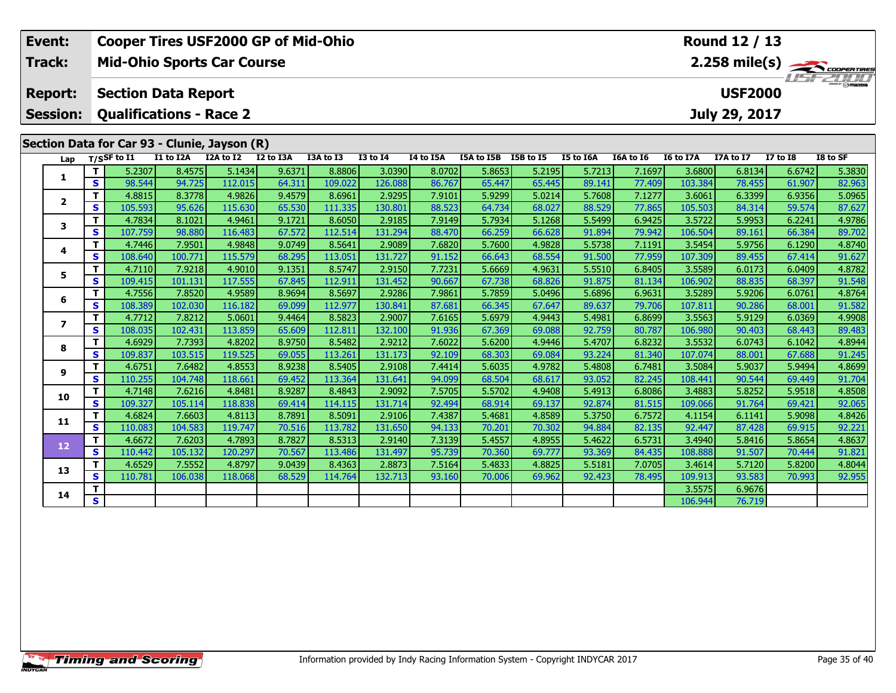|                                                                    | Event:                  | Round 12 / 13<br><b>Cooper Tires USF2000 GP of Mid-Ohio</b> |                  |                                              |           |           |           |                 |                  |            |           |           |           |                  |           |                 |                         |
|--------------------------------------------------------------------|-------------------------|-------------------------------------------------------------|------------------|----------------------------------------------|-----------|-----------|-----------|-----------------|------------------|------------|-----------|-----------|-----------|------------------|-----------|-----------------|-------------------------|
|                                                                    | Track:                  |                                                             |                  | <b>Mid-Ohio Sports Car Course</b>            |           |           |           |                 |                  |            |           |           |           |                  |           |                 | $2.258 \text{ mile(s)}$ |
|                                                                    |                         |                                                             |                  |                                              |           |           |           |                 |                  |            |           |           |           |                  |           |                 |                         |
|                                                                    | <b>Report:</b>          | <b>USF2000</b><br><b>Section Data Report</b>                |                  |                                              |           |           |           |                 |                  |            |           |           |           |                  |           |                 |                         |
| <b>Qualifications - Race 2</b><br>July 29, 2017<br><b>Session:</b> |                         |                                                             |                  |                                              |           |           |           |                 |                  |            |           |           |           |                  |           |                 |                         |
|                                                                    |                         |                                                             |                  |                                              |           |           |           |                 |                  |            |           |           |           |                  |           |                 |                         |
|                                                                    |                         |                                                             |                  | Section Data for Car 93 - Clunie, Jayson (R) |           |           |           |                 |                  |            |           |           |           |                  |           |                 |                         |
|                                                                    | Lap                     |                                                             | $T/S$ SF to $I1$ | I1 to I2A                                    | I2A to I2 | I2 to I3A | I3A to I3 | <b>I3 to I4</b> | <b>I4 to I5A</b> | I5A to I5B | I5B to I5 | I5 to I6A | I6A to I6 | <b>I6 to I7A</b> | I7A to I7 | <b>I7 to I8</b> | I8 to SF                |
|                                                                    | 1                       | T                                                           | 5.2307           | 8.4575                                       | 5.1434    | 9.6371    | 8.8806    | 3.0390          | 8.0702           | 5.8653     | 5.2195    | 5.7213    | 7.1697    | 3.6800           | 6.8134    | 6.6742          | 5.3830                  |
|                                                                    |                         | $\mathbf s$                                                 | 98.544           | 94.725                                       | 112.015   | 64.311    | 109.022   | 126.088         | 86.767           | 65.447     | 65.445    | 89.141    | 77.409    | 103.384          | 78.455    | 61.907          | 82.963                  |
|                                                                    | $\mathbf{2}$            | т                                                           | 4.8815           | 8.3778                                       | 4.9826    | 9.4579    | 8.6961    | 2.9295          | 7.9101           | 5.9299     | 5.0214    | 5.7608    | 7.1277    | 3.6061           | 6.3399    | 6.9356          | 5.0965                  |
|                                                                    |                         | $\mathbf{s}$                                                | 105.593          | 95.626                                       | 115.630   | 65.530    | 111.335   | 130.801         | 88.523           | 64.734     | 68.027    | 88.529    | 77.865    | 105.503          | 84.314    | 59.574          | 87.627                  |
|                                                                    | 3                       | T                                                           | 4.7834           | 8.1021                                       | 4.9461    | 9.1721    | 8.6050    | 2.9185          | 7.9149           | 5.7934     | 5.1268    | 5.5499    | 6.9425    | 3.5722           | 5.9953    | 6.2241          | 4.9786                  |
|                                                                    |                         | $\mathbf{s}$                                                | 107.759          | 98.880                                       | 116.483   | 67.572    | 112.514   | 131.294         | 88.470           | 66.259     | 66.628    | 91.894    | 79.942    | 106.504          | 89.161    | 66.384          | 89.702                  |
|                                                                    | 4                       | T.                                                          | 4.7446           | 7.9501                                       | 4.9848    | 9.0749    | 8.5641    | 2.9089          | 7.6820           | 5.7600     | 4.9828    | 5.5738    | 7.1191    | 3.5454           | 5.9756    | 6.1290          | 4.8740                  |
|                                                                    |                         | S                                                           | 108.640          | 100.771                                      | 115.579   | 68.295    | 113.051   | 131.727         | 91.152           | 66.643     | 68.554    | 91.500    | 77.959    | 107.309          | 89.455    | 67.414          | 91.627                  |
|                                                                    | 5                       | т                                                           | 4.7110           | 7.9218                                       | 4.9010    | 9.1351    | 8.5747    | 2.9150          | 7.7231           | 5.6669     | 4.9631    | 5.5510    | 6.8405    | 3.5589           | 6.0173    | 6.0409          | 4.8782                  |
|                                                                    |                         | S                                                           | 109.415          | 101.131                                      | 117.555   | 67.845    | 112.911   | 131.452         | 90.667           | 67.738     | 68.826    | 91.875    | 81.134    | 106.902          | 88.835    | 68.397          | 91.548                  |
|                                                                    | 6                       | т                                                           | 4.7556           | 7.8520                                       | 4.9589    | 8.9694    | 8.5697    | 2.9286          | 7.9861           | 5.7859     | 5.0496    | 5.6896    | 6.9631    | 3.5289           | 5.9206    | 6.0761          | 4.8764                  |
|                                                                    |                         | $\mathbf{s}$                                                | 108.389          | 102.030                                      | 116.182   | 69.099    | 112.977   | 130.841         | 87.681           | 66.345     | 67.647    | 89.637    | 79.706    | 107.811          | 90.286    | 68.001          | 91.582                  |
|                                                                    | $\overline{\mathbf{z}}$ | T                                                           | 4.7712           | 7.8212                                       | 5.0601    | 9.4464    | 8.5823    | 2.9007          | 7.6165           | 5.6979     | 4.9443    | 5.4981    | 6.8699    | 3.5563           | 5.9129    | 6.0369          | 4.9908                  |
|                                                                    |                         | $\mathbf{s}$                                                | 108.035          | 102.431                                      | 113.859   | 65.609    | 112.811   | 132.100         | 91.936           | 67.369     | 69.088    | 92.759    | 80.787    | 106.980          | 90.403    | 68.443          | 89.483                  |
|                                                                    | 8                       | т                                                           | 4.6929           | 7.7393                                       | 4.8202    | 8.9750    | 8.5482    | 2.9212          | 7.6022           | 5.6200     | 4.9446    | 5.4707    | 6.8232    | 3.5532           | 6.0743    | 6.1042          | 4.8944                  |
|                                                                    |                         | $\mathbf s$                                                 | 109.837          | 103.515                                      | 119.525   | 69.055    | 113.261   | 131.173         | 92.109           | 68.303     | 69.084    | 93.224    | 81.340    | 107.074          | 88.001    | 67.688          | 91.245                  |
|                                                                    | 9                       | т                                                           | 4.6751           | 7.6482                                       | 4.8553    | 8.9238    | 8.5405    | 2.9108          | 7.4414           | 5.6035     | 4.9782    | 5.4808    | 6.7481    | 3.5084           | 5.9037    | 5.9494          | 4.8699                  |
|                                                                    |                         | $\mathbf{s}$                                                | 110.255          | 104.748                                      | 118.661   | 69.452    | 113.364   | 131.641         | 94.099           | 68.504     | 68.617    | 93.052    | 82.245    | 108.441          | 90.544    | 69.449          | 91.704                  |
|                                                                    | 10                      | т                                                           | 4.7148           | 7.6216                                       | 4.8481    | 8.9287    | 8.4843    | 2.9092          | 7.5705           | 5.5702     | 4.9408    | 5.4913    | 6.8086    | 3.4883           | 5.8252    | 5.9518          | 4.8508                  |
|                                                                    |                         | $\mathbf{s}$                                                | 109.327          | 105.114                                      | 118.838   | 69.414    | 114.115   | 131.714         | 92.494           | 68.914     | 69.137    | 92.874    | 81.515    | 109.066          | 91.764    | 69.421          | 92.065                  |
|                                                                    | 11                      | т                                                           | 4.6824           | 7.6603                                       | 4.8113    | 8.7891    | 8.5091    | 2.9106          | 7.4387           | 5.4681     | 4.8589    | 5.3750    | 6.7572    | 4.1154           | 6.1141    | 5.9098          | 4.8426                  |
|                                                                    |                         | $\mathbf{s}$                                                | 110.083          | 104.583                                      | 119.747   | 70.516    | 113.782   | 131.650         | 94.133           | 70.201     | 70.302    | 94.884    | 82.135    | 92.447           | 87.428    | 69.915          | 92.221                  |
|                                                                    | 12                      | Т                                                           | 4.6672           | 7.6203                                       | 4.7893    | 8.7827    | 8.5313    | 2.9140          | 7.3139           | 5.4557     | 4.8955    | 5.4622    | 6.5731    | 3.4940           | 5.8416    | 5.8654          | 4.8637                  |
|                                                                    |                         | $\mathbf{s}$                                                | 110.442          | 105.132                                      | 120.297   | 70.567    | 113.486   | 131.497         | 95.739           | 70.360     | 69.777    | 93.369    | 84.435    | 108.888          | 91.507    | 70.444          | 91.821                  |
|                                                                    | 13                      | т                                                           | 4.6529           | 7.5552                                       | 4.8797    | 9.0439    | 8.4363    | 2.8873          | 7.5164           | 5.4833     | 4.8825    | 5.5181    | 7.0705    | 3.4614           | 5.7120    | 5.8200          | 4.8044                  |
|                                                                    |                         | $\mathbf{s}$                                                | 110.781          | 106.038                                      | 118.068   | 68.529    | 114.764   | 132.713         | 93.160           | 70.006     | 69.962    | 92.423    | 78.495    | 109.913          | 93.583    | 70.993          | 92.955                  |
|                                                                    | 14                      | т                                                           |                  |                                              |           |           |           |                 |                  |            |           |           |           | 3.5575           | 6.9676    |                 |                         |
|                                                                    |                         | S                                                           |                  |                                              |           |           |           |                 |                  |            |           |           |           | 106.944          | 76.719    |                 |                         |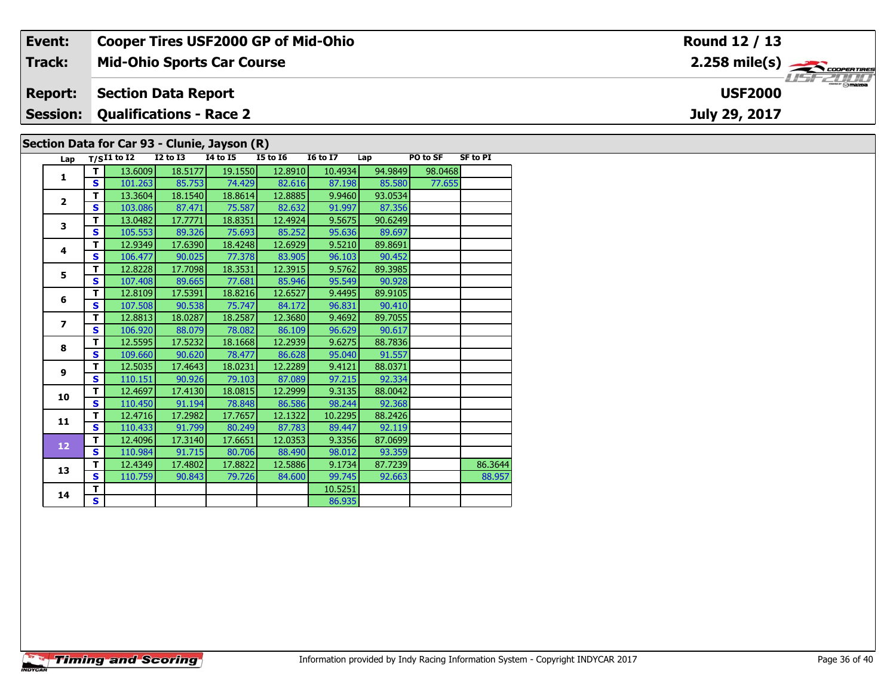| Event:                                  | <b>Cooper Tires USF2000 GP of Mid-Ohio</b>   |          |          |          |                 |     | Round 12 / 13                                                 |          |               |  |  |  |
|-----------------------------------------|----------------------------------------------|----------|----------|----------|-----------------|-----|---------------------------------------------------------------|----------|---------------|--|--|--|
| Track:                                  | <b>Mid-Ohio Sports Car Course</b>            |          |          |          |                 |     | $2.258$ mile(s) $\overbrace{\hspace{2.5cm}}^{3}$ coores rines |          |               |  |  |  |
| <b>Report:</b>                          | <b>Section Data Report</b><br><b>USF2000</b> |          |          |          |                 |     |                                                               |          |               |  |  |  |
| <b>Session: Qualifications - Race 2</b> |                                              |          |          |          |                 |     |                                                               |          | July 29, 2017 |  |  |  |
|                                         | Section Data for Car 93 - Clunie, Jayson (R) |          |          |          |                 |     |                                                               |          |               |  |  |  |
|                                         | Lap $T/SI1$ to I2                            | I2 to I3 | 14 to 15 | I5 to I6 | <b>I6 to I7</b> | Lap | PO to SF                                                      | SF to PI |               |  |  |  |

|  | Lap                     |                         | $T/SI1$ to $\overline{I2}$ | <b>I2 to I3</b> | 14 to 15 | <b>I5 to 16</b> | <b>16 to 17</b> | Lap     | PO to SF | <b>SF to PI</b> |
|--|-------------------------|-------------------------|----------------------------|-----------------|----------|-----------------|-----------------|---------|----------|-----------------|
|  | $\mathbf{1}$            | т                       | 13.6009                    | 18.5177         | 19.1550  | 12.8910         | 10.4934         | 94.9849 | 98.0468  |                 |
|  |                         | S                       | 101.263                    | 85.753          | 74.429   | 82.616          | 87.198          | 85.580  | 77.655   |                 |
|  | $\overline{2}$          | T                       | 13.3604                    | 18.1540         | 18.8614  | 12.8885         | 9.9460          | 93.0534 |          |                 |
|  |                         | S                       | 103.086                    | 87.471          | 75.587   | 82.632          | 91.997          | 87.356  |          |                 |
|  | 3                       | т                       | 13.0482                    | 17.7771         | 18.8351  | 12.4924         | 9.5675          | 90.6249 |          |                 |
|  |                         | $\mathbf{s}$            | 105.553                    | 89.326          | 75.693   | 85.252          | 95.636          | 89.697  |          |                 |
|  | 4                       | т                       | 12.9349                    | 17.6390         | 18.4248  | 12.6929         | 9.5210          | 89.8691 |          |                 |
|  |                         | S                       | 106.477                    | 90.025          | 77.378   | 83.905          | 96.103          | 90.452  |          |                 |
|  | 5                       | T                       | 12.8228                    | 17.7098         | 18.3531  | 12.3915         | 9.5762          | 89.3985 |          |                 |
|  |                         | S                       | 107.408                    | 89.665          | 77.681   | 85.946          | 95.549          | 90.928  |          |                 |
|  | 6                       | T                       | 12.8109                    | 17.5391         | 18.8216  | 12.6527         | 9.4495          | 89.9105 |          |                 |
|  |                         | $\mathbf{s}$            | 107.508                    | 90.538          | 75.747   | 84.172          | 96.831          | 90.410  |          |                 |
|  | $\overline{\mathbf{z}}$ | Т                       | 12.8813                    | 18.0287         | 18.2587  | 12.3680         | 9.4692          | 89.7055 |          |                 |
|  |                         | S                       | 106.920                    | 88.079          | 78.082   | 86.109          | 96.629          | 90.617  |          |                 |
|  | 8                       | т                       | 12.5595                    | 17.5232         | 18.1668  | 12.2939         | 9.6275          | 88.7836 |          |                 |
|  |                         | S                       | 109.660                    | 90.620          | 78.477   | 86.628          | 95.040          | 91.557  |          |                 |
|  | $\boldsymbol{9}$        | т                       | 12.5035                    | 17.4643         | 18.0231  | 12.2289         | 9.4121          | 88.0371 |          |                 |
|  |                         | S                       | 110.151                    | 90.926          | 79.103   | 87.089          | 97.215          | 92.334  |          |                 |
|  | 10                      | т                       | 12.4697                    | 17.4130         | 18.0815  | 12.2999         | 9.3135          | 88.0042 |          |                 |
|  |                         | S                       | 110.450                    | 91.194          | 78.848   | 86.586          | 98.244          | 92.368  |          |                 |
|  | 11                      | т                       | 12.4716                    | 17.2982         | 17.7657  | 12.1322         | 10.2295         | 88.2426 |          |                 |
|  |                         | $\mathbf{s}$            | 110.433                    | 91.799          | 80.249   | 87.783          | 89.447          | 92.119  |          |                 |
|  | 12                      | T                       | 12.4096                    | 17.3140         | 17.6651  | 12.0353         | 9.3356          | 87.0699 |          |                 |
|  |                         | $\mathbf{s}$            | 110.984                    | 91.715          | 80.706   | 88.490          | 98.012          | 93.359  |          |                 |
|  | 13                      | T                       | 12.4349                    | 17.4802         | 17.8822  | 12.5886         | 9.1734          | 87.7239 |          | 86.3644         |
|  |                         | S                       | 110.759                    | 90.843          | 79.726   | 84.600          | 99.745          | 92.663  |          | 88.957          |
|  | 14                      | т                       |                            |                 |          |                 | 10.5251         |         |          |                 |
|  |                         | $\overline{\mathbf{s}}$ |                            |                 |          |                 | 86.935          |         |          |                 |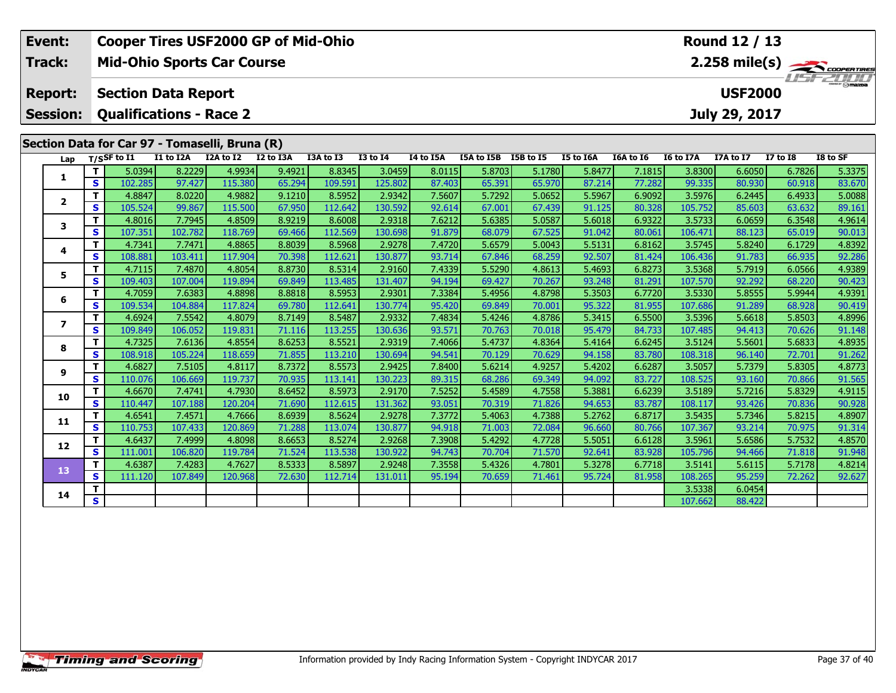|                                                | Event:                  | Round 12 / 13<br><b>Cooper Tires USF2000 GP of Mid-Ohio</b> |                   |                                   |                   |                  |                   |                   |                  |                      |                  |                  |                  |                   |                  |                  |                         |
|------------------------------------------------|-------------------------|-------------------------------------------------------------|-------------------|-----------------------------------|-------------------|------------------|-------------------|-------------------|------------------|----------------------|------------------|------------------|------------------|-------------------|------------------|------------------|-------------------------|
|                                                | Track:                  |                                                             |                   | <b>Mid-Ohio Sports Car Course</b> |                   |                  |                   |                   |                  |                      |                  |                  |                  |                   |                  |                  | $2.258 \text{ mile(s)}$ |
|                                                | <b>Report:</b>          |                                                             |                   | <b>Section Data Report</b>        |                   |                  |                   |                   |                  |                      |                  |                  |                  |                   | <b>USF2000</b>   |                  |                         |
|                                                | <b>Session:</b>         |                                                             |                   | <b>Qualifications - Race 2</b>    |                   |                  |                   |                   |                  |                      |                  |                  |                  |                   | July 29, 2017    |                  |                         |
| Section Data for Car 97 - Tomaselli, Bruna (R) |                         |                                                             |                   |                                   |                   |                  |                   |                   |                  |                      |                  |                  |                  |                   |                  |                  |                         |
|                                                | Lap                     |                                                             | $T/S$ SF to $I1$  | I1 to I2A                         | I2A to I2         | I2 to I3A        | I3A to I3         | <b>I3 to I4</b>   | I4 to I5A        | I5A to I5B I5B to I5 |                  | I5 to I6A        | I6A to I6        | I6 to I7A         | I7A to I7        | <b>I7 to I8</b>  | I8 to SF                |
|                                                |                         | т                                                           | 5.0394            | 8.2229                            | 4.9934            | 9.4921           | 8.8345            | 3.0459            | 8.0115           | 5.8703               | 5.1780           | 5.8477           | 7.1815           | 3.8300            | 6.6050           | 6.7826           | 5.3375                  |
|                                                | 1                       | $\mathbf{s}$                                                | 102.285           | 97.427                            | 115.380           | 65.294           | 109.591           | 125.802           | 87.403           | 65.391               | 65.970           | 87.214           | 77.282           | 99.335            | 80.930           | 60.918           | 83.670                  |
|                                                |                         | т                                                           | 4.8847            | 8.0220                            | 4.9882            | 9.1210           | 8.5952            | 2.9342            | 7.5607           | 5.7292               | 5.0652           | 5.5967           | 6.9092           | 3.5976            | 6.2445           | 6.4933           | 5.0088                  |
|                                                | $\overline{2}$          | $\mathbf{s}$                                                | 105.524           | 99.867                            | 115.500           | 67.950           | 112.642           | 130.592           | 92.614           | 67.001               | 67.439           | 91.125           | 80.328           | 105.752           | 85.603           | 63.632           | 89.161                  |
|                                                | 3                       | T                                                           | 4.8016            | 7.7945                            | 4.8509            | 8.9219           | 8.6008            | 2.9318            | 7.6212           | 5.6385               | 5.0587           | 5.6018           | 6.9322           | 3.5733            | 6.0659           | 6.3548           | 4.9614                  |
|                                                |                         | S                                                           | 107.351           | 102.782                           | 118.769           | 69.466           | 112.569           | 130.698           | 91.879           | 68.079               | 67.525           | 91.042           | 80.061           | 106.471           | 88.123           | 65.019           | 90.013                  |
|                                                | 4                       | T                                                           | 4.7341            | 7.7471                            | 4.8865            | 8.8039           | 8.5968            | 2.9278            | 7.4720           | 5.6579               | 5.0043           | 5.5131           | 6.8162           | 3.5745            | 5.8240           | 6.1729           | 4.8392                  |
|                                                |                         | $\mathbf{s}$                                                | 108.881           | 103.411                           | 117.904           | 70.398           | 112.621           | 130.877           | 93.714           | 67.846               | 68.259           | 92.507           | 81.424           | 106.436           | 91.783           | 66.935           | 92.286                  |
|                                                | 5                       | Т                                                           | 4.7115            | 7.4870                            | 4.8054            | 8.8730           | 8.5314            | 2.9160            | 7.4339           | 5.5290               | 4.8613           | 5.4693           | 6.8273           | 3.5368            | 5.7919           | 6.0566           | 4.9389                  |
|                                                |                         | $\mathbf{s}$                                                | 109.403           | 107.004                           | 119.894           | 69.849           | 113.485           | 131.407           | 94.194           | 69.427               | 70.267           | 93.248           | 81.291           | 107.570           | 92.292           | 68.220           | 90.423                  |
|                                                | 6                       | т                                                           | 4.7059            | 7.6383                            | 4.8898            | 8.8818           | 8.5953            | 2.9301            | 7.3384           | 5.4956               | 4.8798           | 5.3503           | 6.7720           | 3.5330            | 5.8555           | 5.9944           | 4.9391                  |
|                                                |                         | $\mathbf{s}$                                                | 109.534           | 104.884                           | 117.824           | 69.780           | 112.641           | 130.774           | 95.420           | 69.849               | 70.001           | 95.322           | 81.955           | 107.686           | 91.289           | 68.928           | 90.419                  |
|                                                | $\overline{\mathbf{z}}$ | T.                                                          | 4.6924            | 7.5542                            | 4.8079            | 8.7149           | 8.5487            | 2.9332            | 7.4834           | 5.4246               | 4.8786           | 5.3415           | 6.5500           | 3.5396            | 5.6618           | 5.8503           | 4.8996                  |
|                                                |                         | $\mathbf{s}$<br>T                                           | 109.849           | 106.052                           | 119.831           | 71.116           | 113.255           | 130.636           | 93.571           | 70.763               | 70.018           | 95.479           | 84.733           | 107.485           | 94.413           | 70.626           | 91.148                  |
|                                                | 8                       | $\mathbf{s}$                                                | 4.7325<br>108.918 | 7.6136<br>105.224                 | 4.8554<br>118.659 | 8.6253<br>71.855 | 8.5521<br>113.210 | 2.9319<br>130.694 | 7.4066<br>94.541 | 5.4737<br>70.129     | 4.8364<br>70.629 | 5.4164<br>94.158 | 6.6245<br>83.780 | 3.5124<br>108.318 | 5.5601<br>96.140 | 5.6833<br>72.701 | 4.8935<br>91.262        |
|                                                |                         | T                                                           | 4.6827            | 7.5105                            | 4.8117            | 8.7372           | 8.5573            | 2.9425            | 7.8400           | 5.6214               | 4.9257           | 5.4202           | 6.6287           | 3.5057            | 5.7379           | 5.8305           | 4.8773                  |
|                                                | 9                       | $\mathbf{s}$                                                | 110.076           | 106.669                           | 119.737           | 70.935           | 113.141           | 130.223           | 89.315           | 68.286               | 69.349           | 94.092           | 83.727           | 108.525           | 93.160           | 70.866           | 91.565                  |
|                                                |                         | т                                                           | 4.6670            | 7.4741                            | 4.7930            | 8.6452           | 8.5973            | 2.9170            | 7.5252           | 5.4589               | 4.7558           | 5.3881           | 6.6239           | 3.5189            | 5.7216           | 5.8329           | 4.9115                  |
|                                                | 10                      | $\mathbf{s}$                                                | 110.447           | 107.188                           | 120.204           | 71.690           | 112.615           | 131.362           | 93.051           | 70.319               | 71.826           | 94.653           | 83.787           | 108.117           | 93.426           | 70.836           | 90.928                  |
|                                                |                         | т                                                           | 4.6541            | 7.4571                            | 4.7666            | 8.6939           | 8.5624            | 2.9278            | 7.3772           | 5.4063               | 4.7388           | 5.2762           | 6.8717           | 3.5435            | 5.7346           | 5.8215           | 4.8907                  |
|                                                | 11                      | $\mathbf{s}$                                                | 110.753           | 107.433                           | 120.869           | 71.288           | 113.074           | 130.877           | 94.918           | 71.003               | 72.084           | 96.660           | 80.766           | 107.367           | 93.214           | 70.975           | 91.314                  |
|                                                |                         | т                                                           | 4.6437            | 7.4999                            | 4.8098            | 8.6653           | 8.5274            | 2.9268            | 7.3908           | 5.4292               | 4.7728           | 5.5051           | 6.6128           | 3.5961            | 5.6586           | 5.7532           | 4.8570                  |
|                                                | 12                      | $\mathbf{s}$                                                | 111.001           | 106.820                           | 119.784           | 71.524           | 113.538           | 130.922           | 94.743           | 70.704               | 71.570           | 92.641           | 83.928           | 105.796           | 94.466           | 71.818           | 91.948                  |
|                                                | 13                      | $\mathbf T$                                                 | 4.6387            | 7.4283                            | 4.7627            | 8.5333           | 8.5897            | 2.9248            | 7.3558           | 5.4326               | 4.7801           | 5.3278           | 6.7718           | 3.5141            | 5.6115           | 5.7178           | 4.8214                  |
|                                                |                         | $\mathbf{s}$                                                | 111.120           | 107.849                           | 120.968           | 72.630           | 112.714           | 131.011           | 95.194           | 70.659               | 71.461           | 95.724           | 81.958           | 108.265           | 95.259           | 72.262           | 92.627                  |
|                                                | 14                      | T.                                                          |                   |                                   |                   |                  |                   |                   |                  |                      |                  |                  |                  | 3.5338            | 6.0454           |                  |                         |
|                                                |                         | S                                                           |                   |                                   |                   |                  |                   |                   |                  |                      |                  |                  |                  | 107.662           | 88.422           |                  |                         |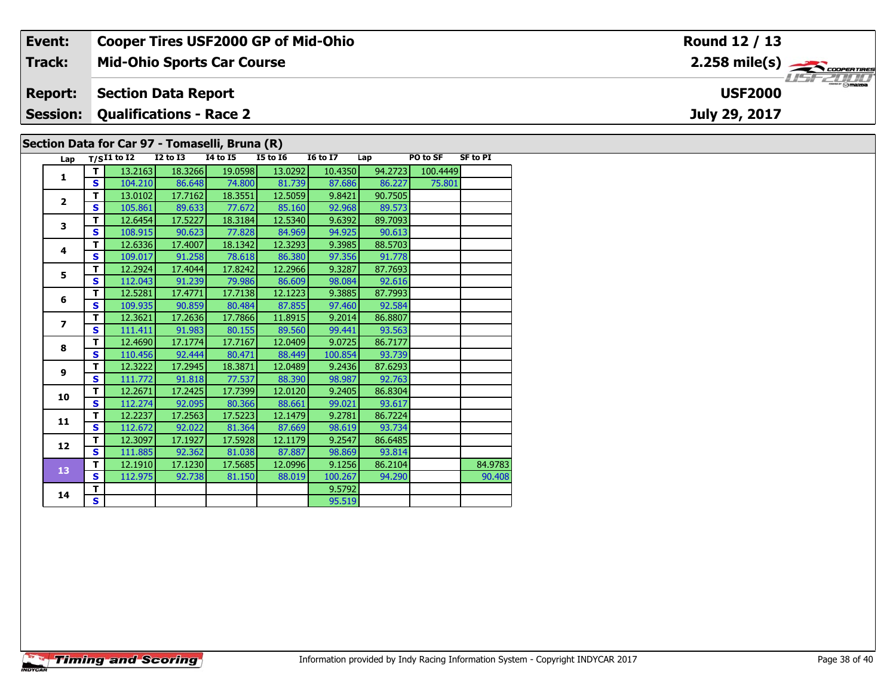|                                                                    | Event:         |     |                   |                 | <b>Cooper Tires USF2000 GP of Mid-Ohio</b>     |          |                 |                               |          |                 | Round 12 / 13 |  |  |  |
|--------------------------------------------------------------------|----------------|-----|-------------------|-----------------|------------------------------------------------|----------|-----------------|-------------------------------|----------|-----------------|---------------|--|--|--|
|                                                                    | Track:         |     |                   |                 | <b>Mid-Ohio Sports Car Course</b>              |          |                 | $2.258$ mile(s) $\rightarrow$ |          |                 |               |  |  |  |
| <b>USF2000</b><br><b>Section Data Report</b><br><b>Report:</b>     |                |     |                   |                 |                                                |          |                 |                               |          |                 |               |  |  |  |
| <b>Session:</b><br><b>Qualifications - Race 2</b><br>July 29, 2017 |                |     |                   |                 |                                                |          |                 |                               |          |                 |               |  |  |  |
|                                                                    |                |     |                   |                 | Section Data for Car 97 - Tomaselli, Bruna (R) |          |                 |                               |          |                 |               |  |  |  |
|                                                                    |                |     | Lap $T/SI1$ to I2 | <b>I2 to I3</b> | 14 to 15                                       | I5 to I6 | <b>16 to 17</b> | Lap                           | PO to SF | <b>SF to PI</b> |               |  |  |  |
|                                                                    |                |     | 13.2163           | 18.3266         | 19.0598                                        | 13.0292  | 10.4350         | 94.2723                       | 100.4449 |                 |               |  |  |  |
|                                                                    |                | S I | 104.210           | 86.648          | <b>74.800</b>                                  | 81.739   | 87.686          | 86.227                        | 75.801   |                 |               |  |  |  |
|                                                                    | $\overline{2}$ |     | 13.0102           | 17.7162         | 18.3551                                        | 12.5059  | 9.8421          | 90.7505                       |          |                 |               |  |  |  |
|                                                                    |                | S.  | 105.861           | 89.633          | 77.6721                                        | 85.160   | 92.968          | 89.573                        |          |                 |               |  |  |  |

91.778

93.563

92.763

93.814

**<sup>T</sup>** 12.6454 17.5227 18.3184 12.5340 9.6392 89.7093 **<sup>S</sup>** 108.915 90.623 77.828 84.969 94.925 90.613

**<sup>T</sup>** 12.6336 17.4007 18.1342 12.3293 9.3985 88.5703 **<sup>S</sup>** 109.017 91.258 78.618 86.380 97.356 91.778

**<sup>T</sup>** 12.2924 17.4044 17.8242 12.2966 9.3287 87.7693 **<sup>S</sup>** 112.043 91.239 79.986 86.609 98.084 92.616

**<sup>T</sup>** 12.5281 17.4771 17.7138 12.1223 9.3885 87.7993 **<sup>S</sup>** 109.935 90.859 80.484 87.855 97.460 92.584

**<sup>T</sup>** 12.3621 17.2636 17.7866 11.8915 9.2014 86.8807 **<sup>S</sup>** 111.411 91.983 80.155 89.560 99.441 93.563

**<sup>T</sup>** 12.4690 17.1774 17.7167 12.0409 9.0725 86.7177 **<sup>S</sup>** 110.456 92.444 80.471 88.449 100.854 93.739

**<sup>T</sup>** 12.3222 17.2945 18.3871 12.0489 9.2436 87.6293 **<sup>S</sup>** 111.772 91.818 77.537 88.390 98.987 92.763

**d T** 12.2671 17.2425 17.7399 12.0120 9.2405 86.8304<br>S 112.274 92.095 80.366 88.661 99.021 93.617

**<sup>T</sup>** 12.2237 17.2563 17.5223 12.1479 9.2781 86.7224 **<sup>S</sup>** 112.672 92.022 81.364 87.669 98.619 93.734

**<sup>T</sup>** 12.3097 17.1927 17.5928 12.1179 9.2547 86.6485 **<sup>S</sup>** 111.885 92.362 81.038 87.887 98.869 93.814

**d T** 9.5792<br>**S** 95.519

**T** 12.1910 17.1230 17.5685 12.0996 9.1256 86.2104 84.9783<br>**S** 112.975 92.738 81.150 88.019 100.267 94.290 90.408

95.519

**3**

**4**

**5**

**6**

**7**

**8**

**9**

**10**

**11**

**12**

**13**

**14**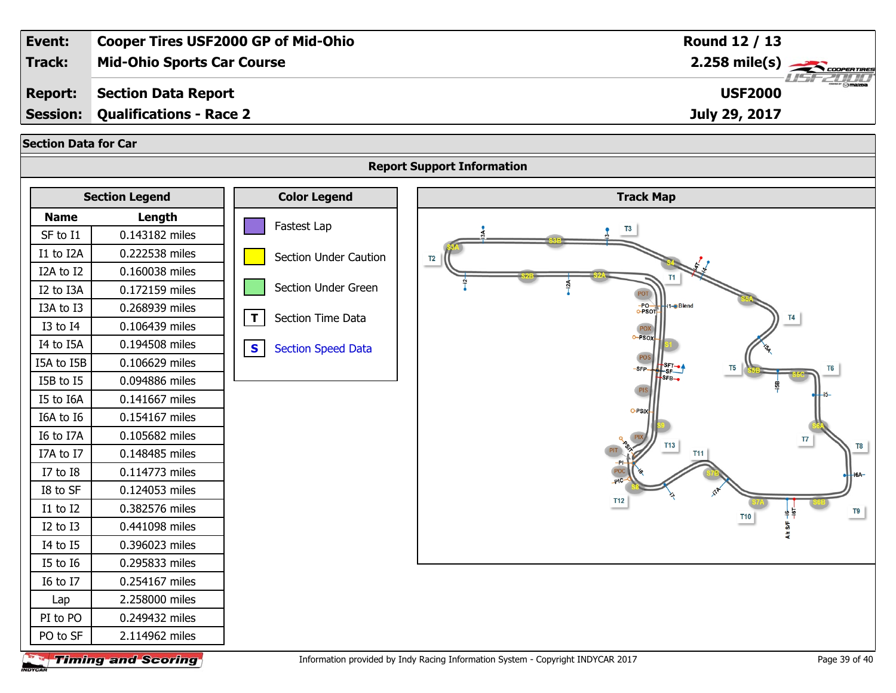